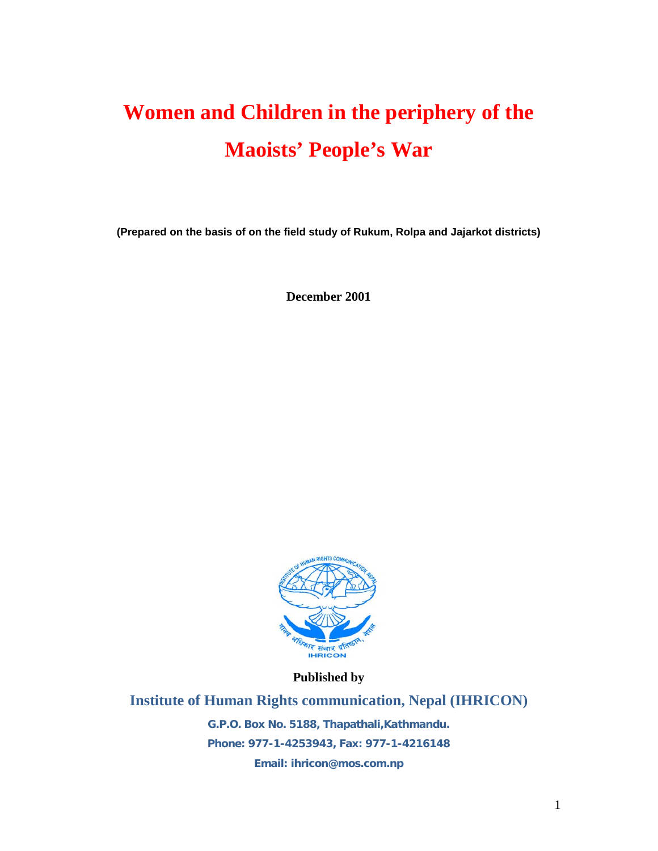# **Women and Children in the periphery of the Maoists' People's War**

**(Prepared on the basis of on the field study of Rukum, Rolpa and Jajarkot districts)**

**December 2001**



**Published by**

**Institute of Human Rights communication, Nepal (IHRICON) G.P.O. Box No. 5188, Thapathali,Kathmandu. Phone: 977-1-4253943, Fax: 977-1-4216148 Email: ihricon@mos.com.np**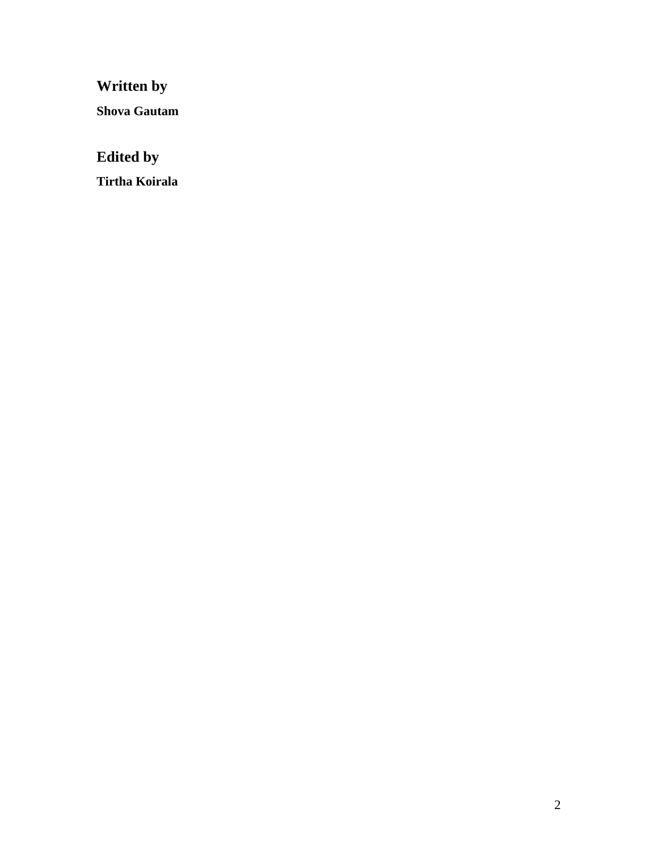**Written by** 

**Shova Gautam**

# **Edited by**

**Tirtha Koirala**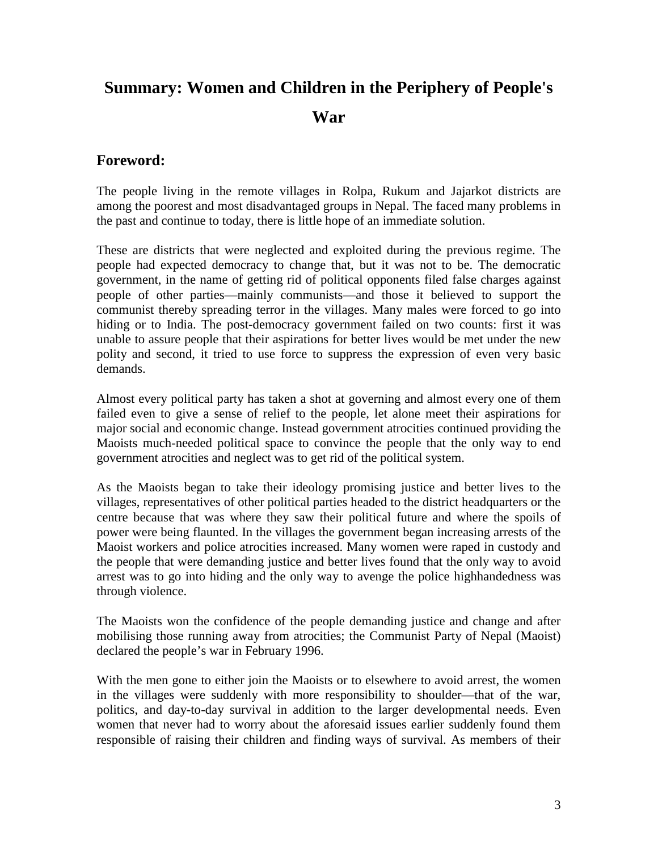# **Summary: Women and Children in the Periphery of People's War**

### **Foreword:**

The people living in the remote villages in Rolpa, Rukum and Jajarkot districts are among the poorest and most disadvantaged groups in Nepal. The faced many problems in the past and continue to today, there is little hope of an immediate solution.

These are districts that were neglected and exploited during the previous regime. The people had expected democracy to change that, but it was not to be. The democratic government, in the name of getting rid of political opponents filed false charges against people of other parties—mainly communists—and those it believed to support the communist thereby spreading terror in the villages. Many males were forced to go into hiding or to India. The post-democracy government failed on two counts: first it was unable to assure people that their aspirations for better lives would be met under the new polity and second, it tried to use force to suppress the expression of even very basic demands.

Almost every political party has taken a shot at governing and almost every one of them failed even to give a sense of relief to the people, let alone meet their aspirations for major social and economic change. Instead government atrocities continued providing the Maoists much-needed political space to convince the people that the only way to end government atrocities and neglect was to get rid of the political system.

As the Maoists began to take their ideology promising justice and better lives to the villages, representatives of other political parties headed to the district headquarters or the centre because that was where they saw their political future and where the spoils of power were being flaunted. In the villages the government began increasing arrests of the Maoist workers and police atrocities increased. Many women were raped in custody and the people that were demanding justice and better lives found that the only way to avoid arrest was to go into hiding and the only way to avenge the police highhandedness was through violence.

The Maoists won the confidence of the people demanding justice and change and after mobilising those running away from atrocities; the Communist Party of Nepal (Maoist) declared the people's war in February 1996.

With the men gone to either join the Maoists or to elsewhere to avoid arrest, the women in the villages were suddenly with more responsibility to shoulder—that of the war, politics, and day-to-day survival in addition to the larger developmental needs. Even women that never had to worry about the aforesaid issues earlier suddenly found them responsible of raising their children and finding ways of survival. As members of their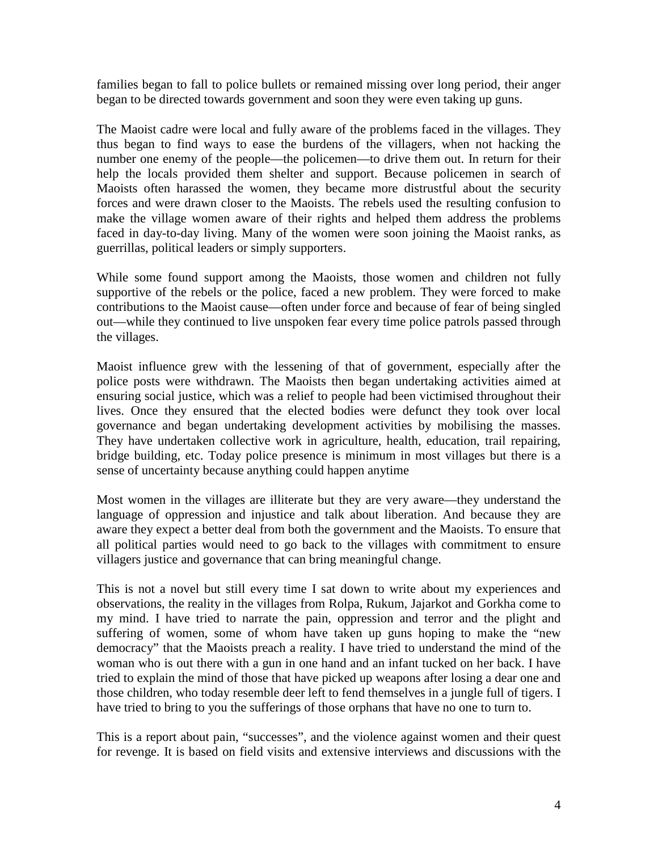families began to fall to police bullets or remained missing over long period, their anger began to be directed towards government and soon they were even taking up guns.

The Maoist cadre were local and fully aware of the problems faced in the villages. They thus began to find ways to ease the burdens of the villagers, when not hacking the number one enemy of the people—the policemen—to drive them out. In return for their help the locals provided them shelter and support. Because policemen in search of Maoists often harassed the women, they became more distrustful about the security forces and were drawn closer to the Maoists. The rebels used the resulting confusion to make the village women aware of their rights and helped them address the problems faced in day-to-day living. Many of the women were soon joining the Maoist ranks, as guerrillas, political leaders or simply supporters.

While some found support among the Maoists, those women and children not fully supportive of the rebels or the police, faced a new problem. They were forced to make contributions to the Maoist cause—often under force and because of fear of being singled out—while they continued to live unspoken fear every time police patrols passed through the villages.

Maoist influence grew with the lessening of that of government, especially after the police posts were withdrawn. The Maoists then began undertaking activities aimed at ensuring social justice, which was a relief to people had been victimised throughout their lives. Once they ensured that the elected bodies were defunct they took over local governance and began undertaking development activities by mobilising the masses. They have undertaken collective work in agriculture, health, education, trail repairing, bridge building, etc. Today police presence is minimum in most villages but there is a sense of uncertainty because anything could happen anytime

Most women in the villages are illiterate but they are very aware—they understand the language of oppression and injustice and talk about liberation. And because they are aware they expect a better deal from both the government and the Maoists. To ensure that all political parties would need to go back to the villages with commitment to ensure villagers justice and governance that can bring meaningful change.

This is not a novel but still every time I sat down to write about my experiences and observations, the reality in the villages from Rolpa, Rukum, Jajarkot and Gorkha come to my mind. I have tried to narrate the pain, oppression and terror and the plight and suffering of women, some of whom have taken up guns hoping to make the "new democracy" that the Maoists preach a reality. I have tried to understand the mind of the woman who is out there with a gun in one hand and an infant tucked on her back. I have tried to explain the mind of those that have picked up weapons after losing a dear one and those children, who today resemble deer left to fend themselves in a jungle full of tigers. I have tried to bring to you the sufferings of those orphans that have no one to turn to.

This is a report about pain, "successes", and the violence against women and their quest for revenge. It is based on field visits and extensive interviews and discussions with the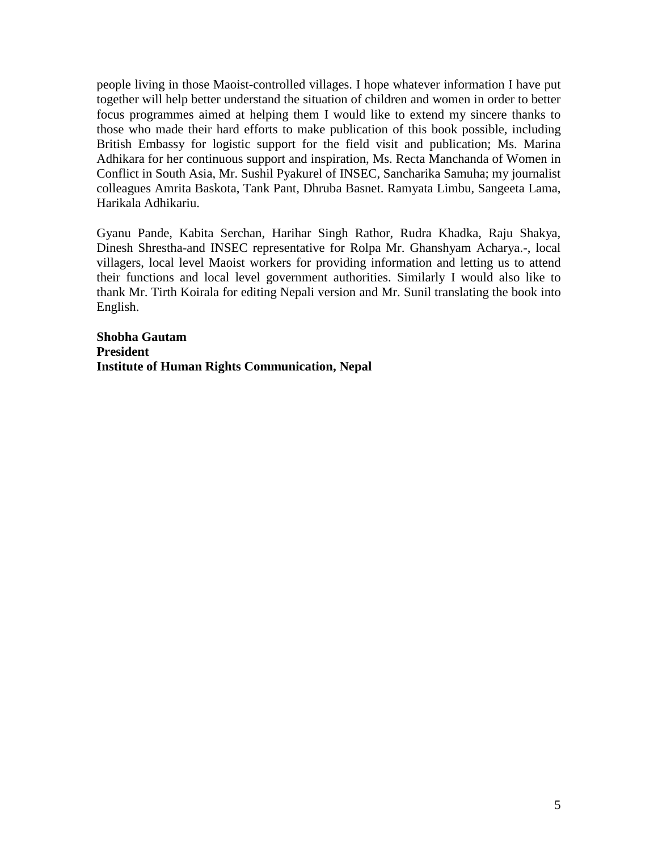people living in those Maoist-controlled villages. I hope whatever information I have put together will help better understand the situation of children and women in order to better focus programmes aimed at helping them I would like to extend my sincere thanks to those who made their hard efforts to make publication of this book possible, including British Embassy for logistic support for the field visit and publication; Ms. Marina Adhikara for her continuous support and inspiration, Ms. Recta Manchanda of Women in Conflict in South Asia, Mr. Sushil Pyakurel of INSEC, Sancharika Samuha; my journalist colleagues Amrita Baskota, Tank Pant, Dhruba Basnet. Ramyata Limbu, Sangeeta Lama, Harikala Adhikariu.

Gyanu Pande, Kabita Serchan, Harihar Singh Rathor, Rudra Khadka, Raju Shakya, Dinesh Shrestha-and INSEC representative for Rolpa Mr. Ghanshyam Acharya.-, local villagers, local level Maoist workers for providing information and letting us to attend their functions and local level government authorities. Similarly I would also like to thank Mr. Tirth Koirala for editing Nepali version and Mr. Sunil translating the book into English.

**Shobha Gautam President Institute of Human Rights Communication, Nepal**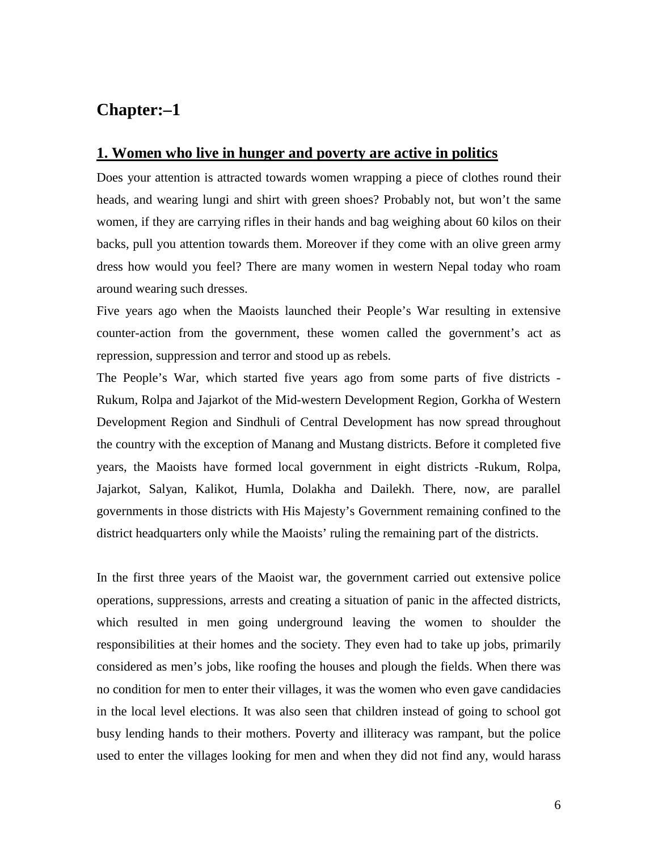# **Chapter:–1**

#### **1. Women who live in hunger and poverty are active in politics**

Does your attention is attracted towards women wrapping a piece of clothes round their heads, and wearing lungi and shirt with green shoes? Probably not, but won't the same women, if they are carrying rifles in their hands and bag weighing about 60 kilos on their backs, pull you attention towards them. Moreover if they come with an olive green army dress how would you feel? There are many women in western Nepal today who roam around wearing such dresses.

Five years ago when the Maoists launched their People's War resulting in extensive counter-action from the government, these women called the government's act as repression, suppression and terror and stood up as rebels.

The People's War, which started five years ago from some parts of five districts - Rukum, Rolpa and Jajarkot of the Mid-western Development Region, Gorkha of Western Development Region and Sindhuli of Central Development has now spread throughout the country with the exception of Manang and Mustang districts. Before it completed five years, the Maoists have formed local government in eight districts -Rukum, Rolpa, Jajarkot, Salyan, Kalikot, Humla, Dolakha and Dailekh. There, now, are parallel governments in those districts with His Majesty's Government remaining confined to the district headquarters only while the Maoists' ruling the remaining part of the districts.

In the first three years of the Maoist war, the government carried out extensive police operations, suppressions, arrests and creating a situation of panic in the affected districts, which resulted in men going underground leaving the women to shoulder the responsibilities at their homes and the society. They even had to take up jobs, primarily considered as men's jobs, like roofing the houses and plough the fields. When there was no condition for men to enter their villages, it was the women who even gave candidacies in the local level elections. It was also seen that children instead of going to school got busy lending hands to their mothers. Poverty and illiteracy was rampant, but the police used to enter the villages looking for men and when they did not find any, would harass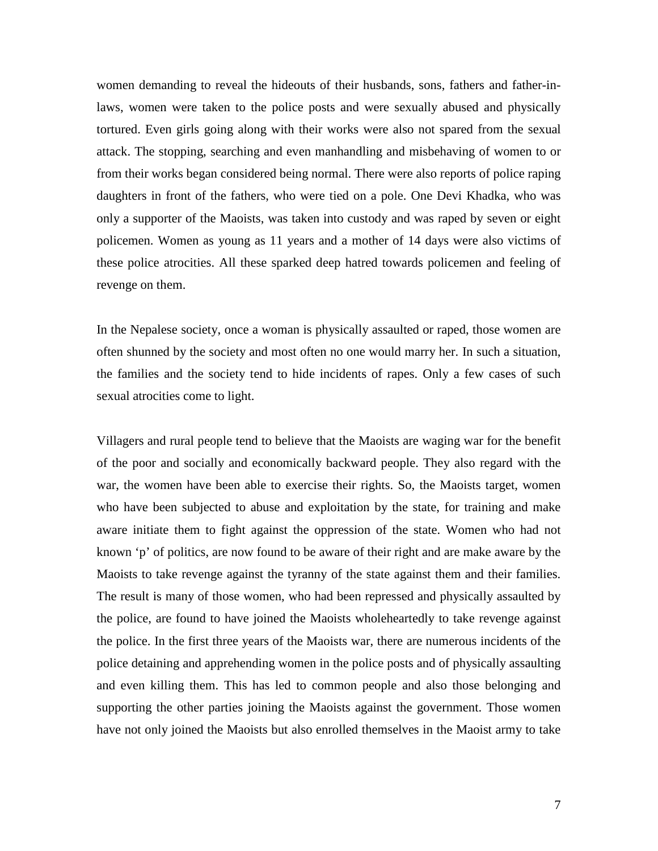women demanding to reveal the hideouts of their husbands, sons, fathers and father-inlaws, women were taken to the police posts and were sexually abused and physically tortured. Even girls going along with their works were also not spared from the sexual attack. The stopping, searching and even manhandling and misbehaving of women to or from their works began considered being normal. There were also reports of police raping daughters in front of the fathers, who were tied on a pole. One Devi Khadka, who was only a supporter of the Maoists, was taken into custody and was raped by seven or eight policemen. Women as young as 11 years and a mother of 14 days were also victims of these police atrocities. All these sparked deep hatred towards policemen and feeling of revenge on them.

In the Nepalese society, once a woman is physically assaulted or raped, those women are often shunned by the society and most often no one would marry her. In such a situation, the families and the society tend to hide incidents of rapes. Only a few cases of such sexual atrocities come to light.

Villagers and rural people tend to believe that the Maoists are waging war for the benefit of the poor and socially and economically backward people. They also regard with the war, the women have been able to exercise their rights. So, the Maoists target, women who have been subjected to abuse and exploitation by the state, for training and make aware initiate them to fight against the oppression of the state. Women who had not known 'p' of politics, are now found to be aware of their right and are make aware by the Maoists to take revenge against the tyranny of the state against them and their families. The result is many of those women, who had been repressed and physically assaulted by the police, are found to have joined the Maoists wholeheartedly to take revenge against the police. In the first three years of the Maoists war, there are numerous incidents of the police detaining and apprehending women in the police posts and of physically assaulting and even killing them. This has led to common people and also those belonging and supporting the other parties joining the Maoists against the government. Those women have not only joined the Maoists but also enrolled themselves in the Maoist army to take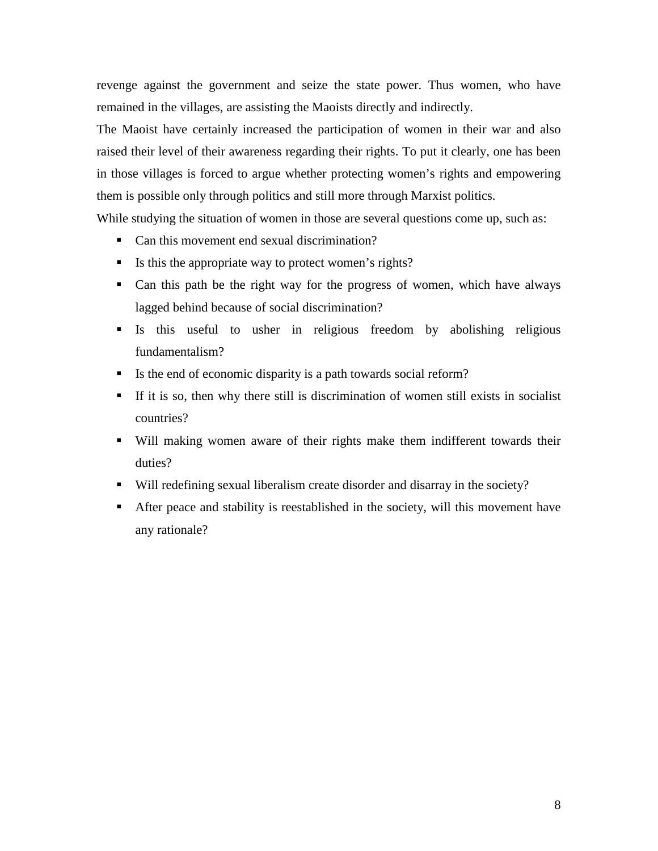revenge against the government and seize the state power. Thus women, who have remained in the villages, are assisting the Maoists directly and indirectly.

The Maoist have certainly increased the participation of women in their war and also raised their level of their awareness regarding their rights. To put it clearly, one has been in those villages is forced to argue whether protecting women's rights and empowering them is possible only through politics and still more through Marxist politics.

While studying the situation of women in those are several questions come up, such as:

- Can this movement end sexual discrimination?
- Is this the appropriate way to protect women's rights?
- Can this path be the right way for the progress of women, which have always lagged behind because of social discrimination?
- Is this useful to usher in religious freedom by abolishing religious fundamentalism?
- Is the end of economic disparity is a path towards social reform?
- If it is so, then why there still is discrimination of women still exists in socialist countries?
- Will making women aware of their rights make them indifferent towards their duties?
- Will redefining sexual liberalism create disorder and disarray in the society?
- After peace and stability is reestablished in the society, will this movement have any rationale?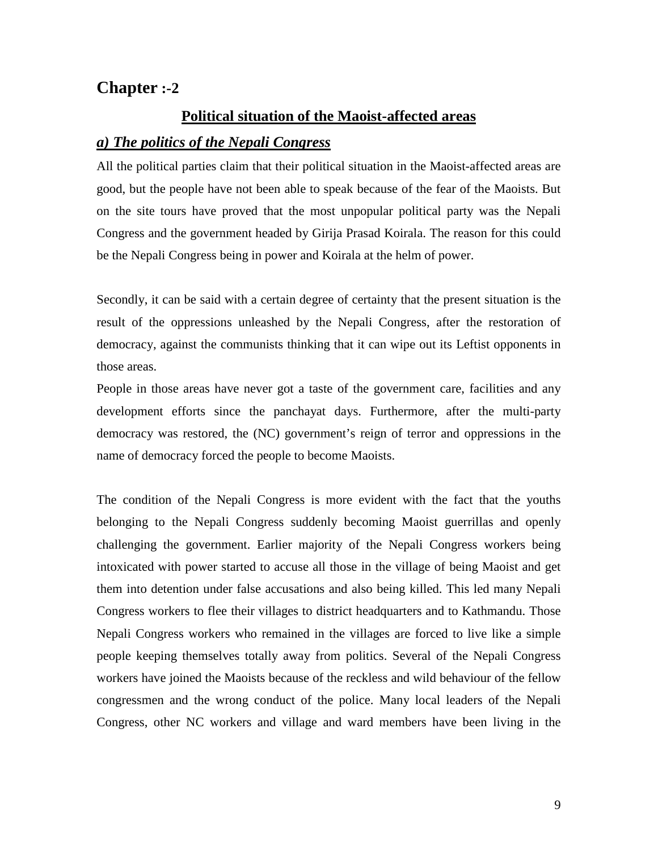# **Chapter :-2**

### **Political situation of the Maoist-affected areas**

#### *a) The politics of the Nepali Congress*

All the political parties claim that their political situation in the Maoist-affected areas are good, but the people have not been able to speak because of the fear of the Maoists. But on the site tours have proved that the most unpopular political party was the Nepali Congress and the government headed by Girija Prasad Koirala. The reason for this could be the Nepali Congress being in power and Koirala at the helm of power.

Secondly, it can be said with a certain degree of certainty that the present situation is the result of the oppressions unleashed by the Nepali Congress, after the restoration of democracy, against the communists thinking that it can wipe out its Leftist opponents in those areas.

People in those areas have never got a taste of the government care, facilities and any development efforts since the panchayat days. Furthermore, after the multi-party democracy was restored, the (NC) government's reign of terror and oppressions in the name of democracy forced the people to become Maoists.

The condition of the Nepali Congress is more evident with the fact that the youths belonging to the Nepali Congress suddenly becoming Maoist guerrillas and openly challenging the government. Earlier majority of the Nepali Congress workers being intoxicated with power started to accuse all those in the village of being Maoist and get them into detention under false accusations and also being killed. This led many Nepali Congress workers to flee their villages to district headquarters and to Kathmandu. Those Nepali Congress workers who remained in the villages are forced to live like a simple people keeping themselves totally away from politics. Several of the Nepali Congress workers have joined the Maoists because of the reckless and wild behaviour of the fellow congressmen and the wrong conduct of the police. Many local leaders of the Nepali Congress, other NC workers and village and ward members have been living in the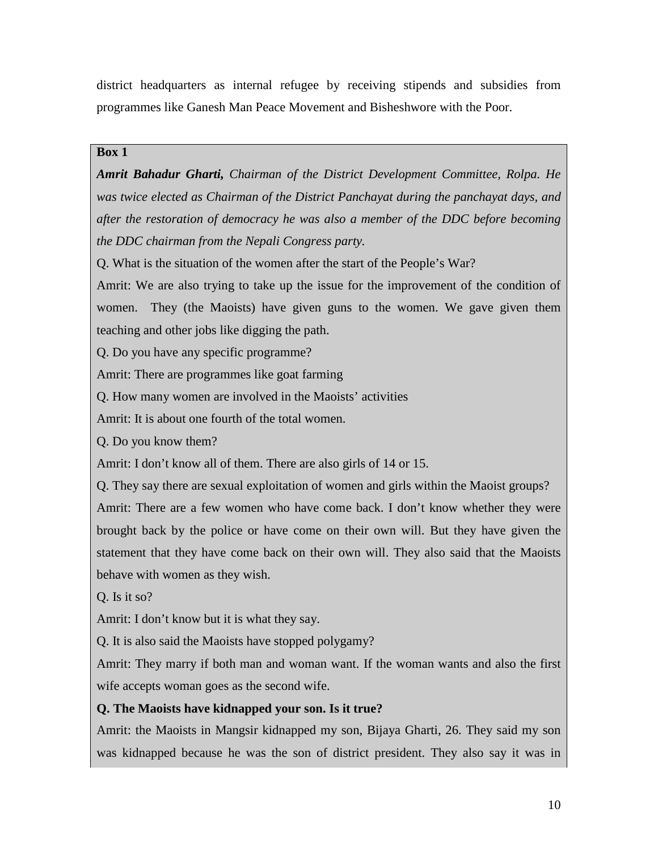district headquarters as internal refugee by receiving stipends and subsidies from programmes like Ganesh Man Peace Movement and Bisheshwore with the Poor.

#### **Box 1**

*Amrit Bahadur Gharti, Chairman of the District Development Committee, Rolpa. He was twice elected as Chairman of the District Panchayat during the panchayat days, and after the restoration of democracy he was also a member of the DDC before becoming the DDC chairman from the Nepali Congress party.*

Q. What is the situation of the women after the start of the People's War?

Amrit: We are also trying to take up the issue for the improvement of the condition of women. They (the Maoists) have given guns to the women. We gave given them teaching and other jobs like digging the path.

Q. Do you have any specific programme?

Amrit: There are programmes like goat farming

Q. How many women are involved in the Maoists' activities

Amrit: It is about one fourth of the total women.

Q. Do you know them?

Amrit: I don't know all of them. There are also girls of 14 or 15.

Q. They say there are sexual exploitation of women and girls within the Maoist groups? Amrit: There are a few women who have come back. I don't know whether they were brought back by the police or have come on their own will. But they have given the statement that they have come back on their own will. They also said that the Maoists behave with women as they wish.

Q. Is it so?

Amrit: I don't know but it is what they say.

Q. It is also said the Maoists have stopped polygamy?

Amrit: They marry if both man and woman want. If the woman wants and also the first wife accepts woman goes as the second wife.

### **Q. The Maoists have kidnapped your son. Is it true?**

Amrit: the Maoists in Mangsir kidnapped my son, Bijaya Gharti, 26. They said my son was kidnapped because he was the son of district president. They also say it was in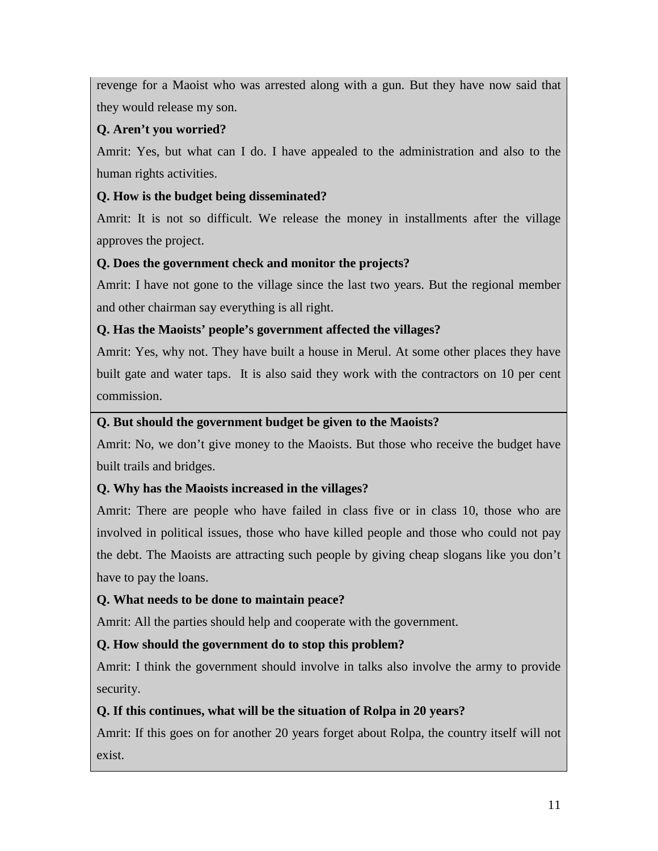revenge for a Maoist who was arrested along with a gun. But they have now said that they would release my son.

# **Q. Aren't you worried?**

Amrit: Yes, but what can I do. I have appealed to the administration and also to the human rights activities.

# **Q. How is the budget being disseminated?**

Amrit: It is not so difficult. We release the money in installments after the village approves the project.

# **Q. Does the government check and monitor the projects?**

Amrit: I have not gone to the village since the last two years. But the regional member and other chairman say everything is all right.

# **Q. Has the Maoists' people's government affected the villages?**

Amrit: Yes, why not. They have built a house in Merul. At some other places they have built gate and water taps. It is also said they work with the contractors on 10 per cent commission.

# **Q. But should the government budget be given to the Maoists?**

Amrit: No, we don't give money to the Maoists. But those who receive the budget have built trails and bridges.

# **Q. Why has the Maoists increased in the villages?**

Amrit: There are people who have failed in class five or in class 10, those who are involved in political issues, those who have killed people and those who could not pay the debt. The Maoists are attracting such people by giving cheap slogans like you don't have to pay the loans.

# **Q. What needs to be done to maintain peace?**

Amrit: All the parties should help and cooperate with the government.

# **Q. How should the government do to stop this problem?**

Amrit: I think the government should involve in talks also involve the army to provide security.

# **Q. If this continues, what will be the situation of Rolpa in 20 years?**

Amrit: If this goes on for another 20 years forget about Rolpa, the country itself will not exist.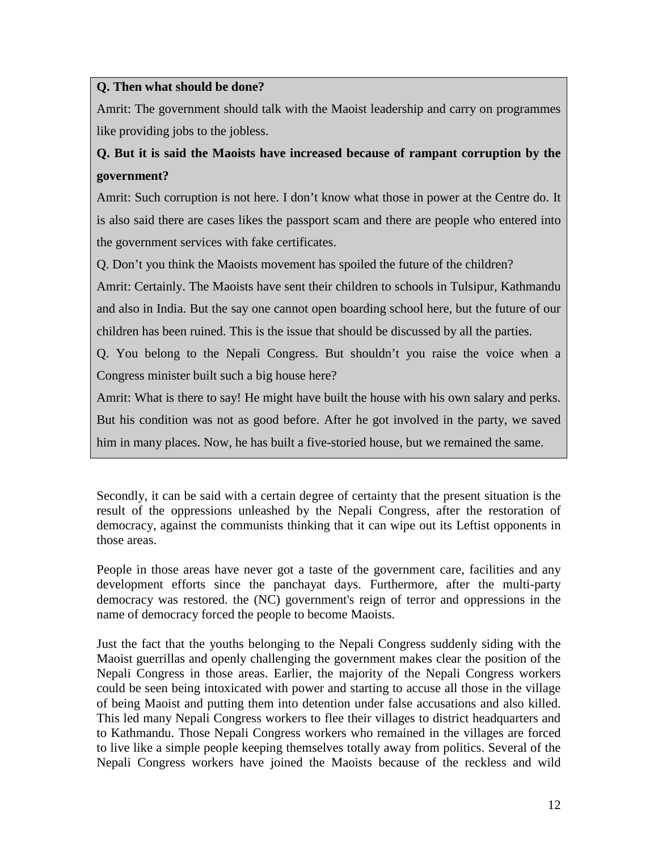# **Q. Then what should be done?**

Amrit: The government should talk with the Maoist leadership and carry on programmes like providing jobs to the jobless.

# **Q. But it is said the Maoists have increased because of rampant corruption by the government?**

Amrit: Such corruption is not here. I don't know what those in power at the Centre do. It is also said there are cases likes the passport scam and there are people who entered into the government services with fake certificates.

Q. Don't you think the Maoists movement has spoiled the future of the children?

Amrit: Certainly. The Maoists have sent their children to schools in Tulsipur, Kathmandu and also in India. But the say one cannot open boarding school here, but the future of our children has been ruined. This is the issue that should be discussed by all the parties.

Q. You belong to the Nepali Congress. But shouldn't you raise the voice when a Congress minister built such a big house here?

Amrit: What is there to say! He might have built the house with his own salary and perks. But his condition was not as good before. After he got involved in the party, we saved him in many places. Now, he has built a five-storied house, but we remained the same.

Secondly, it can be said with a certain degree of certainty that the present situation is the result of the oppressions unleashed by the Nepali Congress, after the restoration of democracy, against the communists thinking that it can wipe out its Leftist opponents in those areas.

People in those areas have never got a taste of the government care, facilities and any development efforts since the panchayat days. Furthermore, after the multi-party democracy was restored. the (NC) government's reign of terror and oppressions in the name of democracy forced the people to become Maoists.

Just the fact that the youths belonging to the Nepali Congress suddenly siding with the Maoist guerrillas and openly challenging the government makes clear the position of the Nepali Congress in those areas. Earlier, the majority of the Nepali Congress workers could be seen being intoxicated with power and starting to accuse all those in the village of being Maoist and putting them into detention under false accusations and also killed. This led many Nepali Congress workers to flee their villages to district headquarters and to Kathmandu. Those Nepali Congress workers who remained in the villages are forced to live like a simple people keeping themselves totally away from politics. Several of the Nepali Congress workers have joined the Maoists because of the reckless and wild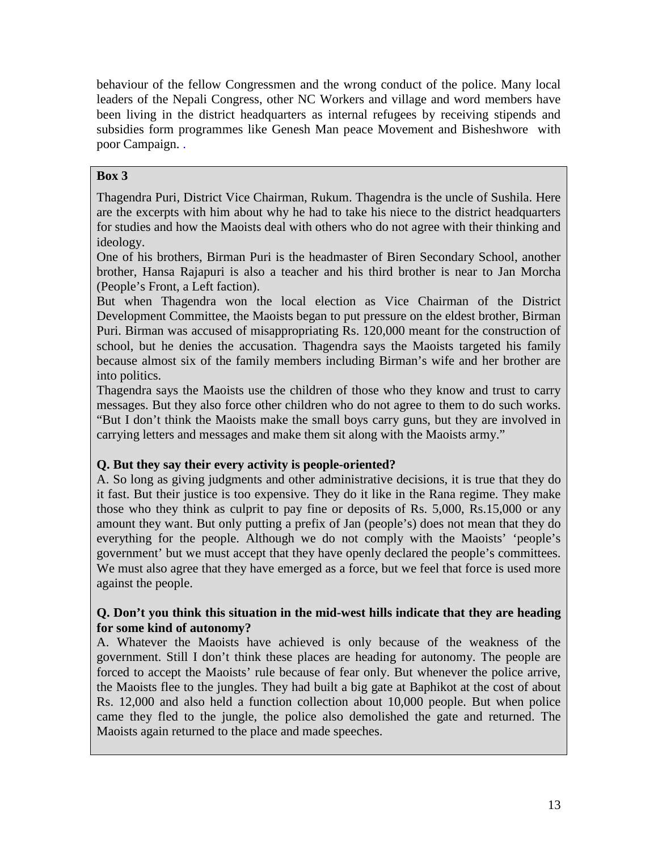behaviour of the fellow Congressmen and the wrong conduct of the police. Many local leaders of the Nepali Congress, other NC Workers and village and word members have been living in the district headquarters as internal refugees by receiving stipends and subsidies form programmes like Genesh Man peace Movement and Bisheshwore with poor Campaign. .

### **Box 3**

Thagendra Puri, District Vice Chairman, Rukum. Thagendra is the uncle of Sushila. Here are the excerpts with him about why he had to take his niece to the district headquarters for studies and how the Maoists deal with others who do not agree with their thinking and ideology.

One of his brothers, Birman Puri is the headmaster of Biren Secondary School, another brother, Hansa Rajapuri is also a teacher and his third brother is near to Jan Morcha (People's Front, a Left faction).

But when Thagendra won the local election as Vice Chairman of the District Development Committee, the Maoists began to put pressure on the eldest brother, Birman Puri. Birman was accused of misappropriating Rs. 120,000 meant for the construction of school, but he denies the accusation. Thagendra says the Maoists targeted his family because almost six of the family members including Birman's wife and her brother are into politics.

Thagendra says the Maoists use the children of those who they know and trust to carry messages. But they also force other children who do not agree to them to do such works. "But I don't think the Maoists make the small boys carry guns, but they are involved in carrying letters and messages and make them sit along with the Maoists army."

# **Q. But they say their every activity is people-oriented?**

A. So long as giving judgments and other administrative decisions, it is true that they do it fast. But their justice is too expensive. They do it like in the Rana regime. They make those who they think as culprit to pay fine or deposits of Rs. 5,000, Rs.15,000 or any amount they want. But only putting a prefix of Jan (people's) does not mean that they do everything for the people. Although we do not comply with the Maoists' 'people's government' but we must accept that they have openly declared the people's committees. We must also agree that they have emerged as a force, but we feel that force is used more against the people.

### **Q. Don't you think this situation in the mid-west hills indicate that they are heading for some kind of autonomy?**

A. Whatever the Maoists have achieved is only because of the weakness of the government. Still I don't think these places are heading for autonomy. The people are forced to accept the Maoists' rule because of fear only. But whenever the police arrive, the Maoists flee to the jungles. They had built a big gate at Baphikot at the cost of about Rs. 12,000 and also held a function collection about 10,000 people. But when police came they fled to the jungle, the police also demolished the gate and returned. The Maoists again returned to the place and made speeches.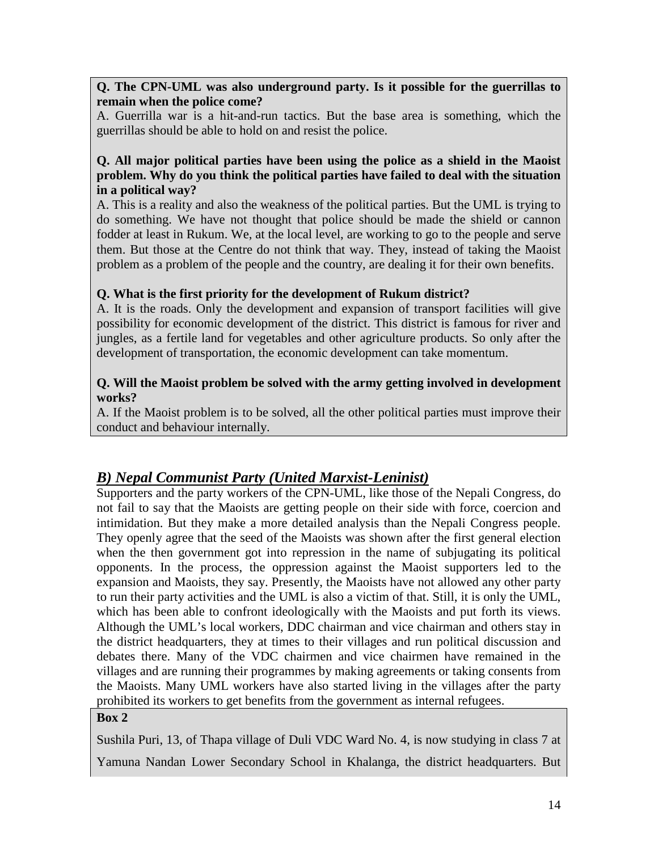**Q. The CPN-UML was also underground party. Is it possible for the guerrillas to remain when the police come?**

A. Guerrilla war is a hit-and-run tactics. But the base area is something, which the guerrillas should be able to hold on and resist the police.

### **Q. All major political parties have been using the police as a shield in the Maoist problem. Why do you think the political parties have failed to deal with the situation in a political way?**

A. This is a reality and also the weakness of the political parties. But the UML is trying to do something. We have not thought that police should be made the shield or cannon fodder at least in Rukum. We, at the local level, are working to go to the people and serve them. But those at the Centre do not think that way. They, instead of taking the Maoist problem as a problem of the people and the country, are dealing it for their own benefits.

### **Q. What is the first priority for the development of Rukum district?**

A. It is the roads. Only the development and expansion of transport facilities will give possibility for economic development of the district. This district is famous for river and jungles, as a fertile land for vegetables and other agriculture products. So only after the development of transportation, the economic development can take momentum.

#### **Q. Will the Maoist problem be solved with the army getting involved in development works?**

A. If the Maoist problem is to be solved, all the other political parties must improve their conduct and behaviour internally.

# *B) Nepal Communist Party (United Marxist-Leninist)*

Supporters and the party workers of the CPN-UML, like those of the Nepali Congress, do not fail to say that the Maoists are getting people on their side with force, coercion and intimidation. But they make a more detailed analysis than the Nepali Congress people. They openly agree that the seed of the Maoists was shown after the first general election when the then government got into repression in the name of subjugating its political opponents. In the process, the oppression against the Maoist supporters led to the expansion and Maoists, they say. Presently, the Maoists have not allowed any other party to run their party activities and the UML is also a victim of that. Still, it is only the UML, which has been able to confront ideologically with the Maoists and put forth its views. Although the UML's local workers, DDC chairman and vice chairman and others stay in the district headquarters, they at times to their villages and run political discussion and debates there. Many of the VDC chairmen and vice chairmen have remained in the villages and are running their programmes by making agreements or taking consents from the Maoists. Many UML workers have also started living in the villages after the party prohibited its workers to get benefits from the government as internal refugees.

### **Box 2**

Sushila Puri, 13, of Thapa village of Duli VDC Ward No. 4, is now studying in class 7 at Yamuna Nandan Lower Secondary School in Khalanga, the district headquarters. But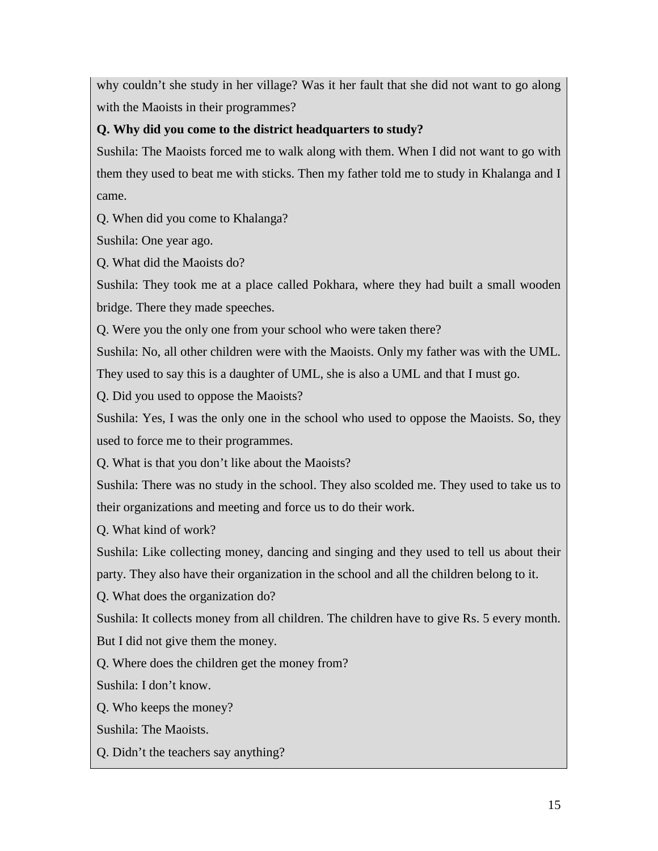why couldn't she study in her village? Was it her fault that she did not want to go along with the Maoists in their programmes?

# **Q. Why did you come to the district headquarters to study?**

Sushila: The Maoists forced me to walk along with them. When I did not want to go with them they used to beat me with sticks. Then my father told me to study in Khalanga and I came.

Q. When did you come to Khalanga?

Sushila: One year ago.

Q. What did the Maoists do?

Sushila: They took me at a place called Pokhara, where they had built a small wooden bridge. There they made speeches.

Q. Were you the only one from your school who were taken there?

Sushila: No, all other children were with the Maoists. Only my father was with the UML. They used to say this is a daughter of UML, she is also a UML and that I must go.

Q. Did you used to oppose the Maoists?

Sushila: Yes, I was the only one in the school who used to oppose the Maoists. So, they used to force me to their programmes.

Q. What is that you don't like about the Maoists?

Sushila: There was no study in the school. They also scolded me. They used to take us to their organizations and meeting and force us to do their work.

Q. What kind of work?

Sushila: Like collecting money, dancing and singing and they used to tell us about their

party. They also have their organization in the school and all the children belong to it.

Q. What does the organization do?

Sushila: It collects money from all children. The children have to give Rs. 5 every month. But I did not give them the money.

Q. Where does the children get the money from?

Sushila: I don't know.

Q. Who keeps the money?

Sushila: The Maoists.

Q. Didn't the teachers say anything?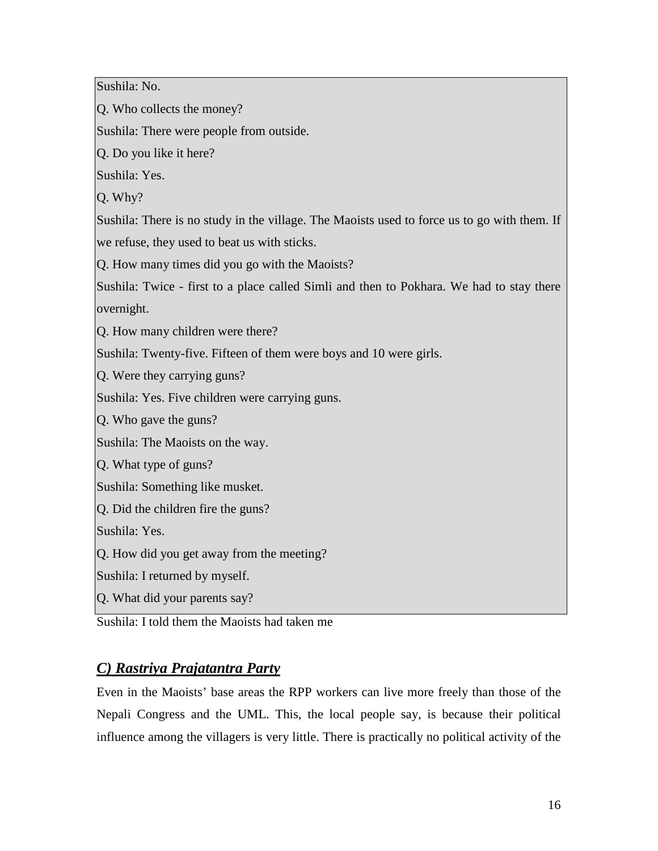Sushila: No.

Q. Who collects the money?

Sushila: There were people from outside.

Q. Do you like it here?

Sushila: Yes.

Q. Why?

Sushila: There is no study in the village. The Maoists used to force us to go with them. If

we refuse, they used to beat us with sticks.

Q. How many times did you go with the Maoists?

Sushila: Twice - first to a place called Simli and then to Pokhara. We had to stay there overnight.

Q. How many children were there?

Sushila: Twenty-five. Fifteen of them were boys and 10 were girls.

Q. Were they carrying guns?

Sushila: Yes. Five children were carrying guns.

Q. Who gave the guns?

Sushila: The Maoists on the way.

Q. What type of guns?

Sushila: Something like musket.

Q. Did the children fire the guns?

Sushila: Yes.

Q. How did you get away from the meeting?

Sushila: I returned by myself.

Q. What did your parents say?

Sushila: I told them the Maoists had taken me

# *C) Rastriya Prajatantra Party*

Even in the Maoists' base areas the RPP workers can live more freely than those of the Nepali Congress and the UML. This, the local people say, is because their political influence among the villagers is very little. There is practically no political activity of the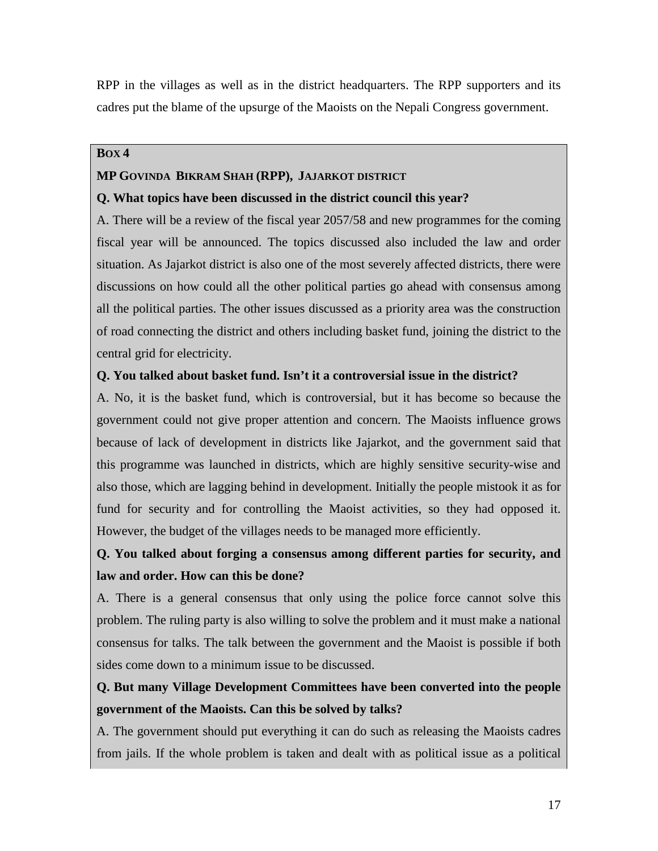RPP in the villages as well as in the district headquarters. The RPP supporters and its cadres put the blame of the upsurge of the Maoists on the Nepali Congress government.

#### **BOX 4**

#### **MP GOVINDA BIKRAM SHAH (RPP), JAJARKOT DISTRICT**

### **Q. What topics have been discussed in the district council this year?**

A. There will be a review of the fiscal year 2057/58 and new programmes for the coming fiscal year will be announced. The topics discussed also included the law and order situation. As Jajarkot district is also one of the most severely affected districts, there were discussions on how could all the other political parties go ahead with consensus among all the political parties. The other issues discussed as a priority area was the construction of road connecting the district and others including basket fund, joining the district to the central grid for electricity.

### **Q. You talked about basket fund. Isn't it a controversial issue in the district?**

A. No, it is the basket fund, which is controversial, but it has become so because the government could not give proper attention and concern. The Maoists influence grows because of lack of development in districts like Jajarkot, and the government said that this programme was launched in districts, which are highly sensitive security-wise and also those, which are lagging behind in development. Initially the people mistook it as for fund for security and for controlling the Maoist activities, so they had opposed it. However, the budget of the villages needs to be managed more efficiently.

# **Q. You talked about forging a consensus among different parties for security, and law and order. How can this be done?**

A. There is a general consensus that only using the police force cannot solve this problem. The ruling party is also willing to solve the problem and it must make a national consensus for talks. The talk between the government and the Maoist is possible if both sides come down to a minimum issue to be discussed.

# **Q. But many Village Development Committees have been converted into the people government of the Maoists. Can this be solved by talks?**

A. The government should put everything it can do such as releasing the Maoists cadres from jails. If the whole problem is taken and dealt with as political issue as a political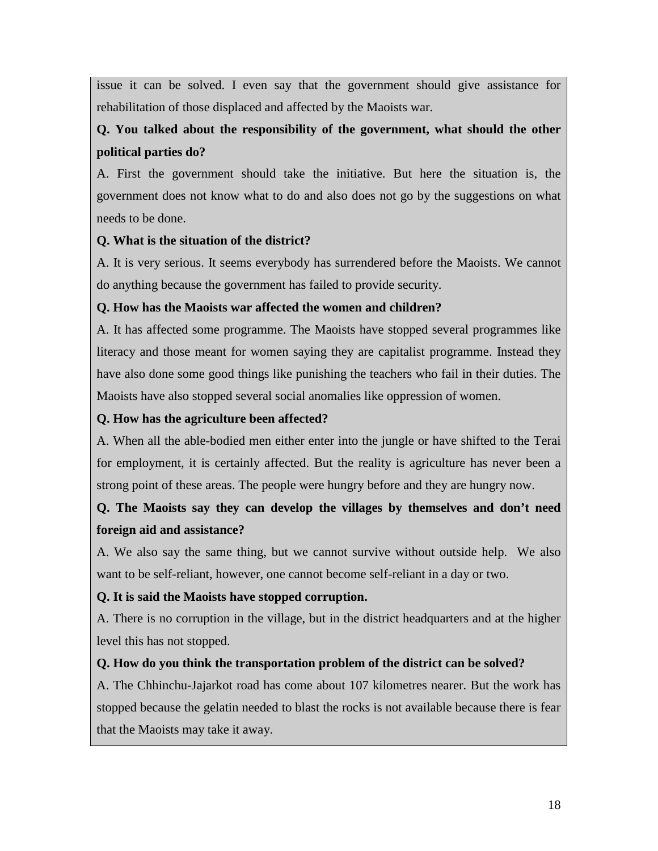issue it can be solved. I even say that the government should give assistance for rehabilitation of those displaced and affected by the Maoists war.

# **Q. You talked about the responsibility of the government, what should the other political parties do?**

A. First the government should take the initiative. But here the situation is, the government does not know what to do and also does not go by the suggestions on what needs to be done.

# **Q. What is the situation of the district?**

A. It is very serious. It seems everybody has surrendered before the Maoists. We cannot do anything because the government has failed to provide security.

### **Q. How has the Maoists war affected the women and children?**

A. It has affected some programme. The Maoists have stopped several programmes like literacy and those meant for women saying they are capitalist programme. Instead they have also done some good things like punishing the teachers who fail in their duties. The Maoists have also stopped several social anomalies like oppression of women.

# **Q. How has the agriculture been affected?**

A. When all the able-bodied men either enter into the jungle or have shifted to the Terai for employment, it is certainly affected. But the reality is agriculture has never been a strong point of these areas. The people were hungry before and they are hungry now.

# **Q. The Maoists say they can develop the villages by themselves and don't need foreign aid and assistance?**

A. We also say the same thing, but we cannot survive without outside help. We also want to be self-reliant, however, one cannot become self-reliant in a day or two.

# **Q. It is said the Maoists have stopped corruption.**

A. There is no corruption in the village, but in the district headquarters and at the higher level this has not stopped.

# **Q. How do you think the transportation problem of the district can be solved?**

A. The Chhinchu-Jajarkot road has come about 107 kilometres nearer. But the work has stopped because the gelatin needed to blast the rocks is not available because there is fear that the Maoists may take it away.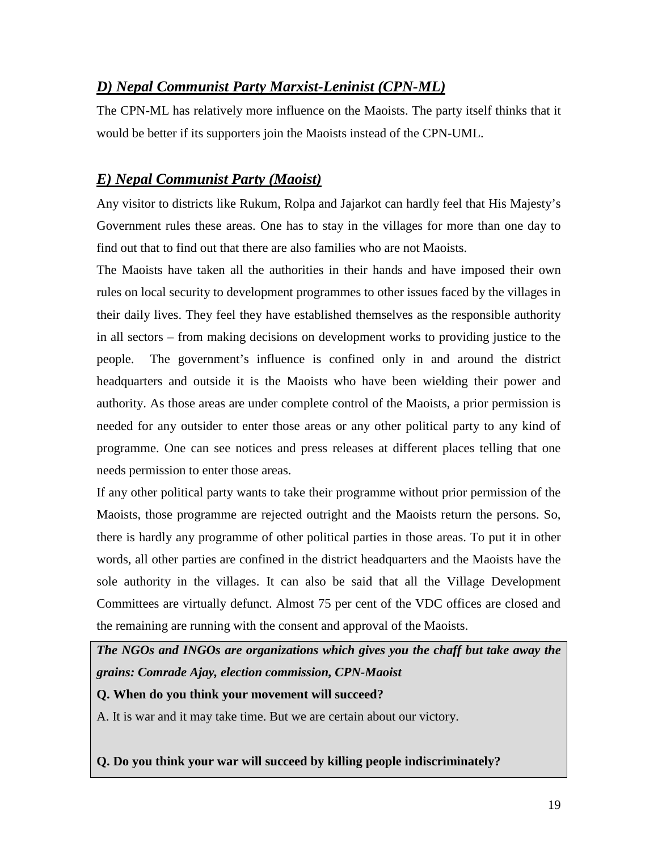# *D) Nepal Communist Party Marxist-Leninist (CPN-ML)*

The CPN-ML has relatively more influence on the Maoists. The party itself thinks that it would be better if its supporters join the Maoists instead of the CPN-UML.

# *E) Nepal Communist Party (Maoist)*

Any visitor to districts like Rukum, Rolpa and Jajarkot can hardly feel that His Majesty's Government rules these areas. One has to stay in the villages for more than one day to find out that to find out that there are also families who are not Maoists.

The Maoists have taken all the authorities in their hands and have imposed their own rules on local security to development programmes to other issues faced by the villages in their daily lives. They feel they have established themselves as the responsible authority in all sectors – from making decisions on development works to providing justice to the people. The government's influence is confined only in and around the district headquarters and outside it is the Maoists who have been wielding their power and authority. As those areas are under complete control of the Maoists, a prior permission is needed for any outsider to enter those areas or any other political party to any kind of programme. One can see notices and press releases at different places telling that one needs permission to enter those areas.

If any other political party wants to take their programme without prior permission of the Maoists, those programme are rejected outright and the Maoists return the persons. So, there is hardly any programme of other political parties in those areas. To put it in other words, all other parties are confined in the district headquarters and the Maoists have the sole authority in the villages. It can also be said that all the Village Development Committees are virtually defunct. Almost 75 per cent of the VDC offices are closed and the remaining are running with the consent and approval of the Maoists.

*The NGOs and INGOs are organizations which gives you the chaff but take away the grains: Comrade Ajay, election commission, CPN-Maoist* **Q. When do you think your movement will succeed?** A. It is war and it may take time. But we are certain about our victory.

**Q. Do you think your war will succeed by killing people indiscriminately?**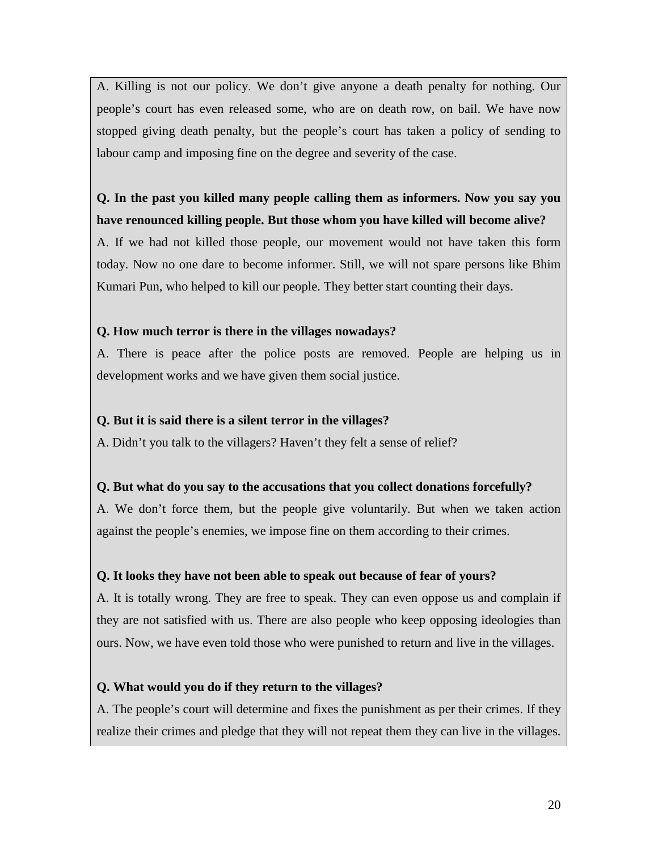A. Killing is not our policy. We don't give anyone a death penalty for nothing. Our people's court has even released some, who are on death row, on bail. We have now stopped giving death penalty, but the people's court has taken a policy of sending to labour camp and imposing fine on the degree and severity of the case.

# **Q. In the past you killed many people calling them as informers. Now you say you have renounced killing people. But those whom you have killed will become alive?**

A. If we had not killed those people, our movement would not have taken this form today. Now no one dare to become informer. Still, we will not spare persons like Bhim Kumari Pun, who helped to kill our people. They better start counting their days.

### **Q. How much terror is there in the villages nowadays?**

A. There is peace after the police posts are removed. People are helping us in development works and we have given them social justice.

#### **Q. But it is said there is a silent terror in the villages?**

A. Didn't you talk to the villagers? Haven't they felt a sense of relief?

### **Q. But what do you say to the accusations that you collect donations forcefully?**

A. We don't force them, but the people give voluntarily. But when we taken action against the people's enemies, we impose fine on them according to their crimes.

### **Q. It looks they have not been able to speak out because of fear of yours?**

A. It is totally wrong. They are free to speak. They can even oppose us and complain if they are not satisfied with us. There are also people who keep opposing ideologies than ours. Now, we have even told those who were punished to return and live in the villages.

### **Q. What would you do if they return to the villages?**

A. The people's court will determine and fixes the punishment as per their crimes. If they realize their crimes and pledge that they will not repeat them they can live in the villages.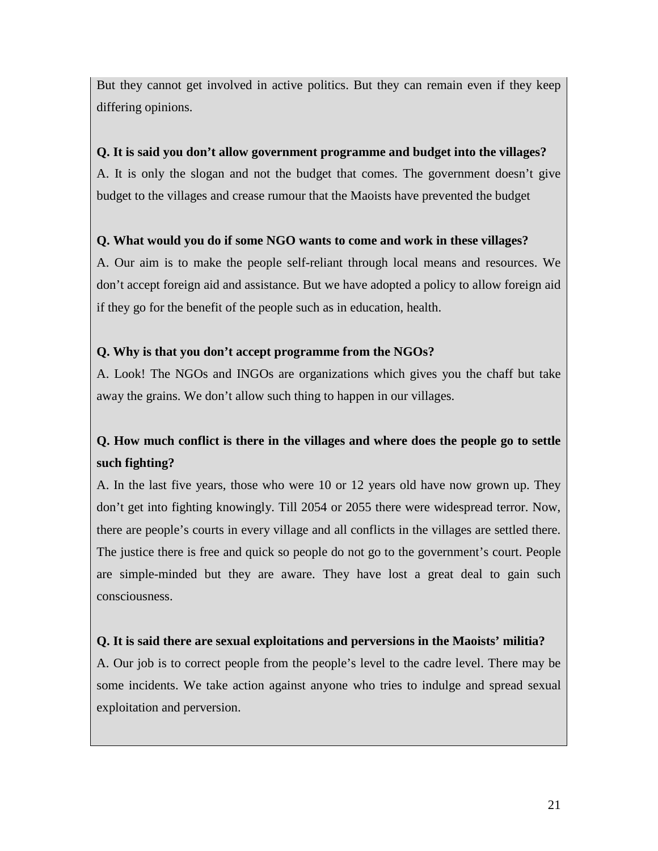But they cannot get involved in active politics. But they can remain even if they keep differing opinions.

### **Q. It is said you don't allow government programme and budget into the villages?**

A. It is only the slogan and not the budget that comes. The government doesn't give budget to the villages and crease rumour that the Maoists have prevented the budget

# **Q. What would you do if some NGO wants to come and work in these villages?**

A. Our aim is to make the people self-reliant through local means and resources. We don't accept foreign aid and assistance. But we have adopted a policy to allow foreign aid if they go for the benefit of the people such as in education, health.

# **Q. Why is that you don't accept programme from the NGOs?**

A. Look! The NGOs and INGOs are organizations which gives you the chaff but take away the grains. We don't allow such thing to happen in our villages.

# **Q. How much conflict is there in the villages and where does the people go to settle such fighting?**

A. In the last five years, those who were 10 or 12 years old have now grown up. They don't get into fighting knowingly. Till 2054 or 2055 there were widespread terror. Now, there are people's courts in every village and all conflicts in the villages are settled there. The justice there is free and quick so people do not go to the government's court. People are simple-minded but they are aware. They have lost a great deal to gain such consciousness.

# **Q. It is said there are sexual exploitations and perversions in the Maoists' militia?**

A. Our job is to correct people from the people's level to the cadre level. There may be some incidents. We take action against anyone who tries to indulge and spread sexual exploitation and perversion.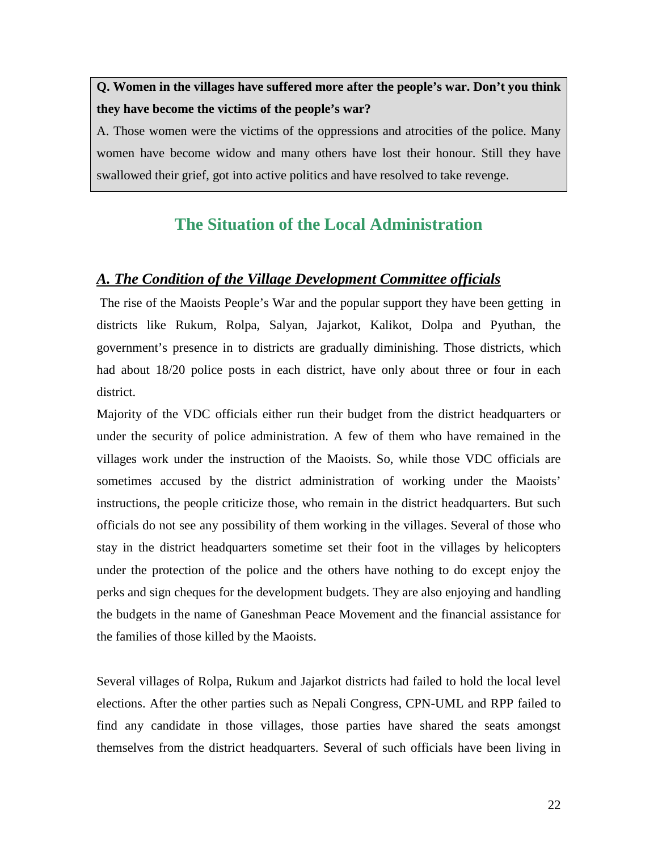**Q. Women in the villages have suffered more after the people's war. Don't you think they have become the victims of the people's war?**

A. Those women were the victims of the oppressions and atrocities of the police. Many women have become widow and many others have lost their honour. Still they have swallowed their grief, got into active politics and have resolved to take revenge.

# **The Situation of the Local Administration**

### *A. The Condition of the Village Development Committee officials*

The rise of the Maoists People's War and the popular support they have been getting in districts like Rukum, Rolpa, Salyan, Jajarkot, Kalikot, Dolpa and Pyuthan, the government's presence in to districts are gradually diminishing. Those districts, which had about 18/20 police posts in each district, have only about three or four in each district.

Majority of the VDC officials either run their budget from the district headquarters or under the security of police administration. A few of them who have remained in the villages work under the instruction of the Maoists. So, while those VDC officials are sometimes accused by the district administration of working under the Maoists' instructions, the people criticize those, who remain in the district headquarters. But such officials do not see any possibility of them working in the villages. Several of those who stay in the district headquarters sometime set their foot in the villages by helicopters under the protection of the police and the others have nothing to do except enjoy the perks and sign cheques for the development budgets. They are also enjoying and handling the budgets in the name of Ganeshman Peace Movement and the financial assistance for the families of those killed by the Maoists.

Several villages of Rolpa, Rukum and Jajarkot districts had failed to hold the local level elections. After the other parties such as Nepali Congress, CPN-UML and RPP failed to find any candidate in those villages, those parties have shared the seats amongst themselves from the district headquarters. Several of such officials have been living in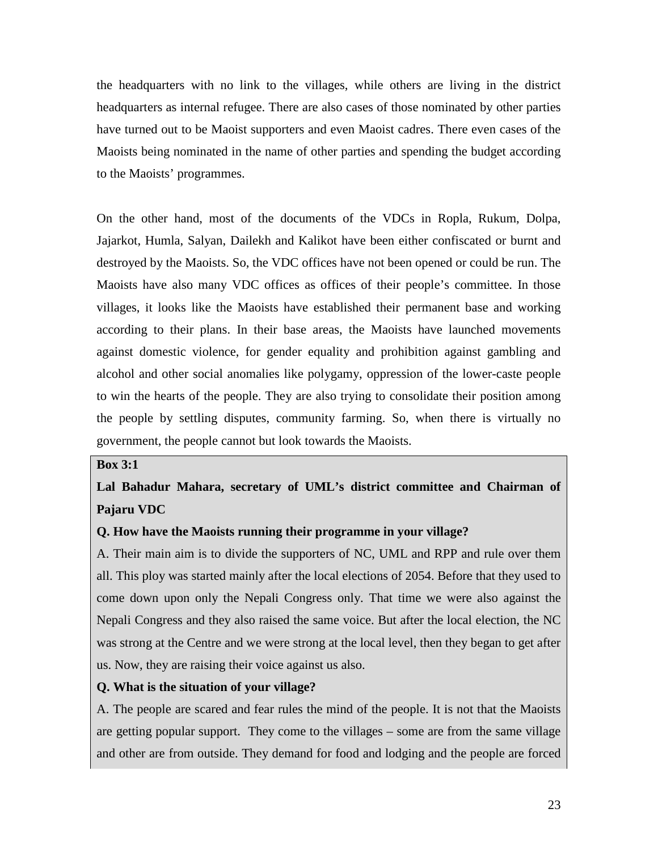the headquarters with no link to the villages, while others are living in the district headquarters as internal refugee. There are also cases of those nominated by other parties have turned out to be Maoist supporters and even Maoist cadres. There even cases of the Maoists being nominated in the name of other parties and spending the budget according to the Maoists' programmes.

On the other hand, most of the documents of the VDCs in Ropla, Rukum, Dolpa, Jajarkot, Humla, Salyan, Dailekh and Kalikot have been either confiscated or burnt and destroyed by the Maoists. So, the VDC offices have not been opened or could be run. The Maoists have also many VDC offices as offices of their people's committee. In those villages, it looks like the Maoists have established their permanent base and working according to their plans. In their base areas, the Maoists have launched movements against domestic violence, for gender equality and prohibition against gambling and alcohol and other social anomalies like polygamy, oppression of the lower-caste people to win the hearts of the people. They are also trying to consolidate their position among the people by settling disputes, community farming. So, when there is virtually no government, the people cannot but look towards the Maoists.

#### **Box 3:1**

**Lal Bahadur Mahara, secretary of UML's district committee and Chairman of Pajaru VDC**

#### **Q. How have the Maoists running their programme in your village?**

A. Their main aim is to divide the supporters of NC, UML and RPP and rule over them all. This ploy was started mainly after the local elections of 2054. Before that they used to come down upon only the Nepali Congress only. That time we were also against the Nepali Congress and they also raised the same voice. But after the local election, the NC was strong at the Centre and we were strong at the local level, then they began to get after us. Now, they are raising their voice against us also.

#### **Q. What is the situation of your village?**

A. The people are scared and fear rules the mind of the people. It is not that the Maoists are getting popular support. They come to the villages – some are from the same village and other are from outside. They demand for food and lodging and the people are forced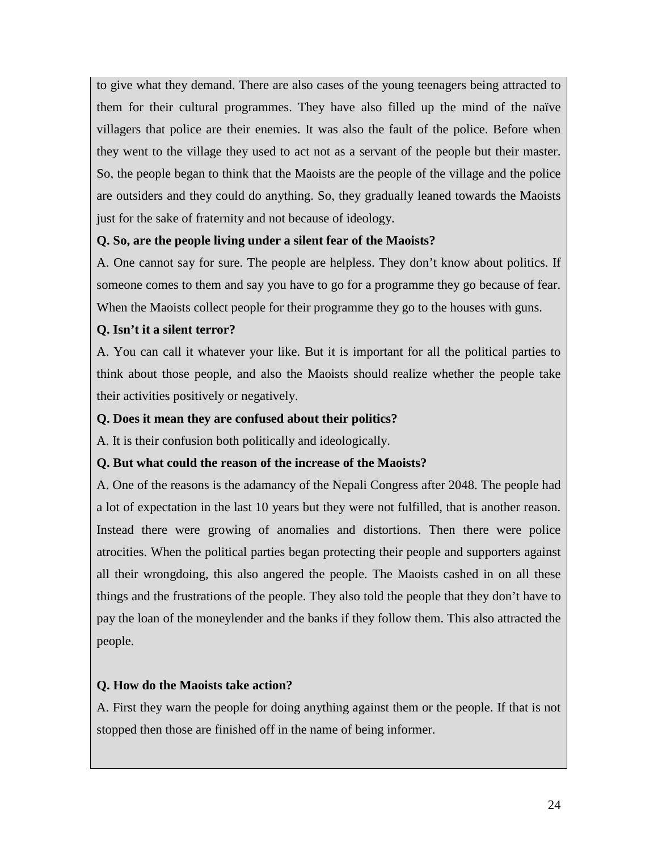to give what they demand. There are also cases of the young teenagers being attracted to them for their cultural programmes. They have also filled up the mind of the naïve villagers that police are their enemies. It was also the fault of the police. Before when they went to the village they used to act not as a servant of the people but their master. So, the people began to think that the Maoists are the people of the village and the police are outsiders and they could do anything. So, they gradually leaned towards the Maoists just for the sake of fraternity and not because of ideology.

# **Q. So, are the people living under a silent fear of the Maoists?**

A. One cannot say for sure. The people are helpless. They don't know about politics. If someone comes to them and say you have to go for a programme they go because of fear. When the Maoists collect people for their programme they go to the houses with guns.

### **Q. Isn't it a silent terror?**

A. You can call it whatever your like. But it is important for all the political parties to think about those people, and also the Maoists should realize whether the people take their activities positively or negatively.

### **Q. Does it mean they are confused about their politics?**

A. It is their confusion both politically and ideologically.

### **Q. But what could the reason of the increase of the Maoists?**

A. One of the reasons is the adamancy of the Nepali Congress after 2048. The people had a lot of expectation in the last 10 years but they were not fulfilled, that is another reason. Instead there were growing of anomalies and distortions. Then there were police atrocities. When the political parties began protecting their people and supporters against all their wrongdoing, this also angered the people. The Maoists cashed in on all these things and the frustrations of the people. They also told the people that they don't have to pay the loan of the moneylender and the banks if they follow them. This also attracted the people.

# **Q. How do the Maoists take action?**

A. First they warn the people for doing anything against them or the people. If that is not stopped then those are finished off in the name of being informer.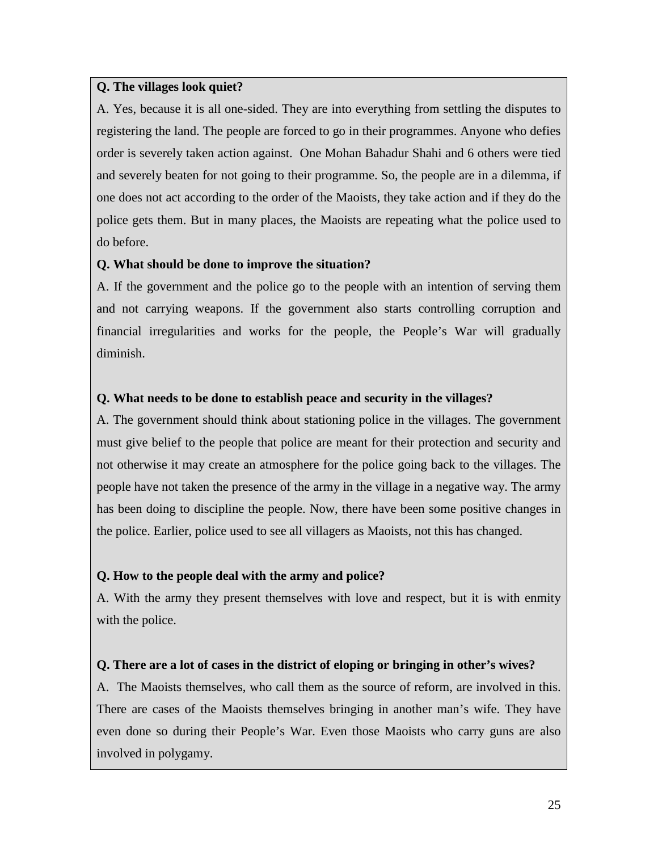#### **Q. The villages look quiet?**

A. Yes, because it is all one-sided. They are into everything from settling the disputes to registering the land. The people are forced to go in their programmes. Anyone who defies order is severely taken action against. One Mohan Bahadur Shahi and 6 others were tied and severely beaten for not going to their programme. So, the people are in a dilemma, if one does not act according to the order of the Maoists, they take action and if they do the police gets them. But in many places, the Maoists are repeating what the police used to do before.

#### **Q. What should be done to improve the situation?**

A. If the government and the police go to the people with an intention of serving them and not carrying weapons. If the government also starts controlling corruption and financial irregularities and works for the people, the People's War will gradually diminish.

#### **Q. What needs to be done to establish peace and security in the villages?**

A. The government should think about stationing police in the villages. The government must give belief to the people that police are meant for their protection and security and not otherwise it may create an atmosphere for the police going back to the villages. The people have not taken the presence of the army in the village in a negative way. The army has been doing to discipline the people. Now, there have been some positive changes in the police. Earlier, police used to see all villagers as Maoists, not this has changed.

#### **Q. How to the people deal with the army and police?**

A. With the army they present themselves with love and respect, but it is with enmity with the police.

#### **Q. There are a lot of cases in the district of eloping or bringing in other's wives?**

A. The Maoists themselves, who call them as the source of reform, are involved in this. There are cases of the Maoists themselves bringing in another man's wife. They have even done so during their People's War. Even those Maoists who carry guns are also involved in polygamy.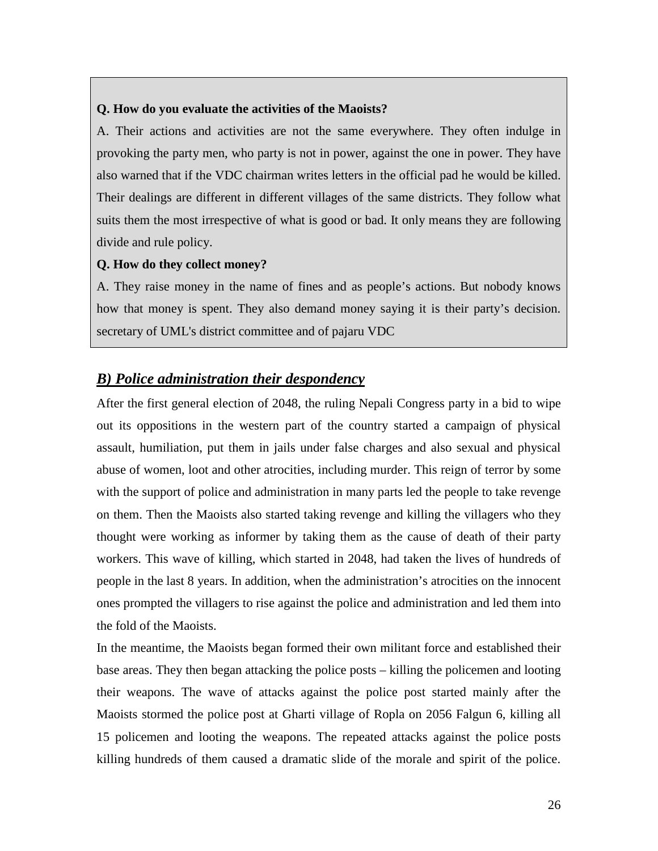#### **Q. How do you evaluate the activities of the Maoists?**

A. Their actions and activities are not the same everywhere. They often indulge in provoking the party men, who party is not in power, against the one in power. They have also warned that if the VDC chairman writes letters in the official pad he would be killed. Their dealings are different in different villages of the same districts. They follow what suits them the most irrespective of what is good or bad. It only means they are following divide and rule policy.

#### **Q. How do they collect money?**

A. They raise money in the name of fines and as people's actions. But nobody knows how that money is spent. They also demand money saying it is their party's decision. secretary of UML's district committee and of pajaru VDC

#### *B) Police administration their despondency*

After the first general election of 2048, the ruling Nepali Congress party in a bid to wipe out its oppositions in the western part of the country started a campaign of physical assault, humiliation, put them in jails under false charges and also sexual and physical abuse of women, loot and other atrocities, including murder. This reign of terror by some with the support of police and administration in many parts led the people to take revenge on them. Then the Maoists also started taking revenge and killing the villagers who they thought were working as informer by taking them as the cause of death of their party workers. This wave of killing, which started in 2048, had taken the lives of hundreds of people in the last 8 years. In addition, when the administration's atrocities on the innocent ones prompted the villagers to rise against the police and administration and led them into the fold of the Maoists.

In the meantime, the Maoists began formed their own militant force and established their base areas. They then began attacking the police posts – killing the policemen and looting their weapons. The wave of attacks against the police post started mainly after the Maoists stormed the police post at Gharti village of Ropla on 2056 Falgun 6, killing all 15 policemen and looting the weapons. The repeated attacks against the police posts killing hundreds of them caused a dramatic slide of the morale and spirit of the police.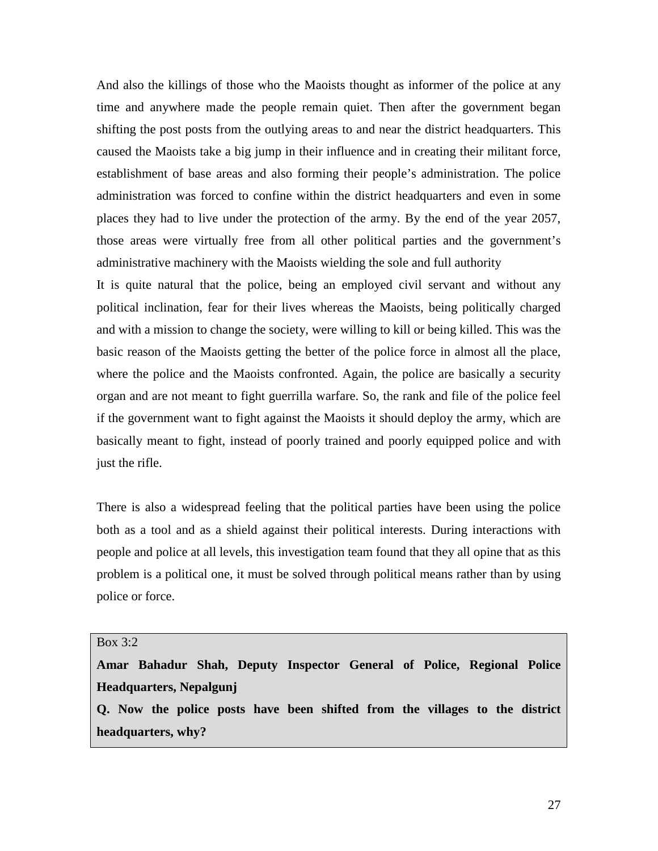And also the killings of those who the Maoists thought as informer of the police at any time and anywhere made the people remain quiet. Then after the government began shifting the post posts from the outlying areas to and near the district headquarters. This caused the Maoists take a big jump in their influence and in creating their militant force, establishment of base areas and also forming their people's administration. The police administration was forced to confine within the district headquarters and even in some places they had to live under the protection of the army. By the end of the year 2057, those areas were virtually free from all other political parties and the government's administrative machinery with the Maoists wielding the sole and full authority

It is quite natural that the police, being an employed civil servant and without any political inclination, fear for their lives whereas the Maoists, being politically charged and with a mission to change the society, were willing to kill or being killed. This was the basic reason of the Maoists getting the better of the police force in almost all the place, where the police and the Maoists confronted. Again, the police are basically a security organ and are not meant to fight guerrilla warfare. So, the rank and file of the police feel if the government want to fight against the Maoists it should deploy the army, which are basically meant to fight, instead of poorly trained and poorly equipped police and with just the rifle.

There is also a widespread feeling that the political parties have been using the police both as a tool and as a shield against their political interests. During interactions with people and police at all levels, this investigation team found that they all opine that as this problem is a political one, it must be solved through political means rather than by using police or force.

#### Box 3:2

**Amar Bahadur Shah, Deputy Inspector General of Police, Regional Police Headquarters, Nepalgunj** 

**Q. Now the police posts have been shifted from the villages to the district headquarters, why?**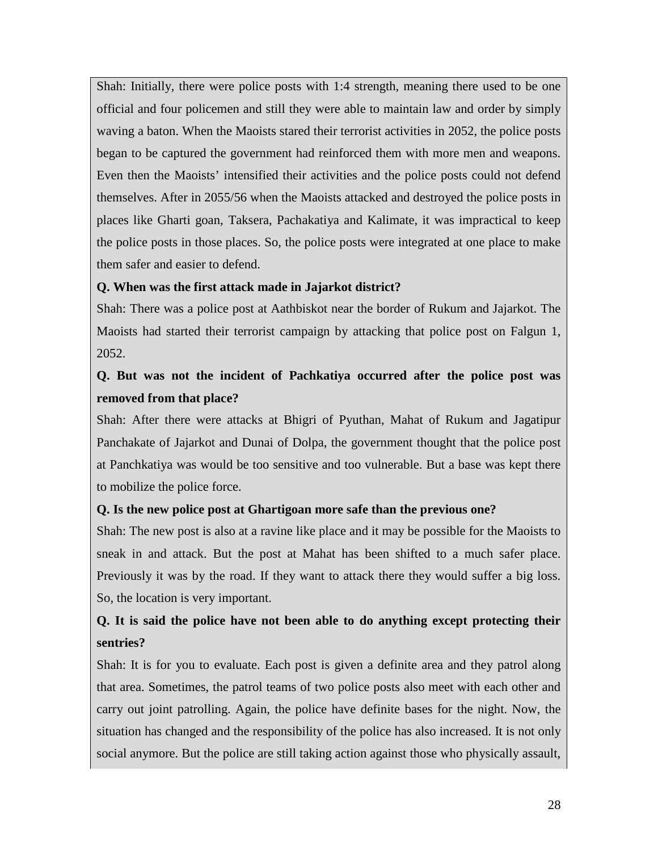Shah: Initially, there were police posts with 1:4 strength, meaning there used to be one official and four policemen and still they were able to maintain law and order by simply waving a baton. When the Maoists stared their terrorist activities in 2052, the police posts began to be captured the government had reinforced them with more men and weapons. Even then the Maoists' intensified their activities and the police posts could not defend themselves. After in 2055/56 when the Maoists attacked and destroyed the police posts in places like Gharti goan, Taksera, Pachakatiya and Kalimate, it was impractical to keep the police posts in those places. So, the police posts were integrated at one place to make them safer and easier to defend.

### **Q. When was the first attack made in Jajarkot district?**

Shah: There was a police post at Aathbiskot near the border of Rukum and Jajarkot. The Maoists had started their terrorist campaign by attacking that police post on Falgun 1, 2052.

# **Q. But was not the incident of Pachkatiya occurred after the police post was removed from that place?**

Shah: After there were attacks at Bhigri of Pyuthan, Mahat of Rukum and Jagatipur Panchakate of Jajarkot and Dunai of Dolpa, the government thought that the police post at Panchkatiya was would be too sensitive and too vulnerable. But a base was kept there to mobilize the police force.

# **Q. Is the new police post at Ghartigoan more safe than the previous one?**

Shah: The new post is also at a ravine like place and it may be possible for the Maoists to sneak in and attack. But the post at Mahat has been shifted to a much safer place. Previously it was by the road. If they want to attack there they would suffer a big loss. So, the location is very important.

# **Q. It is said the police have not been able to do anything except protecting their sentries?**

Shah: It is for you to evaluate. Each post is given a definite area and they patrol along that area. Sometimes, the patrol teams of two police posts also meet with each other and carry out joint patrolling. Again, the police have definite bases for the night. Now, the situation has changed and the responsibility of the police has also increased. It is not only social anymore. But the police are still taking action against those who physically assault,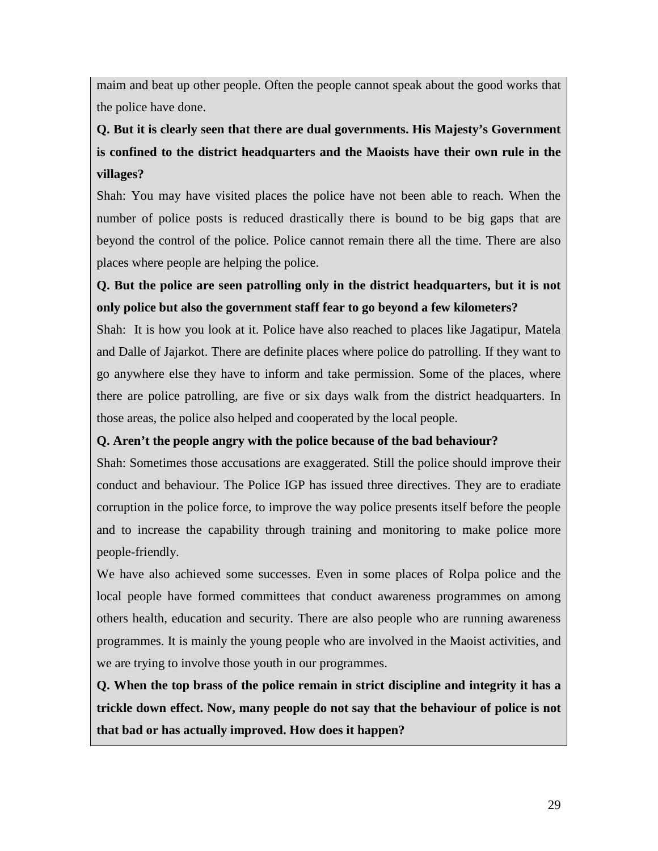maim and beat up other people. Often the people cannot speak about the good works that the police have done.

# **Q. But it is clearly seen that there are dual governments. His Majesty's Government is confined to the district headquarters and the Maoists have their own rule in the villages?**

Shah: You may have visited places the police have not been able to reach. When the number of police posts is reduced drastically there is bound to be big gaps that are beyond the control of the police. Police cannot remain there all the time. There are also places where people are helping the police.

# **Q. But the police are seen patrolling only in the district headquarters, but it is not only police but also the government staff fear to go beyond a few kilometers?**

Shah: It is how you look at it. Police have also reached to places like Jagatipur, Matela and Dalle of Jajarkot. There are definite places where police do patrolling. If they want to go anywhere else they have to inform and take permission. Some of the places, where there are police patrolling, are five or six days walk from the district headquarters. In those areas, the police also helped and cooperated by the local people.

# **Q. Aren't the people angry with the police because of the bad behaviour?**

Shah: Sometimes those accusations are exaggerated. Still the police should improve their conduct and behaviour. The Police IGP has issued three directives. They are to eradiate corruption in the police force, to improve the way police presents itself before the people and to increase the capability through training and monitoring to make police more people-friendly.

We have also achieved some successes. Even in some places of Rolpa police and the local people have formed committees that conduct awareness programmes on among others health, education and security. There are also people who are running awareness programmes. It is mainly the young people who are involved in the Maoist activities, and we are trying to involve those youth in our programmes.

**Q. When the top brass of the police remain in strict discipline and integrity it has a trickle down effect. Now, many people do not say that the behaviour of police is not that bad or has actually improved. How does it happen?**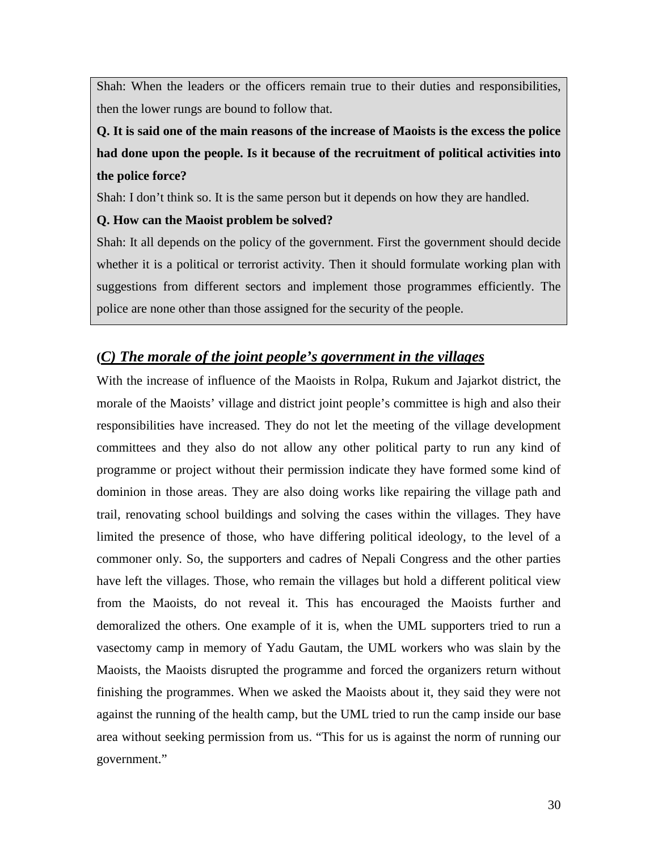Shah: When the leaders or the officers remain true to their duties and responsibilities, then the lower rungs are bound to follow that.

**Q. It is said one of the main reasons of the increase of Maoists is the excess the police had done upon the people. Is it because of the recruitment of political activities into the police force?**

Shah: I don't think so. It is the same person but it depends on how they are handled.

#### **Q. How can the Maoist problem be solved?**

Shah: It all depends on the policy of the government. First the government should decide whether it is a political or terrorist activity. Then it should formulate working plan with suggestions from different sectors and implement those programmes efficiently. The police are none other than those assigned for the security of the people.

# **(** *C) The morale of the joint people's government in the villages*

With the increase of influence of the Maoists in Rolpa, Rukum and Jajarkot district, the morale of the Maoists' village and district joint people's committee is high and also their responsibilities have increased. They do not let the meeting of the village development committees and they also do not allow any other political party to run any kind of programme or project without their permission indicate they have formed some kind of dominion in those areas. They are also doing works like repairing the village path and trail, renovating school buildings and solving the cases within the villages. They have limited the presence of those, who have differing political ideology, to the level of a commoner only. So, the supporters and cadres of Nepali Congress and the other parties have left the villages. Those, who remain the villages but hold a different political view from the Maoists, do not reveal it. This has encouraged the Maoists further and demoralized the others. One example of it is, when the UML supporters tried to run a vasectomy camp in memory of Yadu Gautam, the UML workers who was slain by the Maoists, the Maoists disrupted the programme and forced the organizers return without finishing the programmes. When we asked the Maoists about it, they said they were not against the running of the health camp, but the UML tried to run the camp inside our base area without seeking permission from us. "This for us is against the norm of running our government."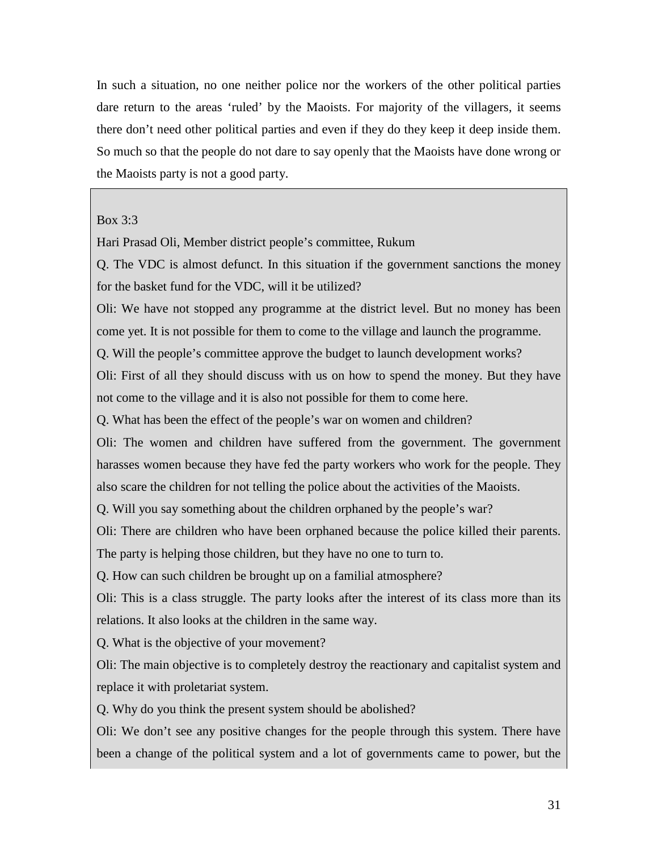In such a situation, no one neither police nor the workers of the other political parties dare return to the areas 'ruled' by the Maoists. For majority of the villagers, it seems there don't need other political parties and even if they do they keep it deep inside them. So much so that the people do not dare to say openly that the Maoists have done wrong or the Maoists party is not a good party.

#### Box 3:3

Hari Prasad Oli, Member district people's committee, Rukum

Q. The VDC is almost defunct. In this situation if the government sanctions the money for the basket fund for the VDC, will it be utilized?

Oli: We have not stopped any programme at the district level. But no money has been come yet. It is not possible for them to come to the village and launch the programme.

Q. Will the people's committee approve the budget to launch development works?

Oli: First of all they should discuss with us on how to spend the money. But they have not come to the village and it is also not possible for them to come here.

Q. What has been the effect of the people's war on women and children?

Oli: The women and children have suffered from the government. The government harasses women because they have fed the party workers who work for the people. They also scare the children for not telling the police about the activities of the Maoists.

Q. Will you say something about the children orphaned by the people's war?

Oli: There are children who have been orphaned because the police killed their parents. The party is helping those children, but they have no one to turn to.

Q. How can such children be brought up on a familial atmosphere?

Oli: This is a class struggle. The party looks after the interest of its class more than its relations. It also looks at the children in the same way.

Q. What is the objective of your movement?

Oli: The main objective is to completely destroy the reactionary and capitalist system and replace it with proletariat system.

Q. Why do you think the present system should be abolished?

Oli: We don't see any positive changes for the people through this system. There have been a change of the political system and a lot of governments came to power, but the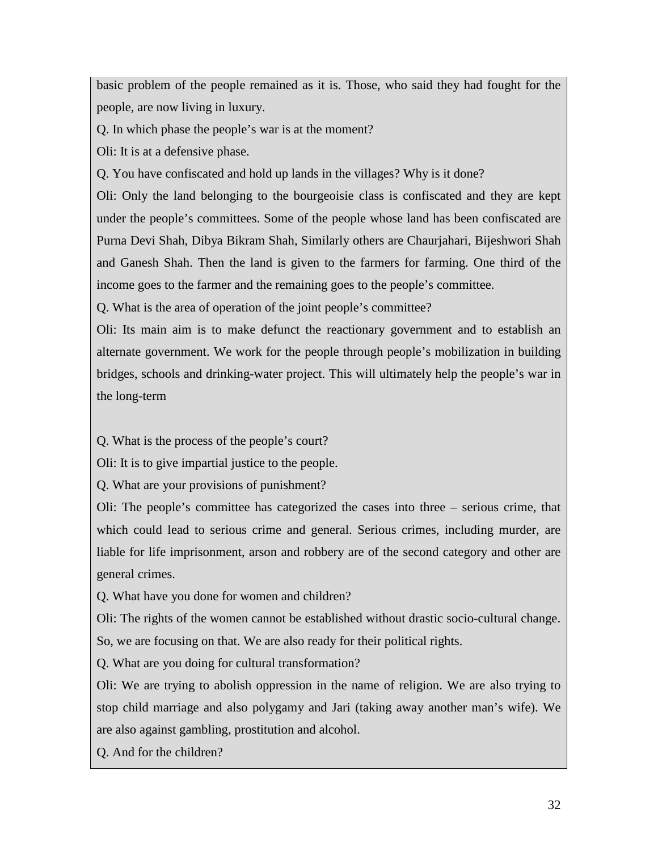basic problem of the people remained as it is. Those, who said they had fought for the people, are now living in luxury.

Q. In which phase the people's war is at the moment?

Oli: It is at a defensive phase.

Q. You have confiscated and hold up lands in the villages? Why is it done?

Oli: Only the land belonging to the bourgeoisie class is confiscated and they are kept under the people's committees. Some of the people whose land has been confiscated are Purna Devi Shah, Dibya Bikram Shah, Similarly others are Chaurjahari, Bijeshwori Shah and Ganesh Shah. Then the land is given to the farmers for farming. One third of the income goes to the farmer and the remaining goes to the people's committee.

Q. What is the area of operation of the joint people's committee?

Oli: Its main aim is to make defunct the reactionary government and to establish an alternate government. We work for the people through people's mobilization in building bridges, schools and drinking-water project. This will ultimately help the people's war in the long-term

Q. What is the process of the people's court?

Oli: It is to give impartial justice to the people.

Q. What are your provisions of punishment?

Oli: The people's committee has categorized the cases into three – serious crime, that which could lead to serious crime and general. Serious crimes, including murder, are liable for life imprisonment, arson and robbery are of the second category and other are general crimes.

Q. What have you done for women and children?

Oli: The rights of the women cannot be established without drastic socio-cultural change. So, we are focusing on that. We are also ready for their political rights.

Q. What are you doing for cultural transformation?

Oli: We are trying to abolish oppression in the name of religion. We are also trying to stop child marriage and also polygamy and Jari (taking away another man's wife). We are also against gambling, prostitution and alcohol.

Q. And for the children?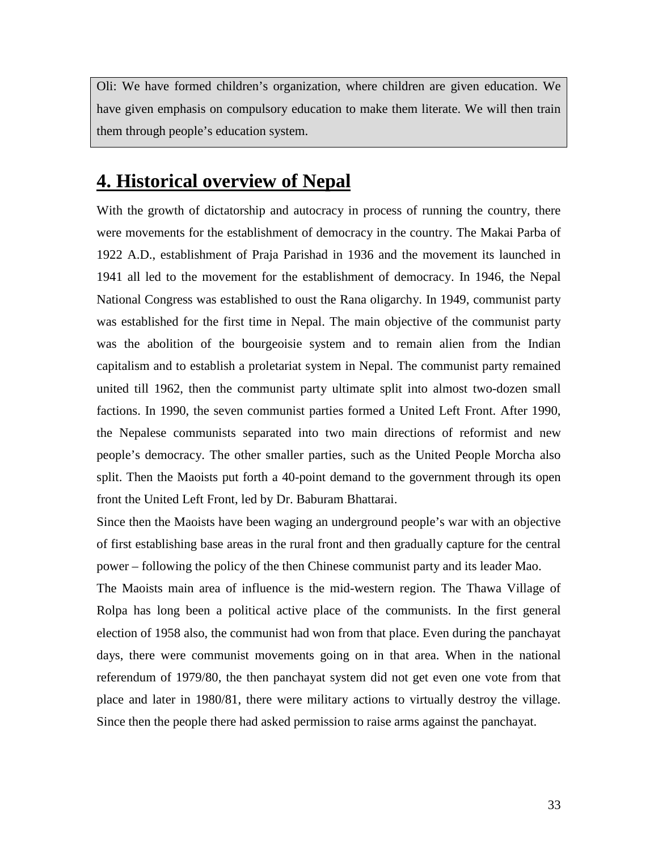Oli: We have formed children's organization, where children are given education. We have given emphasis on compulsory education to make them literate. We will then train them through people's education system.

# **4. Historical overview of Nepal**

With the growth of dictatorship and autocracy in process of running the country, there were movements for the establishment of democracy in the country. The Makai Parba of 1922 A.D., establishment of Praja Parishad in 1936 and the movement its launched in 1941 all led to the movement for the establishment of democracy. In 1946, the Nepal National Congress was established to oust the Rana oligarchy. In 1949, communist party was established for the first time in Nepal. The main objective of the communist party was the abolition of the bourgeoisie system and to remain alien from the Indian capitalism and to establish a proletariat system in Nepal. The communist party remained united till 1962, then the communist party ultimate split into almost two-dozen small factions. In 1990, the seven communist parties formed a United Left Front. After 1990, the Nepalese communists separated into two main directions of reformist and new people's democracy. The other smaller parties, such as the United People Morcha also split. Then the Maoists put forth a 40-point demand to the government through its open front the United Left Front, led by Dr. Baburam Bhattarai.

Since then the Maoists have been waging an underground people's war with an objective of first establishing base areas in the rural front and then gradually capture for the central power – following the policy of the then Chinese communist party and its leader Mao.

The Maoists main area of influence is the mid-western region. The Thawa Village of Rolpa has long been a political active place of the communists. In the first general election of 1958 also, the communist had won from that place. Even during the panchayat days, there were communist movements going on in that area. When in the national referendum of 1979/80, the then panchayat system did not get even one vote from that place and later in 1980/81, there were military actions to virtually destroy the village. Since then the people there had asked permission to raise arms against the panchayat.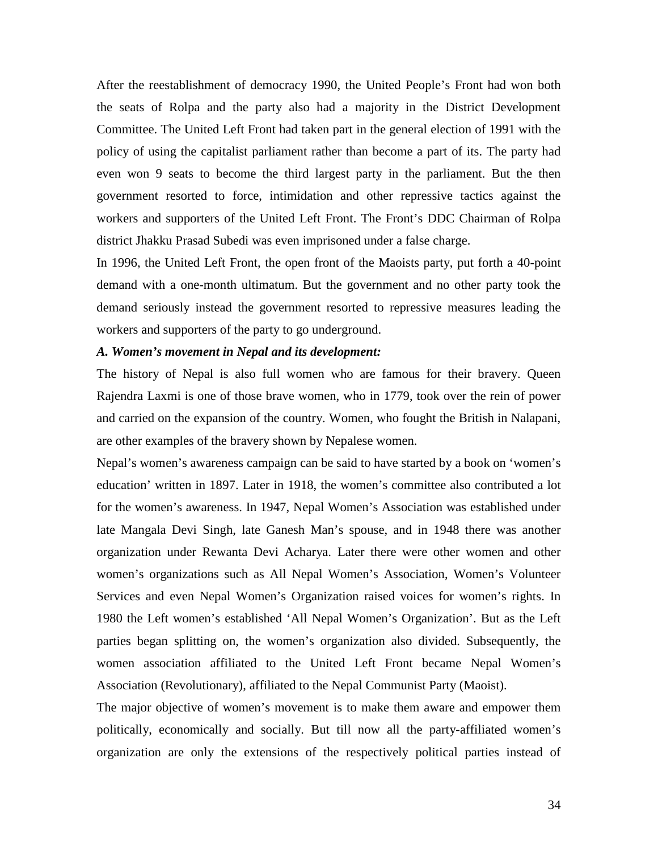After the reestablishment of democracy 1990, the United People's Front had won both the seats of Rolpa and the party also had a majority in the District Development Committee. The United Left Front had taken part in the general election of 1991 with the policy of using the capitalist parliament rather than become a part of its. The party had even won 9 seats to become the third largest party in the parliament. But the then government resorted to force, intimidation and other repressive tactics against the workers and supporters of the United Left Front. The Front's DDC Chairman of Rolpa district Jhakku Prasad Subedi was even imprisoned under a false charge.

In 1996, the United Left Front, the open front of the Maoists party, put forth a 40-point demand with a one-month ultimatum. But the government and no other party took the demand seriously instead the government resorted to repressive measures leading the workers and supporters of the party to go underground.

#### *A. Women's movement in Nepal and its development:*

The history of Nepal is also full women who are famous for their bravery. Queen Rajendra Laxmi is one of those brave women, who in 1779, took over the rein of power and carried on the expansion of the country. Women, who fought the British in Nalapani, are other examples of the bravery shown by Nepalese women.

Nepal's women's awareness campaign can be said to have started by a book on 'women's education' written in 1897. Later in 1918, the women's committee also contributed a lot for the women's awareness. In 1947, Nepal Women's Association was established under late Mangala Devi Singh, late Ganesh Man's spouse, and in 1948 there was another organization under Rewanta Devi Acharya. Later there were other women and other women's organizations such as All Nepal Women's Association, Women's Volunteer Services and even Nepal Women's Organization raised voices for women's rights. In 1980 the Left women's established 'All Nepal Women's Organization'. But as the Left parties began splitting on, the women's organization also divided. Subsequently, the women association affiliated to the United Left Front became Nepal Women's Association (Revolutionary), affiliated to the Nepal Communist Party (Maoist).

The major objective of women's movement is to make them aware and empower them politically, economically and socially. But till now all the party-affiliated women's organization are only the extensions of the respectively political parties instead of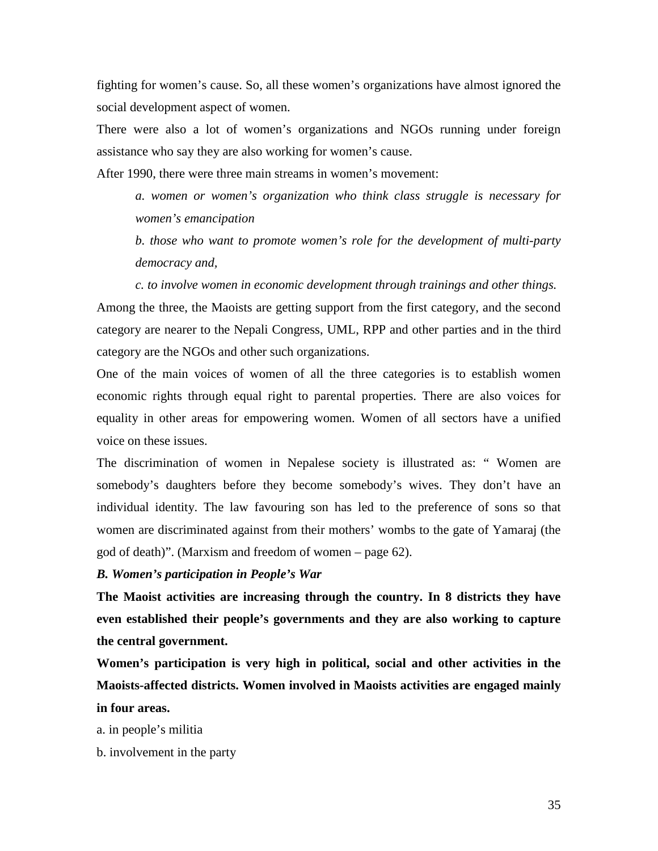fighting for women's cause. So, all these women's organizations have almost ignored the social development aspect of women.

There were also a lot of women's organizations and NGOs running under foreign assistance who say they are also working for women's cause.

After 1990, there were three main streams in women's movement:

*a. women or women's organization who think class struggle is necessary for women's emancipation* 

*b. those who want to promote women's role for the development of multi-party democracy and,*

*c. to involve women in economic development through trainings and other things.* Among the three, the Maoists are getting support from the first category, and the second category are nearer to the Nepali Congress, UML, RPP and other parties and in the third category are the NGOs and other such organizations.

One of the main voices of women of all the three categories is to establish women economic rights through equal right to parental properties. There are also voices for equality in other areas for empowering women. Women of all sectors have a unified voice on these issues.

The discrimination of women in Nepalese society is illustrated as: " Women are somebody's daughters before they become somebody's wives. They don't have an individual identity. The law favouring son has led to the preference of sons so that women are discriminated against from their mothers' wombs to the gate of Yamaraj (the god of death)". (Marxism and freedom of women – page 62).

#### *B. Women's participation in People's War*

**The Maoist activities are increasing through the country. In 8 districts they have even established their people's governments and they are also working to capture the central government.**

**Women's participation is very high in political, social and other activities in the Maoists-affected districts. Women involved in Maoists activities are engaged mainly in four areas.**

a. in people's militia

b. involvement in the party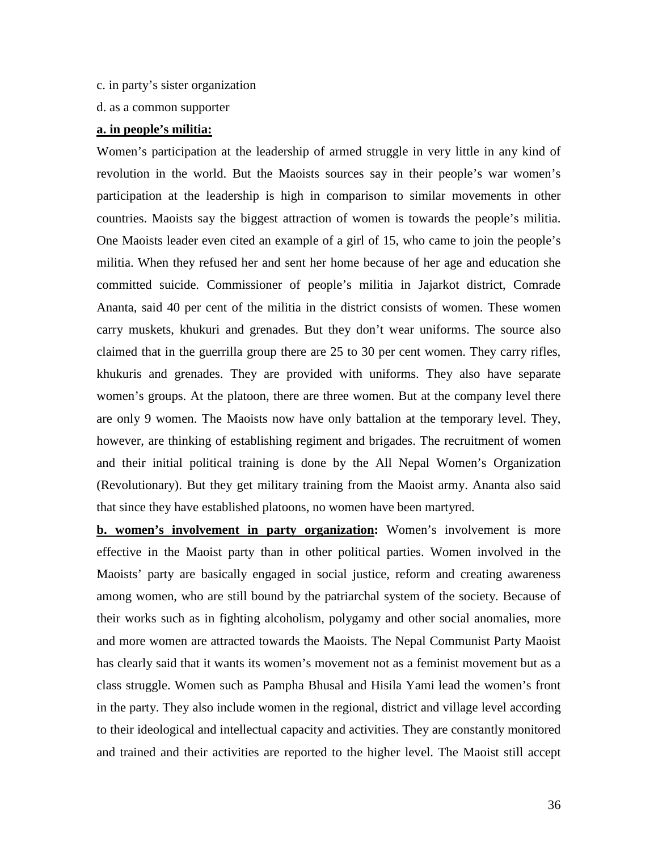- c. in party's sister organization
- d. as a common supporter

#### **a. in people's militia:**

Women's participation at the leadership of armed struggle in very little in any kind of revolution in the world. But the Maoists sources say in their people's war women's participation at the leadership is high in comparison to similar movements in other countries. Maoists say the biggest attraction of women is towards the people's militia. One Maoists leader even cited an example of a girl of 15, who came to join the people's militia. When they refused her and sent her home because of her age and education she committed suicide. Commissioner of people's militia in Jajarkot district, Comrade Ananta, said 40 per cent of the militia in the district consists of women. These women carry muskets, khukuri and grenades. But they don't wear uniforms. The source also claimed that in the guerrilla group there are 25 to 30 per cent women. They carry rifles, khukuris and grenades. They are provided with uniforms. They also have separate women's groups. At the platoon, there are three women. But at the company level there are only 9 women. The Maoists now have only battalion at the temporary level. They, however, are thinking of establishing regiment and brigades. The recruitment of women and their initial political training is done by the All Nepal Women's Organization (Revolutionary). But they get military training from the Maoist army. Ananta also said that since they have established platoons, no women have been martyred.

**b.** women's involvement in party organization: Women's involvement is more effective in the Maoist party than in other political parties. Women involved in the Maoists' party are basically engaged in social justice, reform and creating awareness among women, who are still bound by the patriarchal system of the society. Because of their works such as in fighting alcoholism, polygamy and other social anomalies, more and more women are attracted towards the Maoists. The Nepal Communist Party Maoist has clearly said that it wants its women's movement not as a feminist movement but as a class struggle. Women such as Pampha Bhusal and Hisila Yami lead the women's front in the party. They also include women in the regional, district and village level according to their ideological and intellectual capacity and activities. They are constantly monitored and trained and their activities are reported to the higher level. The Maoist still accept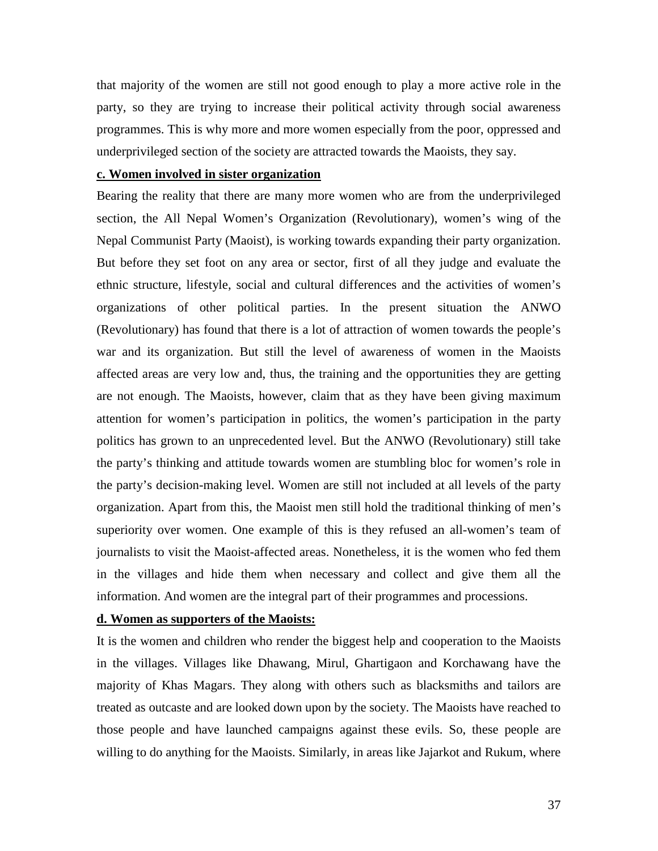that majority of the women are still not good enough to play a more active role in the party, so they are trying to increase their political activity through social awareness programmes. This is why more and more women especially from the poor, oppressed and underprivileged section of the society are attracted towards the Maoists, they say.

### **c. Women involved in sister organization**

Bearing the reality that there are many more women who are from the underprivileged section, the All Nepal Women's Organization (Revolutionary), women's wing of the Nepal Communist Party (Maoist), is working towards expanding their party organization. But before they set foot on any area or sector, first of all they judge and evaluate the ethnic structure, lifestyle, social and cultural differences and the activities of women's organizations of other political parties. In the present situation the ANWO (Revolutionary) has found that there is a lot of attraction of women towards the people's war and its organization. But still the level of awareness of women in the Maoists affected areas are very low and, thus, the training and the opportunities they are getting are not enough. The Maoists, however, claim that as they have been giving maximum attention for women's participation in politics, the women's participation in the party politics has grown to an unprecedented level. But the ANWO (Revolutionary) still take the party's thinking and attitude towards women are stumbling bloc for women's role in the party's decision-making level. Women are still not included at all levels of the party organization. Apart from this, the Maoist men still hold the traditional thinking of men's superiority over women. One example of this is they refused an all-women's team of journalists to visit the Maoist-affected areas. Nonetheless, it is the women who fed them in the villages and hide them when necessary and collect and give them all the information. And women are the integral part of their programmes and processions.

### **d. Women as supporters of the Maoists:**

It is the women and children who render the biggest help and cooperation to the Maoists in the villages. Villages like Dhawang, Mirul, Ghartigaon and Korchawang have the majority of Khas Magars. They along with others such as blacksmiths and tailors are treated as outcaste and are looked down upon by the society. The Maoists have reached to those people and have launched campaigns against these evils. So, these people are willing to do anything for the Maoists. Similarly, in areas like Jajarkot and Rukum, where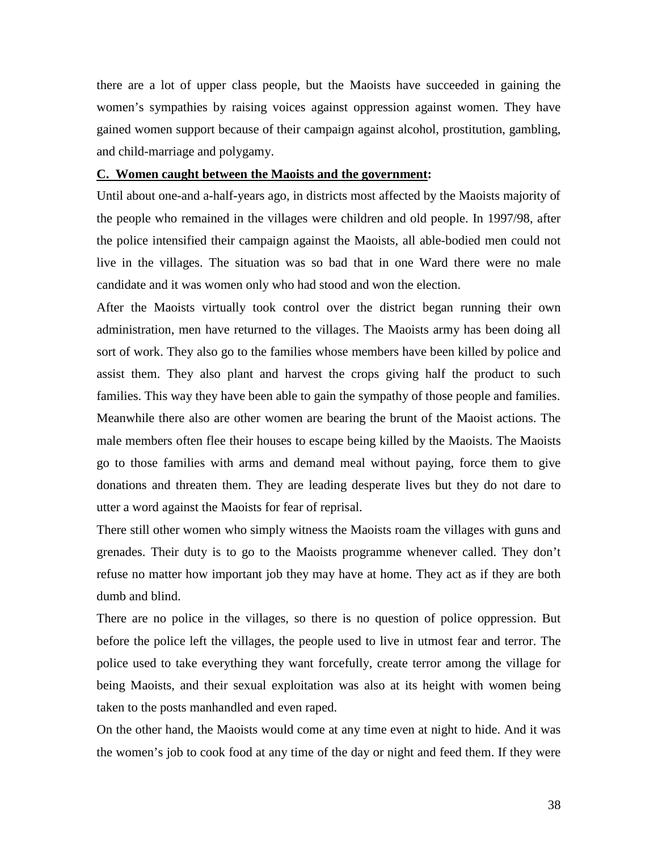there are a lot of upper class people, but the Maoists have succeeded in gaining the women's sympathies by raising voices against oppression against women. They have gained women support because of their campaign against alcohol, prostitution, gambling, and child-marriage and polygamy.

### **C. Women caught between the Maoists and the government :**

Until about one-and a-half-years ago, in districts most affected by the Maoists majority of the people who remained in the villages were children and old people. In 1997/98, after the police intensified their campaign against the Maoists, all able-bodied men could not live in the villages. The situation was so bad that in one Ward there were no male candidate and it was women only who had stood and won the election.

After the Maoists virtually took control over the district began running their own administration, men have returned to the villages. The Maoists army has been doing all sort of work. They also go to the families whose members have been killed by police and assist them. They also plant and harvest the crops giving half the product to such families. This way they have been able to gain the sympathy of those people and families. Meanwhile there also are other women are bearing the brunt of the Maoist actions. The male members often flee their houses to escape being killed by the Maoists. The Maoists go to those families with arms and demand meal without paying, force them to give donations and threaten them. They are leading desperate lives but they do not dare to utter a word against the Maoists for fear of reprisal.

There still other women who simply witness the Maoists roam the villages with guns and grenades. Their duty is to go to the Maoists programme whenever called. They don't refuse no matter how important job they may have at home. They act as if they are both dumb and blind.

There are no police in the villages, so there is no question of police oppression. But before the police left the villages, the people used to live in utmost fear and terror. The police used to take everything they want forcefully, create terror among the village for being Maoists, and their sexual exploitation was also at its height with women being taken to the posts manhandled and even raped.

On the other hand, the Maoists would come at any time even at night to hide. And it was the women's job to cook food at any time of the day or night and feed them. If they were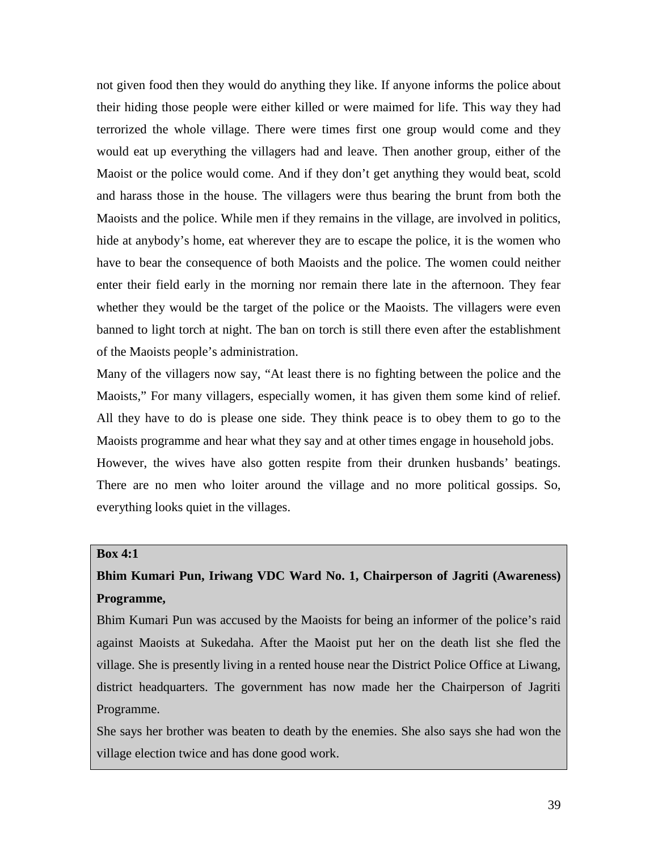not given food then they would do anything they like. If anyone informs the police about their hiding those people were either killed or were maimed for life. This way they had terrorized the whole village. There were times first one group would come and they would eat up everything the villagers had and leave. Then another group, either of the Maoist or the police would come. And if they don't get anything they would beat, scold and harass those in the house. The villagers were thus bearing the brunt from both the Maoists and the police. While men if they remains in the village, are involved in politics, hide at anybody's home, eat wherever they are to escape the police, it is the women who have to bear the consequence of both Maoists and the police. The women could neither enter their field early in the morning nor remain there late in the afternoon. They fear whether they would be the target of the police or the Maoists. The villagers were even banned to light torch at night. The ban on torch is still there even after the establishment of the Maoists people's administration.

Many of the villagers now say, "At least there is no fighting between the police and the Maoists," For many villagers, especially women, it has given them some kind of relief. All they have to do is please one side. They think peace is to obey them to go to the Maoists programme and hear what they say and at other times engage in household jobs. However, the wives have also gotten respite from their drunken husbands' beatings. There are no men who loiter around the village and no more political gossips. So, everything looks quiet in the villages.

### **Box 4:1**

# **Bhim Kumari Pun, Iriwang VDC Ward No. 1, Chairperson of Jagriti (Awareness) Programme,**

Bhim Kumari Pun was accused by the Maoists for being an informer of the police's raid against Maoists at Sukedaha. After the Maoist put her on the death list she fled the village. She is presently living in a rented house near the District Police Office at Liwang, district headquarters. The government has now made her the Chairperson of Jagriti Programme.

She says her brother was beaten to death by the enemies. She also says she had won the village election twice and has done good work.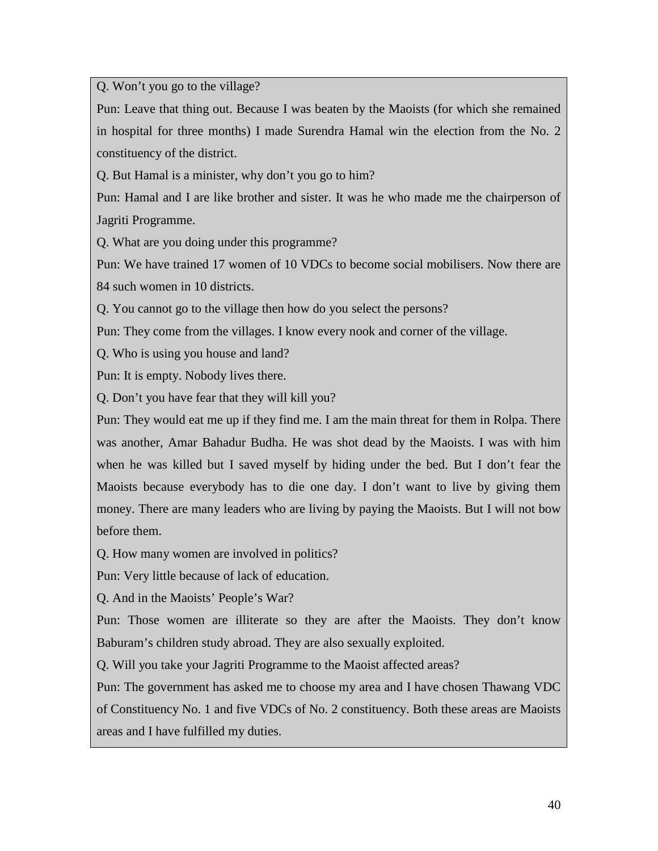Q. Won't you go to the village?

Pun: Leave that thing out. Because I was beaten by the Maoists (for which she remained in hospital for three months) I made Surendra Hamal win the election from the No. 2 constituency of the district.

Q. But Hamal is a minister, why don't you go to him?

Pun: Hamal and I are like brother and sister. It was he who made me the chairperson of Jagriti Programme.

Q. What are you doing under this programme?

Pun: We have trained 17 women of 10 VDCs to become social mobilisers. Now there are 84 such women in 10 districts.

Q. You cannot go to the village then how do you select the persons?

Pun: They come from the villages. I know every nook and corner of the village.

Q. Who is using you house and land?

Pun: It is empty. Nobody lives there.

Q. Don't you have fear that they will kill you?

Pun: They would eat me up if they find me. I am the main threat for them in Rolpa. There was another, Amar Bahadur Budha. He was shot dead by the Maoists. I was with him when he was killed but I saved myself by hiding under the bed. But I don't fear the Maoists because everybody has to die one day. I don't want to live by giving them money. There are many leaders who are living by paying the Maoists. But I will not bow before them.

Q. How many women are involved in politics?

Pun: Very little because of lack of education.

Q. And in the Maoists' People's War?

Pun: Those women are illiterate so they are after the Maoists. They don't know Baburam's children study abroad. They are also sexually exploited.

Q. Will you take your Jagriti Programme to the Maoist affected areas?

Pun: The government has asked me to choose my area and I have chosen Thawang VDC of Constituency No. 1 and five VDCs of No. 2 constituency. Both these areas are Maoists areas and I have fulfilled my duties.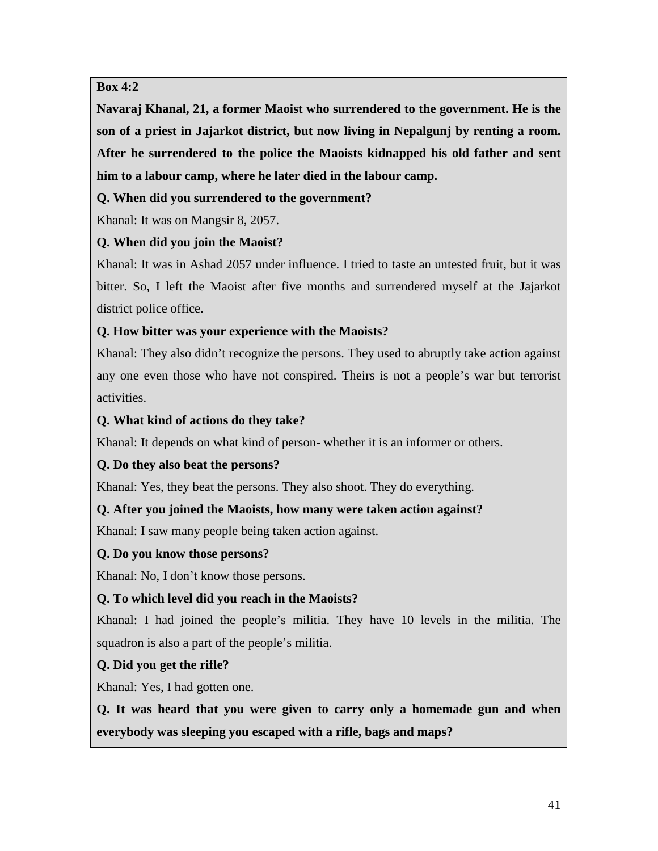## **Box 4:2**

**Navaraj Khanal, 21, a former Maoist who surrendered to the government. He is the son of a priest in Jajarkot district, but now living in Nepalgunj by renting a room. After he surrendered to the police the Maoists kidnapped his old father and sent him to a labour camp, where he later died in the labour camp.**

## **Q. When did you surrendered to the government?**

Khanal: It was on Mangsir 8, 2057.

# **Q. When did you join the Maoist?**

Khanal: It was in Ashad 2057 under influence. I tried to taste an untested fruit, but it was bitter. So, I left the Maoist after five months and surrendered myself at the Jajarkot district police office.

# **Q. How bitter was your experience with the Maoists?**

Khanal: They also didn't recognize the persons. They used to abruptly take action against any one even those who have not conspired. Theirs is not a people's war but terrorist activities.

# **Q. What kind of actions do they take?**

Khanal: It depends on what kind of person- whether it is an informer or others.

# **Q. Do they also beat the persons?**

Khanal: Yes, they beat the persons. They also shoot. They do everything.

## **Q. After you joined the Maoists, how many were taken action against?**

Khanal: I saw many people being taken action against.

## **Q. Do you know those persons?**

Khanal: No, I don't know those persons.

## **Q. To which level did you reach in the Maoists?**

Khanal: I had joined the people's militia. They have 10 levels in the militia. The squadron is also a part of the people's militia.

# **Q. Did you get the rifle?**

Khanal: Yes, I had gotten one.

**Q. It was heard that you were given to carry only a homemade gun and when everybody was sleeping you escaped with a rifle, bags and maps?**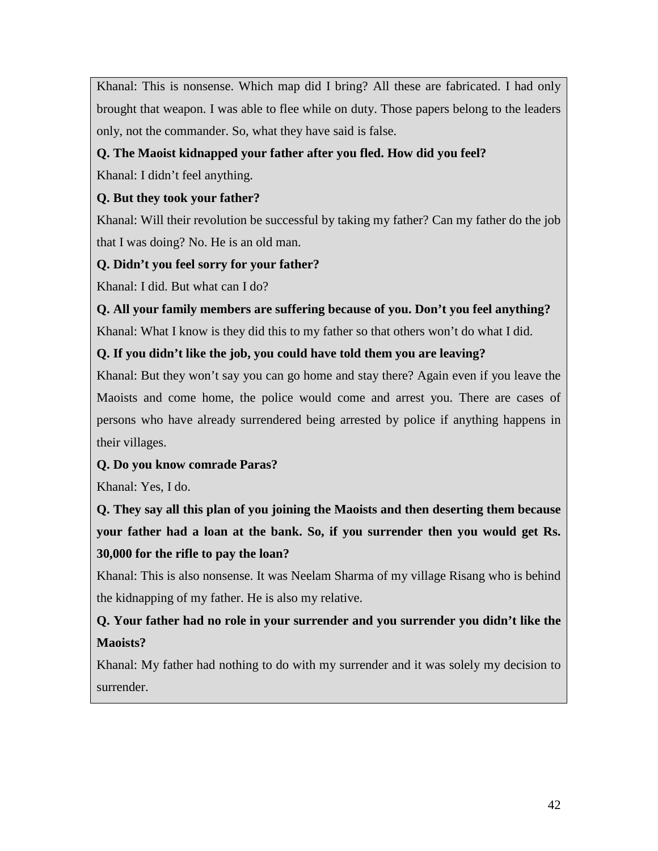Khanal: This is nonsense. Which map did I bring? All these are fabricated. I had only brought that weapon. I was able to flee while on duty. Those papers belong to the leaders only, not the commander. So, what they have said is false.

# **Q. The Maoist kidnapped your father after you fled. How did you feel?**

Khanal: I didn't feel anything.

# **Q. But they took your father?**

Khanal: Will their revolution be successful by taking my father? Can my father do the job that I was doing? No. He is an old man.

# **Q. Didn't you feel sorry for your father?**

Khanal: I did. But what can I do?

**Q. All your family members are suffering because of you. Don't you feel anything?** Khanal: What I know is they did this to my father so that others won't do what I did.

# **Q. If you didn't like the job, you could have told them you are leaving?**

Khanal: But they won't say you can go home and stay there? Again even if you leave the Maoists and come home, the police would come and arrest you. There are cases of persons who have already surrendered being arrested by police if anything happens in their villages.

## **Q. Do you know comrade Paras?**

Khanal: Yes, I do.

**Q. They say all this plan of you joining the Maoists and then deserting them because your father had a loan at the bank. So, if you surrender then you would get Rs. 30,000 for the rifle to pay the loan?**

Khanal: This is also nonsense. It was Neelam Sharma of my village Risang who is behind the kidnapping of my father. He is also my relative.

# **Q. Your father had no role in your surrender and you surrender you didn't like the Maoists?**

Khanal: My father had nothing to do with my surrender and it was solely my decision to surrender.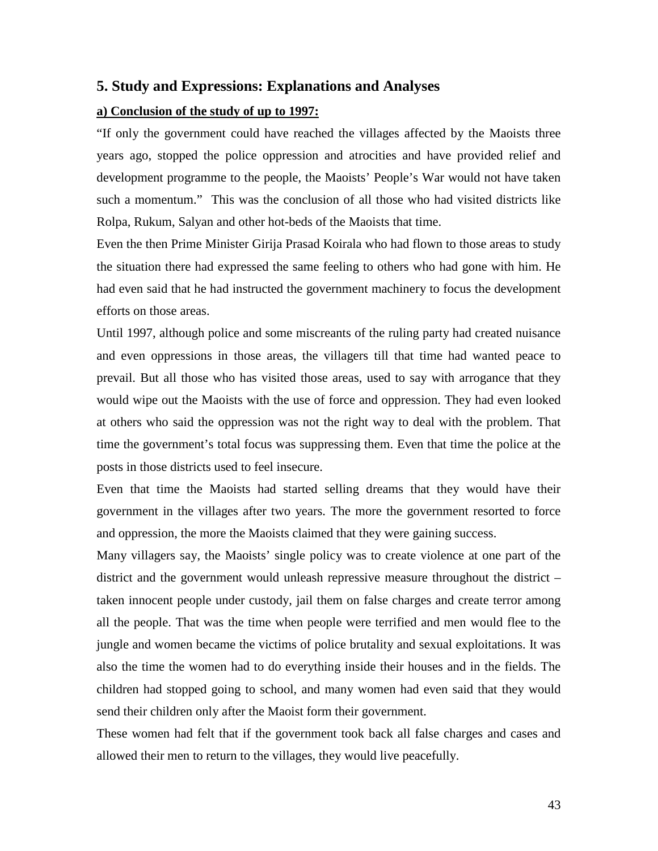### **5. Study and Expressions: Explanations and Analyses**

### **a) Conclusion of the study of up to 1997:**

"If only the government could have reached the villages affected by the Maoists three years ago, stopped the police oppression and atrocities and have provided relief and development programme to the people, the Maoists' People's War would not have taken such a momentum." This was the conclusion of all those who had visited districts like Rolpa, Rukum, Salyan and other hot-beds of the Maoists that time.

Even the then Prime Minister Girija Prasad Koirala who had flown to those areas to study the situation there had expressed the same feeling to others who had gone with him. He had even said that he had instructed the government machinery to focus the development efforts on those areas.

Until 1997, although police and some miscreants of the ruling party had created nuisance and even oppressions in those areas, the villagers till that time had wanted peace to prevail. But all those who has visited those areas, used to say with arrogance that they would wipe out the Maoists with the use of force and oppression. They had even looked at others who said the oppression was not the right way to deal with the problem. That time the government's total focus was suppressing them. Even that time the police at the posts in those districts used to feel insecure.

Even that time the Maoists had started selling dreams that they would have their government in the villages after two years. The more the government resorted to force and oppression, the more the Maoists claimed that they were gaining success.

Many villagers say, the Maoists' single policy was to create violence at one part of the district and the government would unleash repressive measure throughout the district – taken innocent people under custody, jail them on false charges and create terror among all the people. That was the time when people were terrified and men would flee to the jungle and women became the victims of police brutality and sexual exploitations. It was also the time the women had to do everything inside their houses and in the fields. The children had stopped going to school, and many women had even said that they would send their children only after the Maoist form their government.

These women had felt that if the government took back all false charges and cases and allowed their men to return to the villages, they would live peacefully.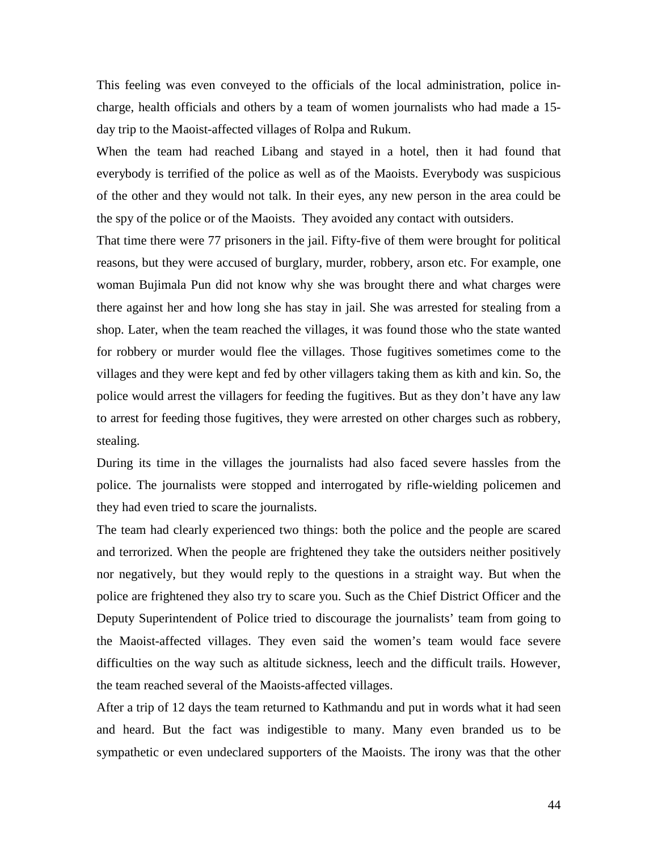This feeling was even conveyed to the officials of the local administration, police incharge, health officials and others by a team of women journalists who had made a 15 day trip to the Maoist-affected villages of Rolpa and Rukum.

When the team had reached Libang and stayed in a hotel, then it had found that everybody is terrified of the police as well as of the Maoists. Everybody was suspicious of the other and they would not talk. In their eyes, any new person in the area could be the spy of the police or of the Maoists. They avoided any contact with outsiders.

That time there were 77 prisoners in the jail. Fifty-five of them were brought for political reasons, but they were accused of burglary, murder, robbery, arson etc. For example, one woman Bujimala Pun did not know why she was brought there and what charges were there against her and how long she has stay in jail. She was arrested for stealing from a shop. Later, when the team reached the villages, it was found those who the state wanted for robbery or murder would flee the villages. Those fugitives sometimes come to the villages and they were kept and fed by other villagers taking them as kith and kin. So, the police would arrest the villagers for feeding the fugitives. But as they don't have any law to arrest for feeding those fugitives, they were arrested on other charges such as robbery, stealing.

During its time in the villages the journalists had also faced severe hassles from the police. The journalists were stopped and interrogated by rifle-wielding policemen and they had even tried to scare the journalists.

The team had clearly experienced two things: both the police and the people are scared and terrorized. When the people are frightened they take the outsiders neither positively nor negatively, but they would reply to the questions in a straight way. But when the police are frightened they also try to scare you. Such as the Chief District Officer and the Deputy Superintendent of Police tried to discourage the journalists' team from going to the Maoist-affected villages. They even said the women's team would face severe difficulties on the way such as altitude sickness, leech and the difficult trails. However, the team reached several of the Maoists-affected villages.

After a trip of 12 days the team returned to Kathmandu and put in words what it had seen and heard. But the fact was indigestible to many. Many even branded us to be sympathetic or even undeclared supporters of the Maoists. The irony was that the other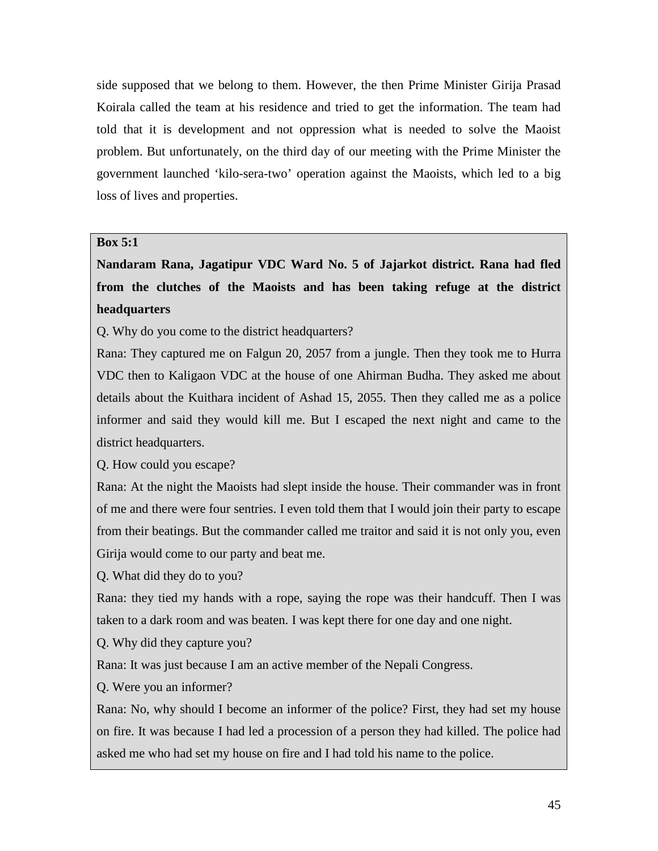side supposed that we belong to them. However, the then Prime Minister Girija Prasad Koirala called the team at his residence and tried to get the information. The team had told that it is development and not oppression what is needed to solve the Maoist problem. But unfortunately, on the third day of our meeting with the Prime Minister the government launched 'kilo-sera-two' operation against the Maoists, which led to a big loss of lives and properties.

## **Box 5:1**

**Nandaram Rana, Jagatipur VDC Ward No. 5 of Jajarkot district. Rana had fled from the clutches of the Maoists and has been taking refuge at the district headquarters**

Q. Why do you come to the district headquarters?

Rana: They captured me on Falgun 20, 2057 from a jungle. Then they took me to Hurra VDC then to Kaligaon VDC at the house of one Ahirman Budha. They asked me about details about the Kuithara incident of Ashad 15, 2055. Then they called me as a police informer and said they would kill me. But I escaped the next night and came to the district headquarters.

Q. How could you escape?

Rana: At the night the Maoists had slept inside the house. Their commander was in front of me and there were four sentries. I even told them that I would join their party to escape from their beatings. But the commander called me traitor and said it is not only you, even Girija would come to our party and beat me.

Q. What did they do to you?

Rana: they tied my hands with a rope, saying the rope was their handcuff. Then I was taken to a dark room and was beaten. I was kept there for one day and one night.

Q. Why did they capture you?

Rana: It was just because I am an active member of the Nepali Congress.

Q. Were you an informer?

Rana: No, why should I become an informer of the police? First, they had set my house on fire. It was because I had led a procession of a person they had killed. The police had asked me who had set my house on fire and I had told his name to the police.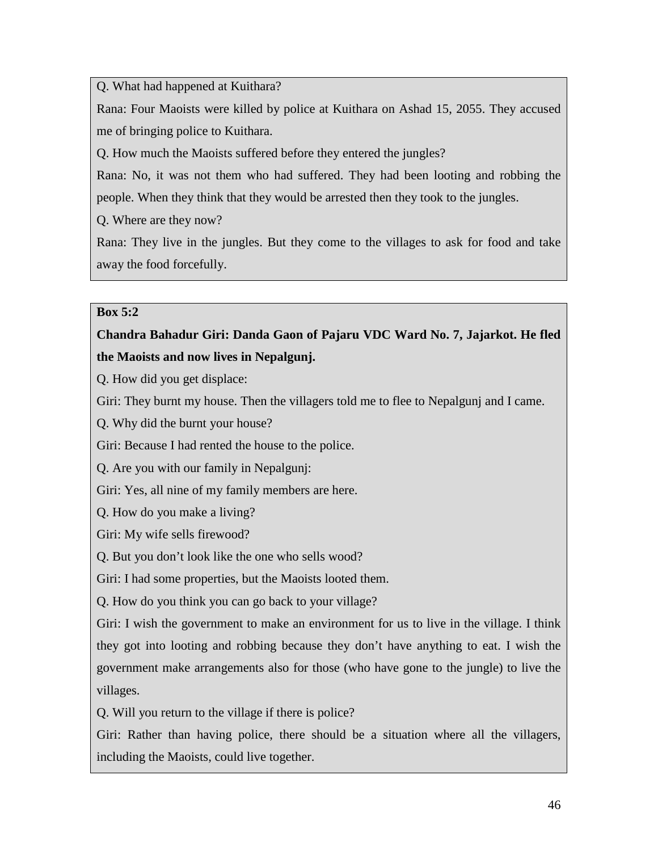Q. What had happened at Kuithara?

Rana: Four Maoists were killed by police at Kuithara on Ashad 15, 2055. They accused me of bringing police to Kuithara.

Q. How much the Maoists suffered before they entered the jungles?

Rana: No, it was not them who had suffered. They had been looting and robbing the people. When they think that they would be arrested then they took to the jungles.

Q. Where are they now?

Rana: They live in the jungles. But they come to the villages to ask for food and take away the food forcefully.

## **Box 5:2**

# **Chandra Bahadur Giri: Danda Gaon of Pajaru VDC Ward No. 7, Jajarkot. He fled the Maoists and now lives in Nepalgunj.**

Q. How did you get displace:

Giri: They burnt my house. Then the villagers told me to flee to Nepalgunj and I came.

Q. Why did the burnt your house?

Giri: Because I had rented the house to the police.

Q. Are you with our family in Nepalgunj:

Giri: Yes, all nine of my family members are here.

Q. How do you make a living?

Giri: My wife sells firewood?

Q. But you don't look like the one who sells wood?

Giri: I had some properties, but the Maoists looted them.

Q. How do you think you can go back to your village?

Giri: I wish the government to make an environment for us to live in the village. I think they got into looting and robbing because they don't have anything to eat. I wish the government make arrangements also for those (who have gone to the jungle) to live the villages.

Q. Will you return to the village if there is police?

Giri: Rather than having police, there should be a situation where all the villagers, including the Maoists, could live together.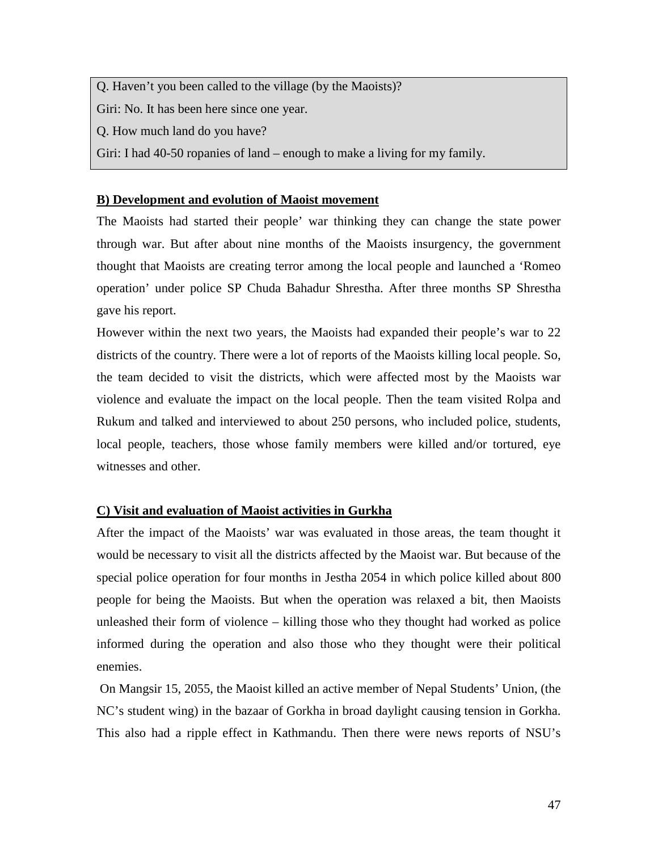Q. Haven't you been called to the village (by the Maoists)?

Giri: No. It has been here since one year.

Q. How much land do you have?

Giri: I had 40-50 ropanies of land – enough to make a living for my family.

## **B) Development and evolution of Maoist movement**

The Maoists had started their people' war thinking they can change the state power through war. But after about nine months of the Maoists insurgency, the government thought that Maoists are creating terror among the local people and launched a 'Romeo operation' under police SP Chuda Bahadur Shrestha. After three months SP Shrestha gave his report.

However within the next two years, the Maoists had expanded their people's war to 22 districts of the country. There were a lot of reports of the Maoists killing local people. So, the team decided to visit the districts, which were affected most by the Maoists war violence and evaluate the impact on the local people. Then the team visited Rolpa and Rukum and talked and interviewed to about 250 persons, who included police, students, local people, teachers, those whose family members were killed and/or tortured, eye witnesses and other.

## **C) Visit and evaluation of Maoist activities in Gurkha**

After the impact of the Maoists' war was evaluated in those areas, the team thought it would be necessary to visit all the districts affected by the Maoist war. But because of the special police operation for four months in Jestha 2054 in which police killed about 800 people for being the Maoists. But when the operation was relaxed a bit, then Maoists unleashed their form of violence – killing those who they thought had worked as police informed during the operation and also those who they thought were their political enemies.

On Mangsir 15, 2055, the Maoist killed an active member of Nepal Students' Union, (the NC's student wing) in the bazaar of Gorkha in broad daylight causing tension in Gorkha. This also had a ripple effect in Kathmandu. Then there were news reports of NSU's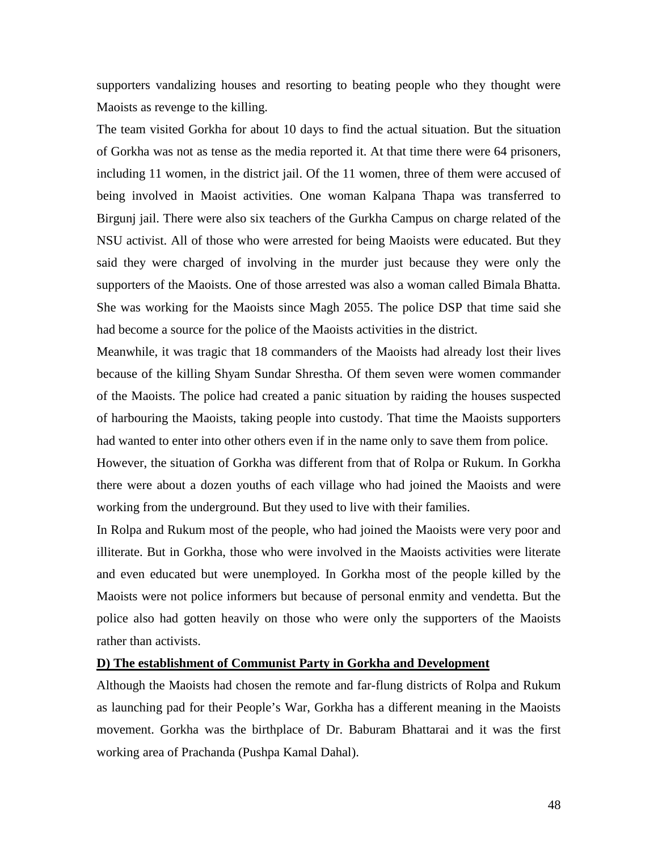supporters vandalizing houses and resorting to beating people who they thought were Maoists as revenge to the killing.

The team visited Gorkha for about 10 days to find the actual situation. But the situation of Gorkha was not as tense as the media reported it. At that time there were 64 prisoners, including 11 women, in the district jail. Of the 11 women, three of them were accused of being involved in Maoist activities. One woman Kalpana Thapa was transferred to Birgunj jail. There were also six teachers of the Gurkha Campus on charge related of the NSU activist. All of those who were arrested for being Maoists were educated. But they said they were charged of involving in the murder just because they were only the supporters of the Maoists. One of those arrested was also a woman called Bimala Bhatta. She was working for the Maoists since Magh 2055. The police DSP that time said she had become a source for the police of the Maoists activities in the district.

Meanwhile, it was tragic that 18 commanders of the Maoists had already lost their lives because of the killing Shyam Sundar Shrestha. Of them seven were women commander of the Maoists. The police had created a panic situation by raiding the houses suspected of harbouring the Maoists, taking people into custody. That time the Maoists supporters had wanted to enter into other others even if in the name only to save them from police.

However, the situation of Gorkha was different from that of Rolpa or Rukum. In Gorkha there were about a dozen youths of each village who had joined the Maoists and were working from the underground. But they used to live with their families.

In Rolpa and Rukum most of the people, who had joined the Maoists were very poor and illiterate. But in Gorkha, those who were involved in the Maoists activities were literate and even educated but were unemployed. In Gorkha most of the people killed by the Maoists were not police informers but because of personal enmity and vendetta. But the police also had gotten heavily on those who were only the supporters of the Maoists rather than activists.

### **D) The establishment of Communist Party in Gorkha and Development**

Although the Maoists had chosen the remote and far-flung districts of Rolpa and Rukum as launching pad for their People's War, Gorkha has a different meaning in the Maoists movement. Gorkha was the birthplace of Dr. Baburam Bhattarai and it was the first working area of Prachanda (Pushpa Kamal Dahal).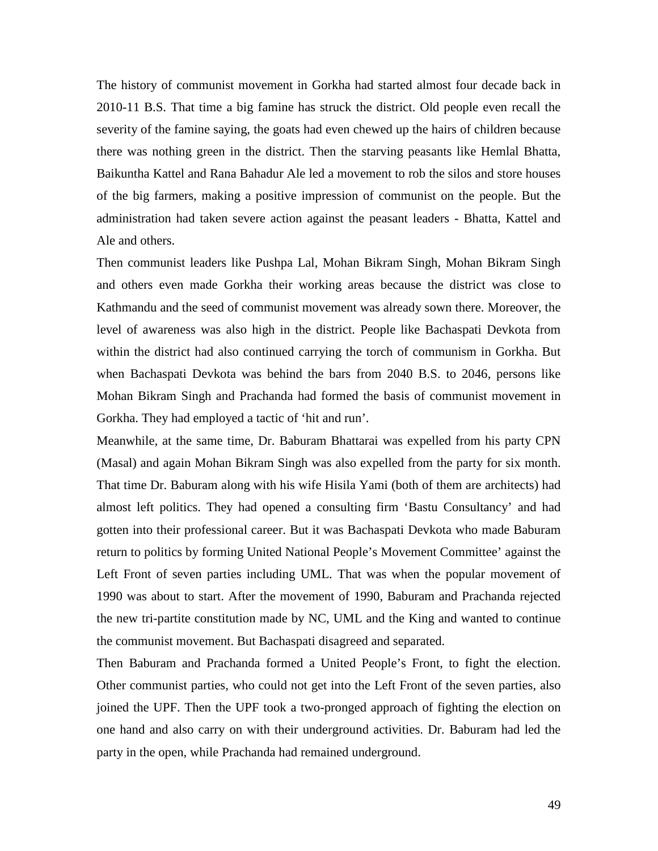The history of communist movement in Gorkha had started almost four decade back in 2010-11 B.S. That time a big famine has struck the district. Old people even recall the severity of the famine saying, the goats had even chewed up the hairs of children because there was nothing green in the district. Then the starving peasants like Hemlal Bhatta, Baikuntha Kattel and Rana Bahadur Ale led a movement to rob the silos and store houses of the big farmers, making a positive impression of communist on the people. But the administration had taken severe action against the peasant leaders - Bhatta, Kattel and Ale and others.

Then communist leaders like Pushpa Lal, Mohan Bikram Singh, Mohan Bikram Singh and others even made Gorkha their working areas because the district was close to Kathmandu and the seed of communist movement was already sown there. Moreover, the level of awareness was also high in the district. People like Bachaspati Devkota from within the district had also continued carrying the torch of communism in Gorkha. But when Bachaspati Devkota was behind the bars from 2040 B.S. to 2046, persons like Mohan Bikram Singh and Prachanda had formed the basis of communist movement in Gorkha. They had employed a tactic of 'hit and run'.

Meanwhile, at the same time, Dr. Baburam Bhattarai was expelled from his party CPN (Masal) and again Mohan Bikram Singh was also expelled from the party for six month. That time Dr. Baburam along with his wife Hisila Yami (both of them are architects) had almost left politics. They had opened a consulting firm 'Bastu Consultancy' and had gotten into their professional career. But it was Bachaspati Devkota who made Baburam return to politics by forming United National People's Movement Committee' against the Left Front of seven parties including UML. That was when the popular movement of 1990 was about to start. After the movement of 1990, Baburam and Prachanda rejected the new tri-partite constitution made by NC, UML and the King and wanted to continue the communist movement. But Bachaspati disagreed and separated.

Then Baburam and Prachanda formed a United People's Front, to fight the election. Other communist parties, who could not get into the Left Front of the seven parties, also joined the UPF. Then the UPF took a two-pronged approach of fighting the election on one hand and also carry on with their underground activities. Dr. Baburam had led the party in the open, while Prachanda had remained underground.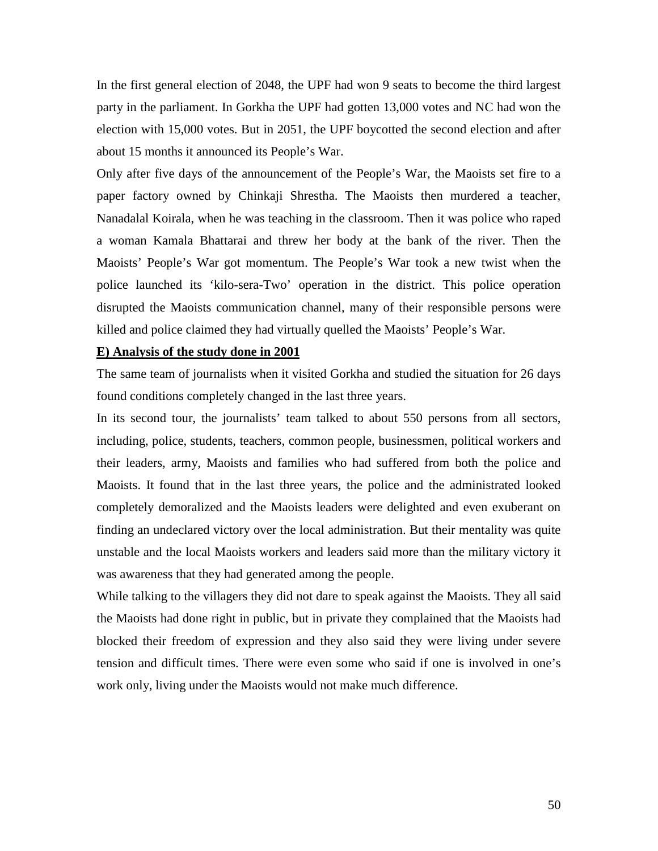In the first general election of 2048, the UPF had won 9 seats to become the third largest party in the parliament. In Gorkha the UPF had gotten 13,000 votes and NC had won the election with 15,000 votes. But in 2051, the UPF boycotted the second election and after about 15 months it announced its People's War.

Only after five days of the announcement of the People's War, the Maoists set fire to a paper factory owned by Chinkaji Shrestha. The Maoists then murdered a teacher, Nanadalal Koirala, when he was teaching in the classroom. Then it was police who raped a woman Kamala Bhattarai and threw her body at the bank of the river. Then the Maoists' People's War got momentum. The People's War took a new twist when the police launched its 'kilo-sera-Two' operation in the district. This police operation disrupted the Maoists communication channel, many of their responsible persons were killed and police claimed they had virtually quelled the Maoists' People's War.

### **E) Analysis of the study done in 2001**

The same team of journalists when it visited Gorkha and studied the situation for 26 days found conditions completely changed in the last three years.

In its second tour, the journalists' team talked to about 550 persons from all sectors, including, police, students, teachers, common people, businessmen, political workers and their leaders, army, Maoists and families who had suffered from both the police and Maoists. It found that in the last three years, the police and the administrated looked completely demoralized and the Maoists leaders were delighted and even exuberant on finding an undeclared victory over the local administration. But their mentality was quite unstable and the local Maoists workers and leaders said more than the military victory it was awareness that they had generated among the people.

While talking to the villagers they did not dare to speak against the Maoists. They all said the Maoists had done right in public, but in private they complained that the Maoists had blocked their freedom of expression and they also said they were living under severe tension and difficult times. There were even some who said if one is involved in one's work only, living under the Maoists would not make much difference.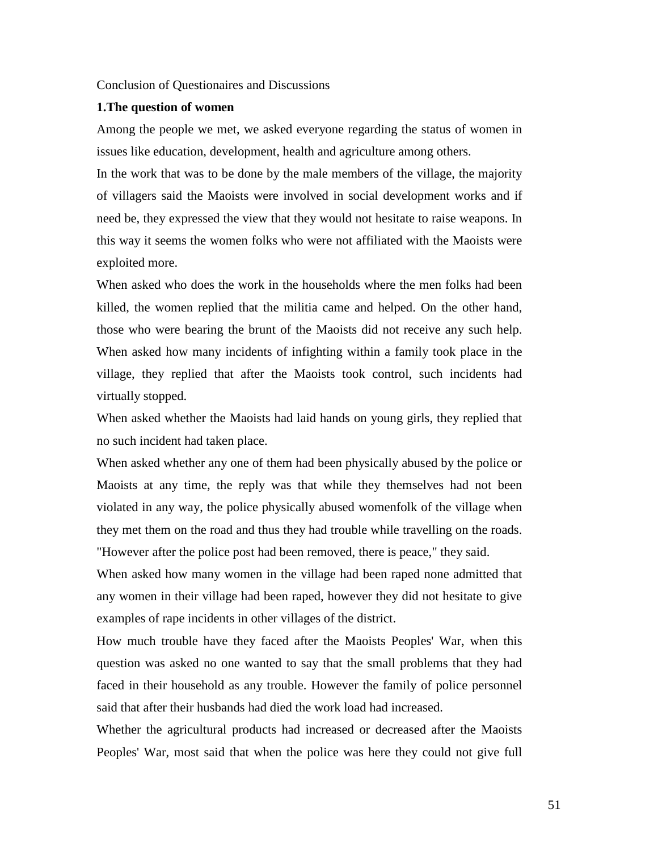Conclusion of Questionaires and Discussions

#### **1.The question of women**

Among the people we met, we asked everyone regarding the status of women in issues like education, development, health and agriculture among others.

In the work that was to be done by the male members of the village, the majority of villagers said the Maoists were involved in social development works and if need be, they expressed the view that they would not hesitate to raise weapons. In this way it seems the women folks who were not affiliated with the Maoists were exploited more.

When asked who does the work in the households where the men folks had been killed, the women replied that the militia came and helped. On the other hand, those who were bearing the brunt of the Maoists did not receive any such help. When asked how many incidents of infighting within a family took place in the village, they replied that after the Maoists took control, such incidents had virtually stopped.

When asked whether the Maoists had laid hands on young girls, they replied that no such incident had taken place.

When asked whether any one of them had been physically abused by the police or Maoists at any time, the reply was that while they themselves had not been violated in any way, the police physically abused womenfolk of the village when they met them on the road and thus they had trouble while travelling on the roads. "However after the police post had been removed, there is peace," they said.

When asked how many women in the village had been raped none admitted that any women in their village had been raped, however they did not hesitate to give examples of rape incidents in other villages of the district.

How much trouble have they faced after the Maoists Peoples' War, when this question was asked no one wanted to say that the small problems that they had faced in their household as any trouble. However the family of police personnel said that after their husbands had died the work load had increased.

Whether the agricultural products had increased or decreased after the Maoists Peoples' War, most said that when the police was here they could not give full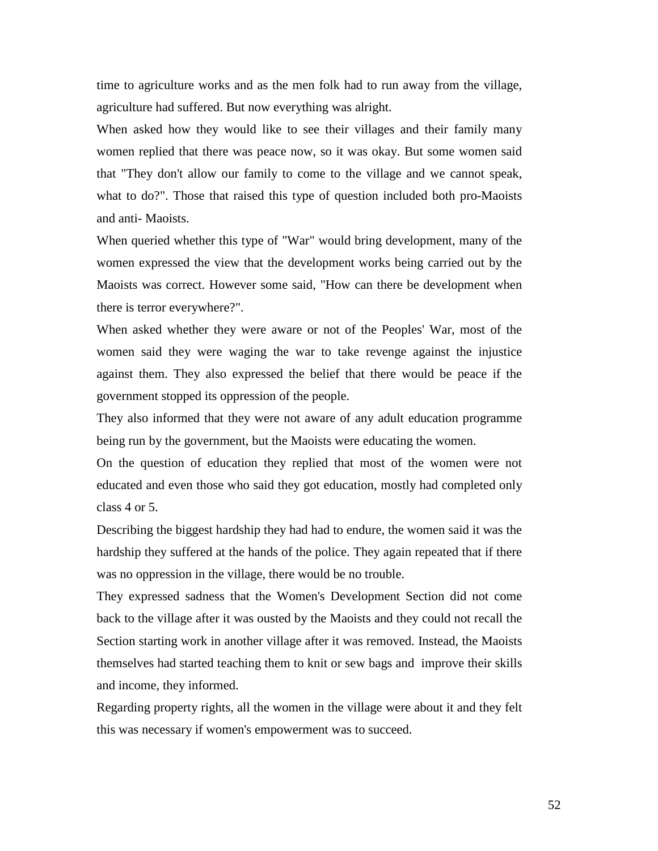time to agriculture works and as the men folk had to run away from the village, agriculture had suffered. But now everything was alright.

When asked how they would like to see their villages and their family many women replied that there was peace now, so it was okay. But some women said that "They don't allow our family to come to the village and we cannot speak, what to do?". Those that raised this type of question included both pro-Maoists and anti- Maoists.

When queried whether this type of "War" would bring development, many of the women expressed the view that the development works being carried out by the Maoists was correct. However some said, "How can there be development when there is terror everywhere?".

When asked whether they were aware or not of the Peoples' War, most of the women said they were waging the war to take revenge against the injustice against them. They also expressed the belief that there would be peace if the government stopped its oppression of the people.

They also informed that they were not aware of any adult education programme being run by the government, but the Maoists were educating the women.

On the question of education they replied that most of the women were not educated and even those who said they got education, mostly had completed only class 4 or 5.

Describing the biggest hardship they had had to endure, the women said it was the hardship they suffered at the hands of the police. They again repeated that if there was no oppression in the village, there would be no trouble.

They expressed sadness that the Women's Development Section did not come back to the village after it was ousted by the Maoists and they could not recall the Section starting work in another village after it was removed. Instead, the Maoists themselves had started teaching them to knit or sew bags and improve their skills and income, they informed.

Regarding property rights, all the women in the village were about it and they felt this was necessary if women's empowerment was to succeed.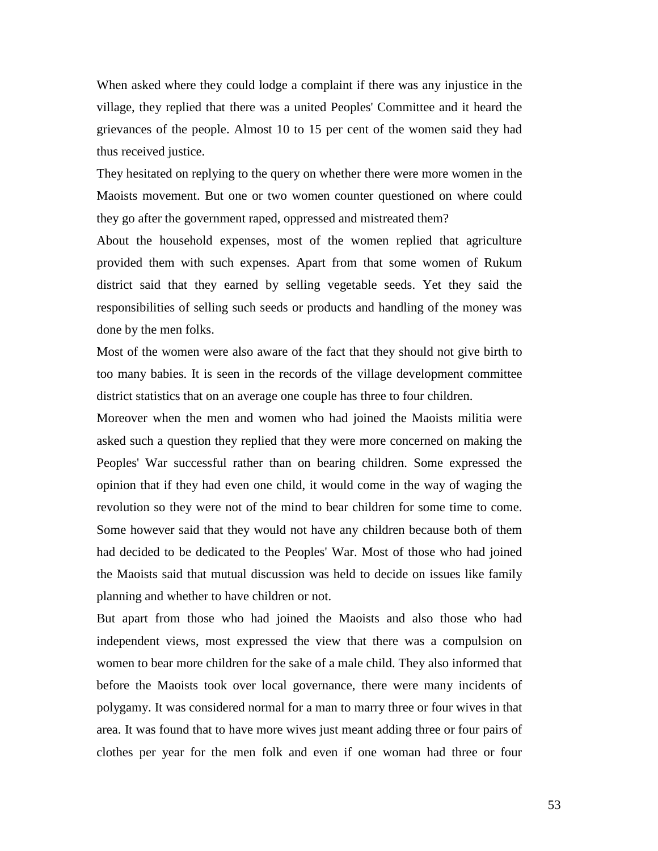When asked where they could lodge a complaint if there was any injustice in the village, they replied that there was a united Peoples' Committee and it heard the grievances of the people. Almost 10 to 15 per cent of the women said they had thus received justice.

They hesitated on replying to the query on whether there were more women in the Maoists movement. But one or two women counter questioned on where could they go after the government raped, oppressed and mistreated them?

About the household expenses, most of the women replied that agriculture provided them with such expenses. Apart from that some women of Rukum district said that they earned by selling vegetable seeds. Yet they said the responsibilities of selling such seeds or products and handling of the money was done by the men folks.

Most of the women were also aware of the fact that they should not give birth to too many babies. It is seen in the records of the village development committee district statistics that on an average one couple has three to four children.

Moreover when the men and women who had joined the Maoists militia were asked such a question they replied that they were more concerned on making the Peoples' War successful rather than on bearing children. Some expressed the opinion that if they had even one child, it would come in the way of waging the revolution so they were not of the mind to bear children for some time to come. Some however said that they would not have any children because both of them had decided to be dedicated to the Peoples' War. Most of those who had joined the Maoists said that mutual discussion was held to decide on issues like family planning and whether to have children or not.

But apart from those who had joined the Maoists and also those who had independent views, most expressed the view that there was a compulsion on women to bear more children for the sake of a male child. They also informed that before the Maoists took over local governance, there were many incidents of polygamy. It was considered normal for a man to marry three or four wives in that area. It was found that to have more wives just meant adding three or four pairs of clothes per year for the men folk and even if one woman had three or four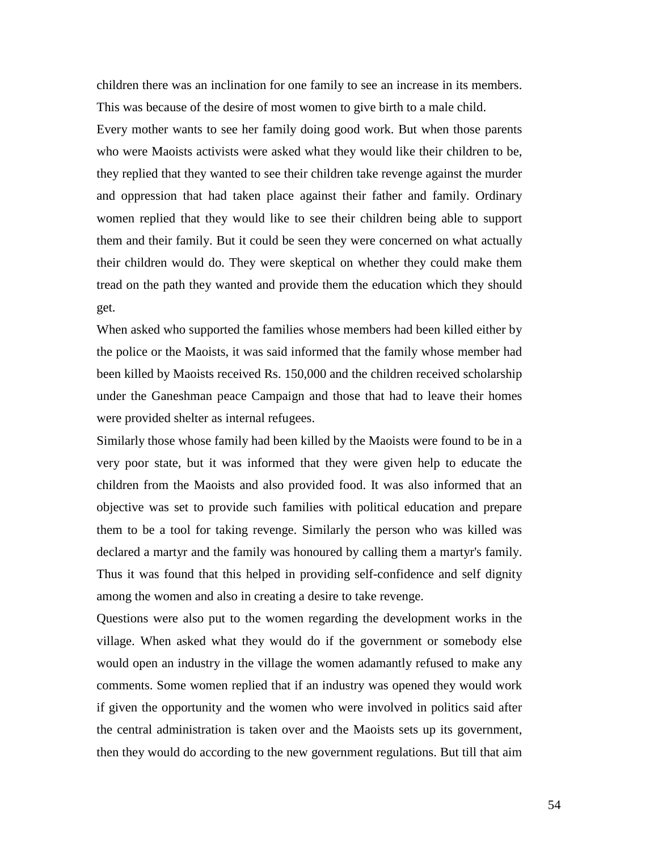children there was an inclination for one family to see an increase in its members. This was because of the desire of most women to give birth to a male child.

Every mother wants to see her family doing good work. But when those parents who were Maoists activists were asked what they would like their children to be, they replied that they wanted to see their children take revenge against the murder and oppression that had taken place against their father and family. Ordinary women replied that they would like to see their children being able to support them and their family. But it could be seen they were concerned on what actually their children would do. They were skeptical on whether they could make them tread on the path they wanted and provide them the education which they should get.

When asked who supported the families whose members had been killed either by the police or the Maoists, it was said informed that the family whose member had been killed by Maoists received Rs. 150,000 and the children received scholarship under the Ganeshman peace Campaign and those that had to leave their homes were provided shelter as internal refugees.

Similarly those whose family had been killed by the Maoists were found to be in a very poor state, but it was informed that they were given help to educate the children from the Maoists and also provided food. It was also informed that an objective was set to provide such families with political education and prepare them to be a tool for taking revenge. Similarly the person who was killed was declared a martyr and the family was honoured by calling them a martyr's family. Thus it was found that this helped in providing self-confidence and self dignity among the women and also in creating a desire to take revenge.

Questions were also put to the women regarding the development works in the village. When asked what they would do if the government or somebody else would open an industry in the village the women adamantly refused to make any comments. Some women replied that if an industry was opened they would work if given the opportunity and the women who were involved in politics said after the central administration is taken over and the Maoists sets up its government, then they would do according to the new government regulations. But till that aim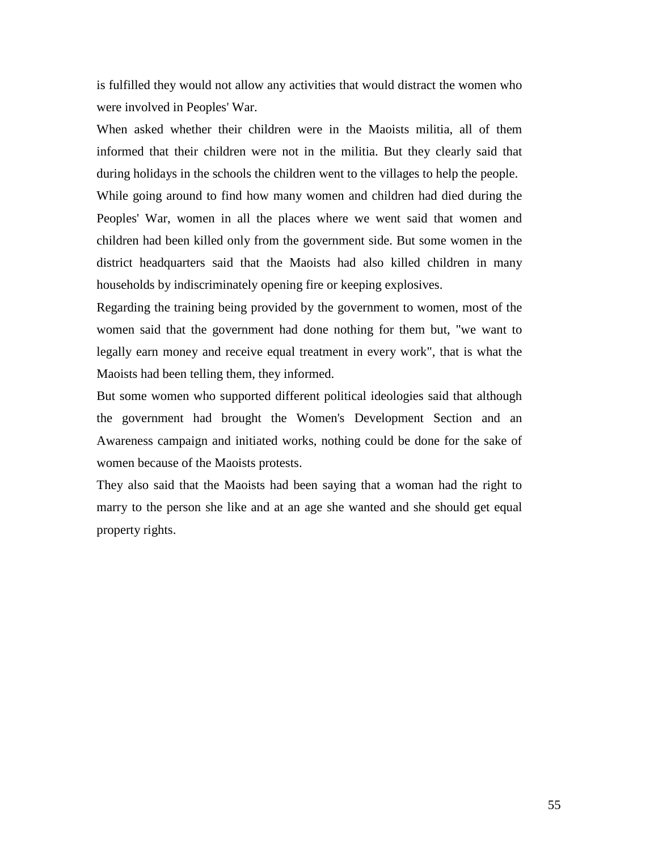is fulfilled they would not allow any activities that would distract the women who were involved in Peoples' War.

When asked whether their children were in the Maoists militia, all of them informed that their children were not in the militia. But they clearly said that during holidays in the schools the children went to the villages to help the people.

While going around to find how many women and children had died during the Peoples' War, women in all the places where we went said that women and children had been killed only from the government side. But some women in the district headquarters said that the Maoists had also killed children in many households by indiscriminately opening fire or keeping explosives.

Regarding the training being provided by the government to women, most of the women said that the government had done nothing for them but, "we want to legally earn money and receive equal treatment in every work", that is what the Maoists had been telling them, they informed.

But some women who supported different political ideologies said that although the government had brought the Women's Development Section and an Awareness campaign and initiated works, nothing could be done for the sake of women because of the Maoists protests.

They also said that the Maoists had been saying that a woman had the right to marry to the person she like and at an age she wanted and she should get equal property rights.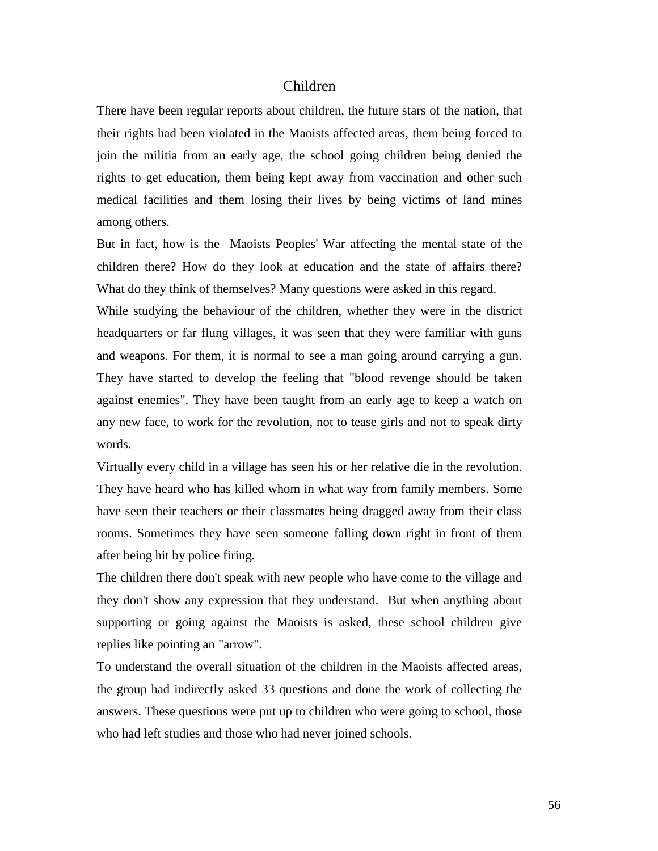### Children

There have been regular reports about children, the future stars of the nation, that their rights had been violated in the Maoists affected areas, them being forced to join the militia from an early age, the school going children being denied the rights to get education, them being kept away from vaccination and other such medical facilities and them losing their lives by being victims of land mines among others.

But in fact, how is the Maoists Peoples' War affecting the mental state of the children there? How do they look at education and the state of affairs there? What do they think of themselves? Many questions were asked in this regard.

While studying the behaviour of the children, whether they were in the district headquarters or far flung villages, it was seen that they were familiar with guns and weapons. For them, it is normal to see a man going around carrying a gun. They have started to develop the feeling that "blood revenge should be taken against enemies". They have been taught from an early age to keep a watch on any new face, to work for the revolution, not to tease girls and not to speak dirty words.

Virtually every child in a village has seen his or her relative die in the revolution. They have heard who has killed whom in what way from family members. Some have seen their teachers or their classmates being dragged away from their class rooms. Sometimes they have seen someone falling down right in front of them after being hit by police firing.

The children there don't speak with new people who have come to the village and they don't show any expression that they understand. But when anything about supporting or going against the Maoists is asked, these school children give replies like pointing an "arrow".

To understand the overall situation of the children in the Maoists affected areas, the group had indirectly asked 33 questions and done the work of collecting the answers. These questions were put up to children who were going to school, those who had left studies and those who had never joined schools.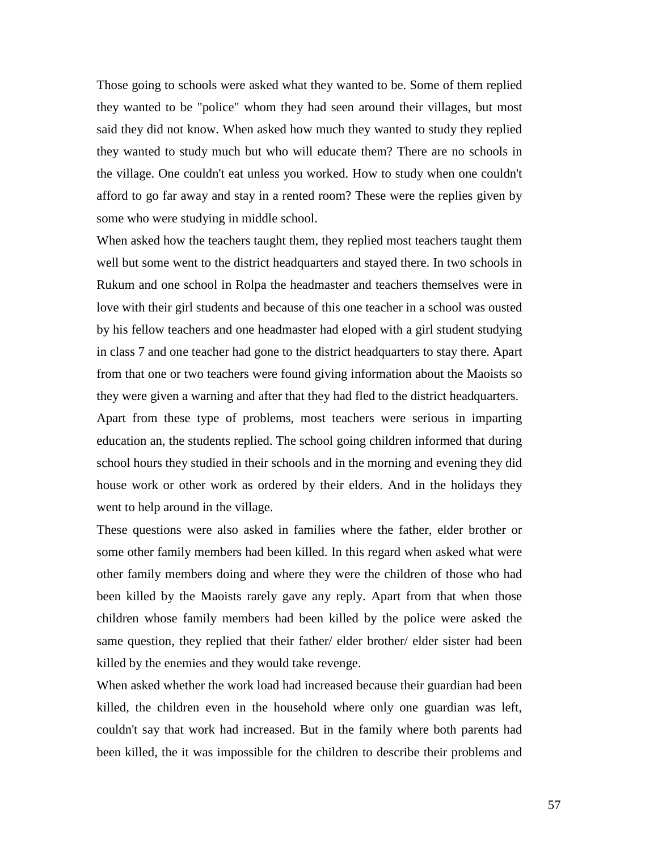Those going to schools were asked what they wanted to be. Some of them replied they wanted to be "police" whom they had seen around their villages, but most said they did not know. When asked how much they wanted to study they replied they wanted to study much but who will educate them? There are no schools in the village. One couldn't eat unless you worked. How to study when one couldn't afford to go far away and stay in a rented room? These were the replies given by some who were studying in middle school.

When asked how the teachers taught them, they replied most teachers taught them well but some went to the district headquarters and stayed there. In two schools in Rukum and one school in Rolpa the headmaster and teachers themselves were in love with their girl students and because of this one teacher in a school was ousted by his fellow teachers and one headmaster had eloped with a girl student studying in class 7 and one teacher had gone to the district headquarters to stay there. Apart from that one or two teachers were found giving information about the Maoists so they were given a warning and after that they had fled to the district headquarters.

Apart from these type of problems, most teachers were serious in imparting education an, the students replied. The school going children informed that during school hours they studied in their schools and in the morning and evening they did house work or other work as ordered by their elders. And in the holidays they went to help around in the village.

These questions were also asked in families where the father, elder brother or some other family members had been killed. In this regard when asked what were other family members doing and where they were the children of those who had been killed by the Maoists rarely gave any reply. Apart from that when those children whose family members had been killed by the police were asked the same question, they replied that their father/ elder brother/ elder sister had been killed by the enemies and they would take revenge.

When asked whether the work load had increased because their guardian had been killed, the children even in the household where only one guardian was left, couldn't say that work had increased. But in the family where both parents had been killed, the it was impossible for the children to describe their problems and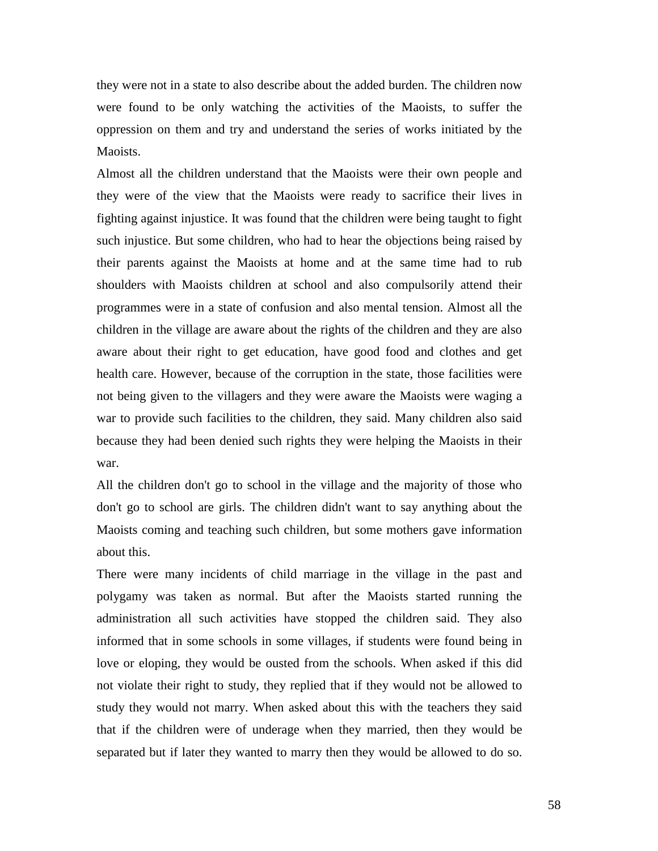they were not in a state to also describe about the added burden. The children now were found to be only watching the activities of the Maoists, to suffer the oppression on them and try and understand the series of works initiated by the Maoists.

Almost all the children understand that the Maoists were their own people and they were of the view that the Maoists were ready to sacrifice their lives in fighting against injustice. It was found that the children were being taught to fight such injustice. But some children, who had to hear the objections being raised by their parents against the Maoists at home and at the same time had to rub shoulders with Maoists children at school and also compulsorily attend their programmes were in a state of confusion and also mental tension. Almost all the children in the village are aware about the rights of the children and they are also aware about their right to get education, have good food and clothes and get health care. However, because of the corruption in the state, those facilities were not being given to the villagers and they were aware the Maoists were waging a war to provide such facilities to the children, they said. Many children also said because they had been denied such rights they were helping the Maoists in their war.

All the children don't go to school in the village and the majority of those who don't go to school are girls. The children didn't want to say anything about the Maoists coming and teaching such children, but some mothers gave information about this.

There were many incidents of child marriage in the village in the past and polygamy was taken as normal. But after the Maoists started running the administration all such activities have stopped the children said. They also informed that in some schools in some villages, if students were found being in love or eloping, they would be ousted from the schools. When asked if this did not violate their right to study, they replied that if they would not be allowed to study they would not marry. When asked about this with the teachers they said that if the children were of underage when they married, then they would be separated but if later they wanted to marry then they would be allowed to do so.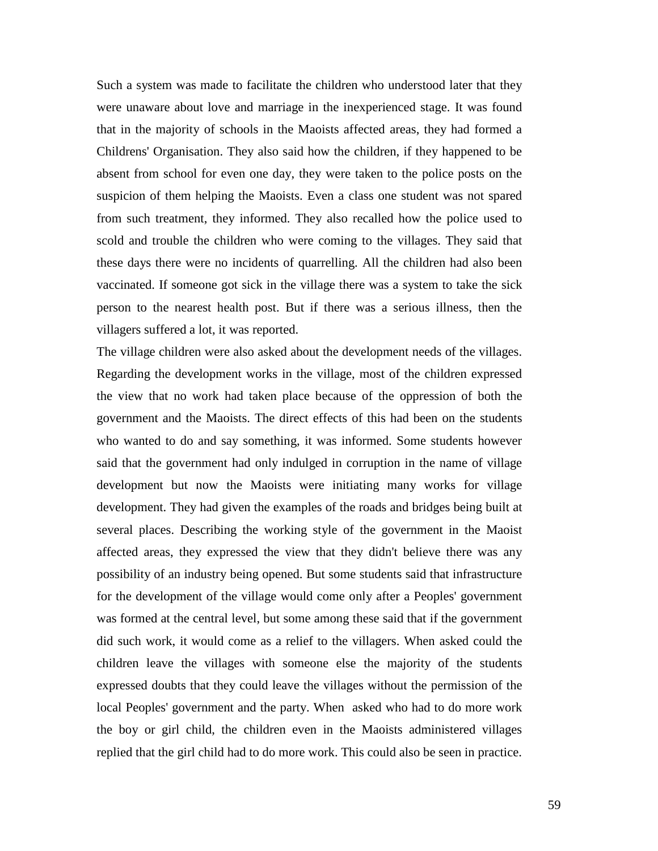Such a system was made to facilitate the children who understood later that they were unaware about love and marriage in the inexperienced stage. It was found that in the majority of schools in the Maoists affected areas, they had formed a Childrens' Organisation. They also said how the children, if they happened to be absent from school for even one day, they were taken to the police posts on the suspicion of them helping the Maoists. Even a class one student was not spared from such treatment, they informed. They also recalled how the police used to scold and trouble the children who were coming to the villages. They said that these days there were no incidents of quarrelling. All the children had also been vaccinated. If someone got sick in the village there was a system to take the sick person to the nearest health post. But if there was a serious illness, then the villagers suffered a lot, it was reported.

The village children were also asked about the development needs of the villages. Regarding the development works in the village, most of the children expressed the view that no work had taken place because of the oppression of both the government and the Maoists. The direct effects of this had been on the students who wanted to do and say something, it was informed. Some students however said that the government had only indulged in corruption in the name of village development but now the Maoists were initiating many works for village development. They had given the examples of the roads and bridges being built at several places. Describing the working style of the government in the Maoist affected areas, they expressed the view that they didn't believe there was any possibility of an industry being opened. But some students said that infrastructure for the development of the village would come only after a Peoples' government was formed at the central level, but some among these said that if the government did such work, it would come as a relief to the villagers. When asked could the children leave the villages with someone else the majority of the students expressed doubts that they could leave the villages without the permission of the local Peoples' government and the party. When asked who had to do more work the boy or girl child, the children even in the Maoists administered villages replied that the girl child had to do more work. This could also be seen in practice.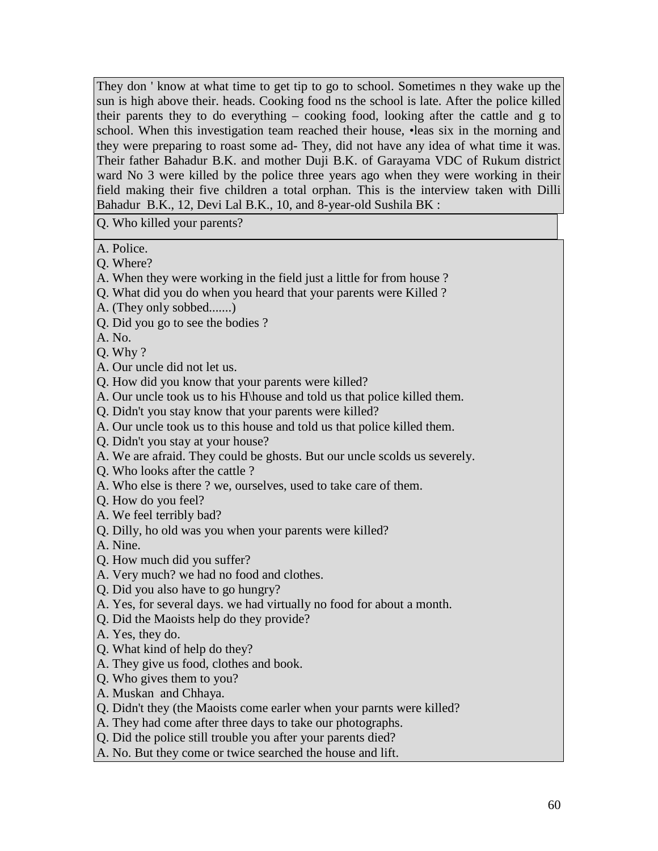They don ' know at what time to get tip to go to school. Sometimes n they wake up the sun is high above their. heads. Cooking food ns the school is late. After the police killed their parents they to do everything – cooking food, looking after the cattle and g to school. When this investigation team reached their house, •leas six in the morning and they were preparing to roast some ad- They, did not have any idea of what time it was. Their father Bahadur B.K. and mother Duji B.K. of Garayama VDC of Rukum district ward No 3 were killed by the police three years ago when they were working in their field making their five children a total orphan. This is the interview taken with Dilli Bahadur B.K., 12, Devi Lal B.K., 10, and 8-year-old Sushila BK :

Q. Who killed your parents?

A. Police.

Q. Where?

- A. When they were working in the field just a little for from house ?
- Q. What did you do when you heard that your parents were Killed ?
- A. (They only sobbed.......)
- Q. Did you go to see the bodies ?

A. No.

Q. Why ?

- A. Our uncle did not let us.
- Q. How did you know that your parents were killed?
- A. Our uncle took us to his H\house and told us that police killed them.
- Q. Didn't you stay know that your parents were killed?
- A. Our uncle took us to this house and told us that police killed them.
- Q. Didn't you stay at your house?
- A. We are afraid. They could be ghosts. But our uncle scolds us severely.
- Q. Who looks after the cattle ?
- A. Who else is there ? we, ourselves, used to take care of them.
- Q. How do you feel?
- A. We feel terribly bad?
- Q. Dilly, ho old was you when your parents were killed?

A. Nine.

- Q. How much did you suffer?
- A. Very much? we had no food and clothes.
- Q. Did you also have to go hungry?
- A. Yes, for several days. we had virtually no food for about a month.
- Q. Did the Maoists help do they provide?
- A. Yes, they do.
- Q. What kind of help do they?
- A. They give us food, clothes and book.
- Q. Who gives them to you?
- A. Muskan and Chhaya.
- Q. Didn't they (the Maoists come earler when your parnts were killed?
- A. They had come after three days to take our photographs.
- Q. Did the police still trouble you after your parents died?
- A. No. But they come or twice searched the house and lift.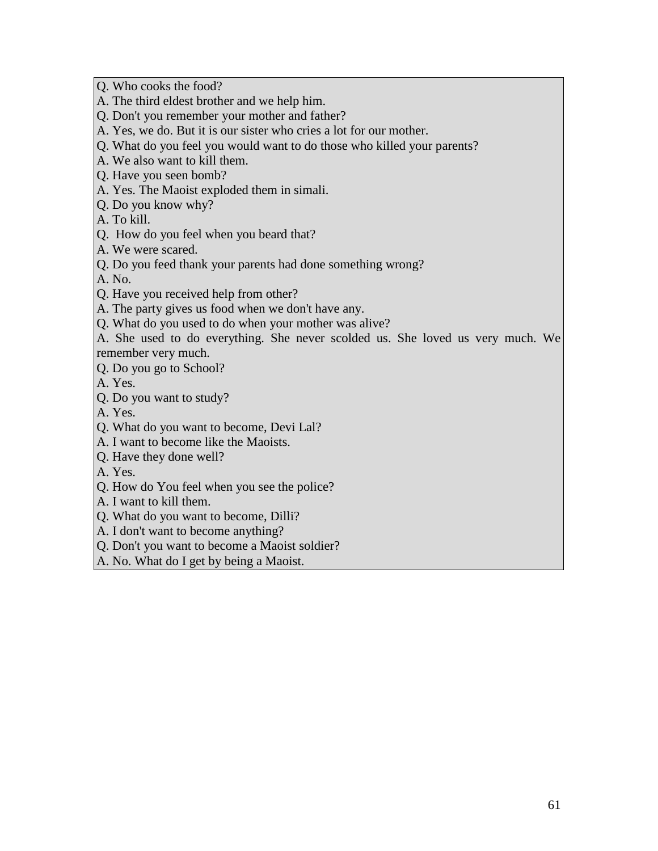Q. Who cooks the food?

- A. The third eldest brother and we help him.
- Q. Don't you remember your mother and father?
- A. Yes, we do. But it is our sister who cries a lot for our mother.
- Q. What do you feel you would want to do those who killed your parents?
- A. We also want to kill them.
- Q. Have you seen bomb?
- A. Yes. The Maoist exploded them in simali.
- Q. Do you know why?
- A. To kill.
- Q. How do you feel when you beard that?
- A. We were scared.
- Q. Do you feed thank your parents had done something wrong?

A. No.

- Q. Have you received help from other?
- A. The party gives us food when we don't have any.
- Q. What do you used to do when your mother was alive?
- A. She used to do everything. She never scolded us. She loved us very much. We remember very much.
- Q. Do you go to School?

A. Yes.

Q. Do you want to study?

A. Yes.

- Q. What do you want to become, Devi Lal?
- A. I want to become like the Maoists.
- Q. Have they done well?

A. Yes.

- Q. How do You feel when you see the police?
- A. I want to kill them.
- Q. What do you want to become, Dilli?
- A. I don't want to become anything?
- Q. Don't you want to become a Maoist soldier?
- A. No. What do I get by being a Maoist.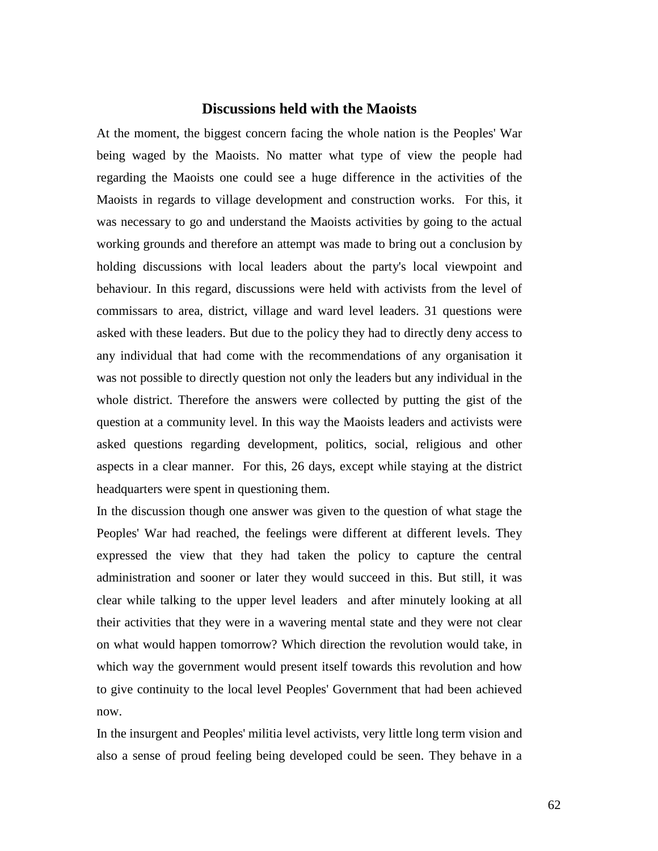### **Discussions held with the Maoists**

At the moment, the biggest concern facing the whole nation is the Peoples' War being waged by the Maoists. No matter what type of view the people had regarding the Maoists one could see a huge difference in the activities of the Maoists in regards to village development and construction works. For this, it was necessary to go and understand the Maoists activities by going to the actual working grounds and therefore an attempt was made to bring out a conclusion by holding discussions with local leaders about the party's local viewpoint and behaviour. In this regard, discussions were held with activists from the level of commissars to area, district, village and ward level leaders. 31 questions were asked with these leaders. But due to the policy they had to directly deny access to any individual that had come with the recommendations of any organisation it was not possible to directly question not only the leaders but any individual in the whole district. Therefore the answers were collected by putting the gist of the question at a community level. In this way the Maoists leaders and activists were asked questions regarding development, politics, social, religious and other aspects in a clear manner. For this, 26 days, except while staying at the district headquarters were spent in questioning them.

In the discussion though one answer was given to the question of what stage the Peoples' War had reached, the feelings were different at different levels. They expressed the view that they had taken the policy to capture the central administration and sooner or later they would succeed in this. But still, it was clear while talking to the upper level leaders and after minutely looking at all their activities that they were in a wavering mental state and they were not clear on what would happen tomorrow? Which direction the revolution would take, in which way the government would present itself towards this revolution and how to give continuity to the local level Peoples' Government that had been achieved now.

In the insurgent and Peoples' militia level activists, very little long term vision and also a sense of proud feeling being developed could be seen. They behave in a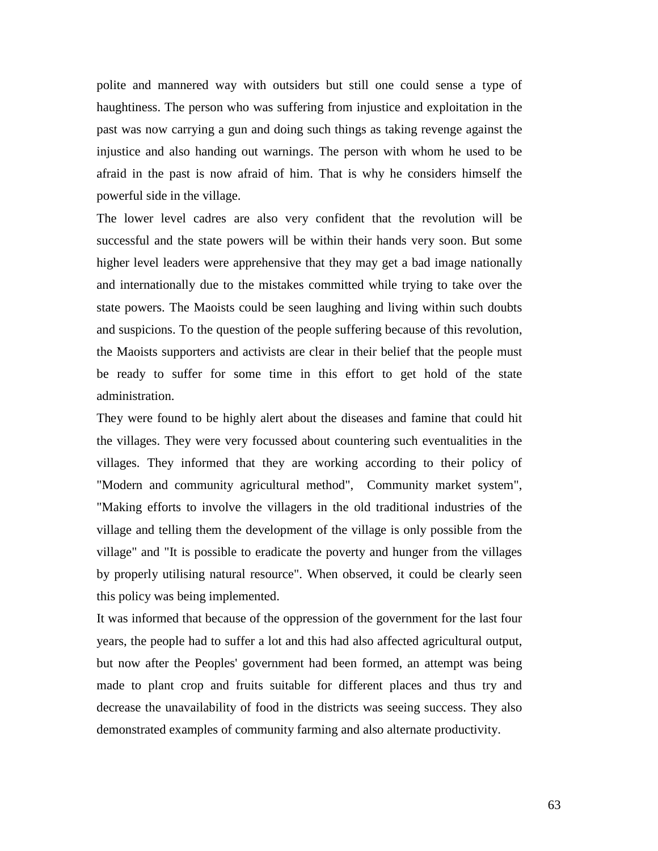polite and mannered way with outsiders but still one could sense a type of haughtiness. The person who was suffering from injustice and exploitation in the past was now carrying a gun and doing such things as taking revenge against the injustice and also handing out warnings. The person with whom he used to be afraid in the past is now afraid of him. That is why he considers himself the powerful side in the village.

The lower level cadres are also very confident that the revolution will be successful and the state powers will be within their hands very soon. But some higher level leaders were apprehensive that they may get a bad image nationally and internationally due to the mistakes committed while trying to take over the state powers. The Maoists could be seen laughing and living within such doubts and suspicions. To the question of the people suffering because of this revolution, the Maoists supporters and activists are clear in their belief that the people must be ready to suffer for some time in this effort to get hold of the state administration.

They were found to be highly alert about the diseases and famine that could hit the villages. They were very focussed about countering such eventualities in the villages. They informed that they are working according to their policy of "Modern and community agricultural method", Community market system", "Making efforts to involve the villagers in the old traditional industries of the village and telling them the development of the village is only possible from the village" and "It is possible to eradicate the poverty and hunger from the villages by properly utilising natural resource". When observed, it could be clearly seen this policy was being implemented.

It was informed that because of the oppression of the government for the last four years, the people had to suffer a lot and this had also affected agricultural output, but now after the Peoples' government had been formed, an attempt was being made to plant crop and fruits suitable for different places and thus try and decrease the unavailability of food in the districts was seeing success. They also demonstrated examples of community farming and also alternate productivity.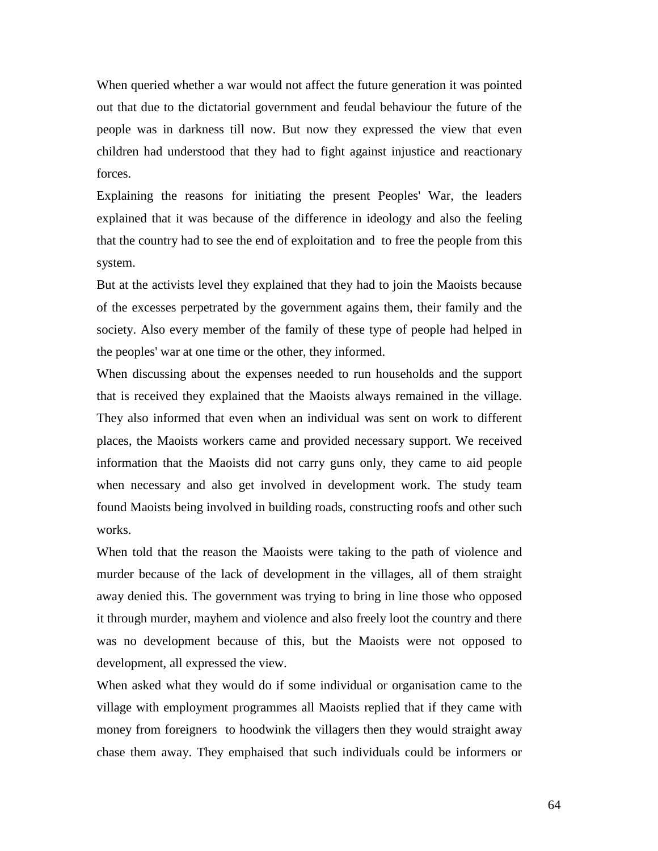When queried whether a war would not affect the future generation it was pointed out that due to the dictatorial government and feudal behaviour the future of the people was in darkness till now. But now they expressed the view that even children had understood that they had to fight against injustice and reactionary forces.

Explaining the reasons for initiating the present Peoples' War, the leaders explained that it was because of the difference in ideology and also the feeling that the country had to see the end of exploitation and to free the people from this system.

But at the activists level they explained that they had to join the Maoists because of the excesses perpetrated by the government agains them, their family and the society. Also every member of the family of these type of people had helped in the peoples' war at one time or the other, they informed.

When discussing about the expenses needed to run households and the support that is received they explained that the Maoists always remained in the village. They also informed that even when an individual was sent on work to different places, the Maoists workers came and provided necessary support. We received information that the Maoists did not carry guns only, they came to aid people when necessary and also get involved in development work. The study team found Maoists being involved in building roads, constructing roofs and other such works.

When told that the reason the Maoists were taking to the path of violence and murder because of the lack of development in the villages, all of them straight away denied this. The government was trying to bring in line those who opposed it through murder, mayhem and violence and also freely loot the country and there was no development because of this, but the Maoists were not opposed to development, all expressed the view.

When asked what they would do if some individual or organisation came to the village with employment programmes all Maoists replied that if they came with money from foreigners to hoodwink the villagers then they would straight away chase them away. They emphaised that such individuals could be informers or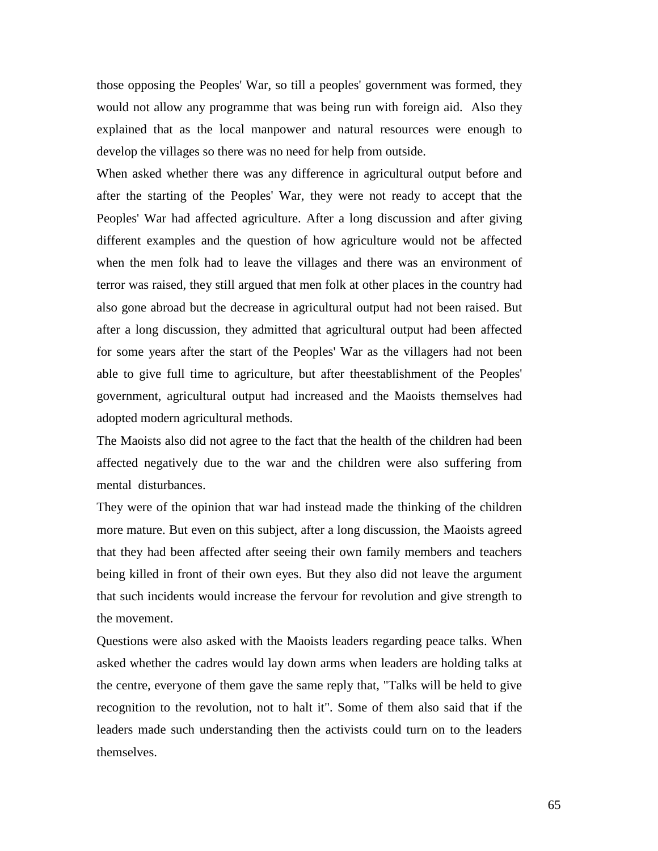those opposing the Peoples' War, so till a peoples' government was formed, they would not allow any programme that was being run with foreign aid. Also they explained that as the local manpower and natural resources were enough to develop the villages so there was no need for help from outside.

When asked whether there was any difference in agricultural output before and after the starting of the Peoples' War, they were not ready to accept that the Peoples' War had affected agriculture. After a long discussion and after giving different examples and the question of how agriculture would not be affected when the men folk had to leave the villages and there was an environment of terror was raised, they still argued that men folk at other places in the country had also gone abroad but the decrease in agricultural output had not been raised. But after a long discussion, they admitted that agricultural output had been affected for some years after the start of the Peoples' War as the villagers had not been able to give full time to agriculture, but after theestablishment of the Peoples' government, agricultural output had increased and the Maoists themselves had adopted modern agricultural methods.

The Maoists also did not agree to the fact that the health of the children had been affected negatively due to the war and the children were also suffering from mental disturbances.

They were of the opinion that war had instead made the thinking of the children more mature. But even on this subject, after a long discussion, the Maoists agreed that they had been affected after seeing their own family members and teachers being killed in front of their own eyes. But they also did not leave the argument that such incidents would increase the fervour for revolution and give strength to the movement.

Questions were also asked with the Maoists leaders regarding peace talks. When asked whether the cadres would lay down arms when leaders are holding talks at the centre, everyone of them gave the same reply that, "Talks will be held to give recognition to the revolution, not to halt it". Some of them also said that if the leaders made such understanding then the activists could turn on to the leaders themselves.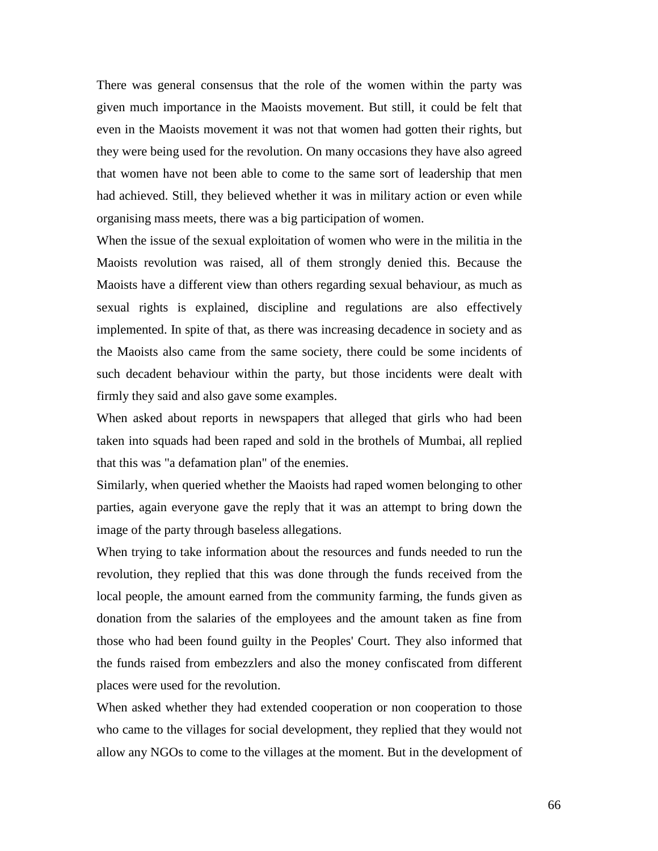There was general consensus that the role of the women within the party was given much importance in the Maoists movement. But still, it could be felt that even in the Maoists movement it was not that women had gotten their rights, but they were being used for the revolution. On many occasions they have also agreed that women have not been able to come to the same sort of leadership that men had achieved. Still, they believed whether it was in military action or even while organising mass meets, there was a big participation of women.

When the issue of the sexual exploitation of women who were in the militia in the Maoists revolution was raised, all of them strongly denied this. Because the Maoists have a different view than others regarding sexual behaviour, as much as sexual rights is explained, discipline and regulations are also effectively implemented. In spite of that, as there was increasing decadence in society and as the Maoists also came from the same society, there could be some incidents of such decadent behaviour within the party, but those incidents were dealt with firmly they said and also gave some examples.

When asked about reports in newspapers that alleged that girls who had been taken into squads had been raped and sold in the brothels of Mumbai, all replied that this was "a defamation plan" of the enemies.

Similarly, when queried whether the Maoists had raped women belonging to other parties, again everyone gave the reply that it was an attempt to bring down the image of the party through baseless allegations.

When trying to take information about the resources and funds needed to run the revolution, they replied that this was done through the funds received from the local people, the amount earned from the community farming, the funds given as donation from the salaries of the employees and the amount taken as fine from those who had been found guilty in the Peoples' Court. They also informed that the funds raised from embezzlers and also the money confiscated from different places were used for the revolution.

When asked whether they had extended cooperation or non cooperation to those who came to the villages for social development, they replied that they would not allow any NGOs to come to the villages at the moment. But in the development of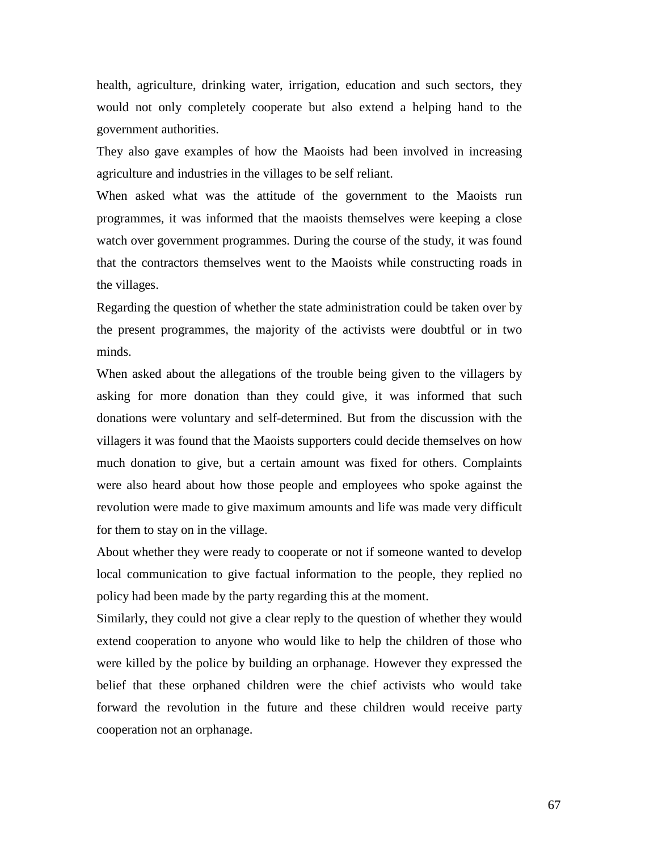health, agriculture, drinking water, irrigation, education and such sectors, they would not only completely cooperate but also extend a helping hand to the government authorities.

They also gave examples of how the Maoists had been involved in increasing agriculture and industries in the villages to be self reliant.

When asked what was the attitude of the government to the Maoists run programmes, it was informed that the maoists themselves were keeping a close watch over government programmes. During the course of the study, it was found that the contractors themselves went to the Maoists while constructing roads in the villages.

Regarding the question of whether the state administration could be taken over by the present programmes, the majority of the activists were doubtful or in two minds.

When asked about the allegations of the trouble being given to the villagers by asking for more donation than they could give, it was informed that such donations were voluntary and self-determined. But from the discussion with the villagers it was found that the Maoists supporters could decide themselves on how much donation to give, but a certain amount was fixed for others. Complaints were also heard about how those people and employees who spoke against the revolution were made to give maximum amounts and life was made very difficult for them to stay on in the village.

About whether they were ready to cooperate or not if someone wanted to develop local communication to give factual information to the people, they replied no policy had been made by the party regarding this at the moment.

Similarly, they could not give a clear reply to the question of whether they would extend cooperation to anyone who would like to help the children of those who were killed by the police by building an orphanage. However they expressed the belief that these orphaned children were the chief activists who would take forward the revolution in the future and these children would receive party cooperation not an orphanage.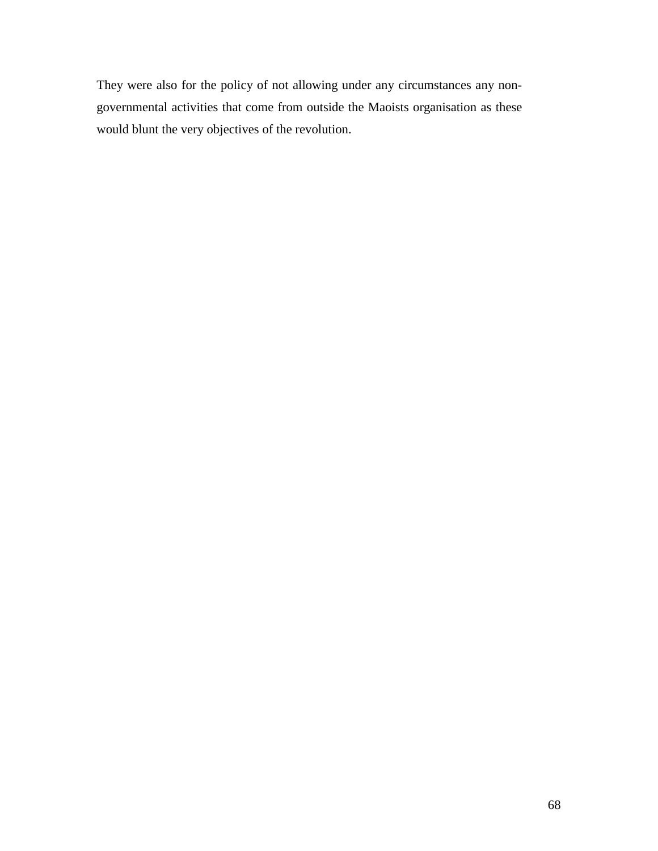They were also for the policy of not allowing under any circumstances any nongovernmental activities that come from outside the Maoists organisation as these would blunt the very objectives of the revolution.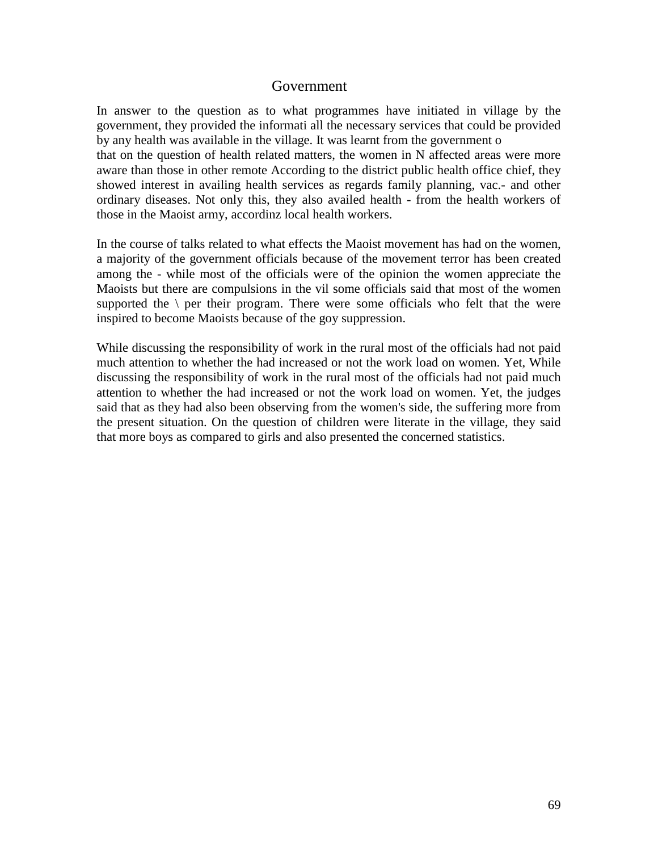## Government

In answer to the question as to what programmes have initiated in village by the government, they provided the informati all the necessary services that could be provided by any health was available in the village. It was learnt from the government o that on the question of health related matters, the women in N affected areas were more aware than those in other remote According to the district public health office chief, they showed interest in availing health services as regards family planning, vac.- and other ordinary diseases. Not only this, they also availed health - from the health workers of those in the Maoist army, accordinz local health workers.

In the course of talks related to what effects the Maoist movement has had on the women, a majority of the government officials because of the movement terror has been created among the - while most of the officials were of the opinion the women appreciate the Maoists but there are compulsions in the vil some officials said that most of the women supported the  $\langle$  per their program. There were some officials who felt that the were inspired to become Maoists because of the goy suppression.

While discussing the responsibility of work in the rural most of the officials had not paid much attention to whether the had increased or not the work load on women. Yet, While discussing the responsibility of work in the rural most of the officials had not paid much attention to whether the had increased or not the work load on women. Yet, the judges said that as they had also been observing from the women's side, the suffering more from the present situation. On the question of children were literate in the village, they said that more boys as compared to girls and also presented the concerned statistics.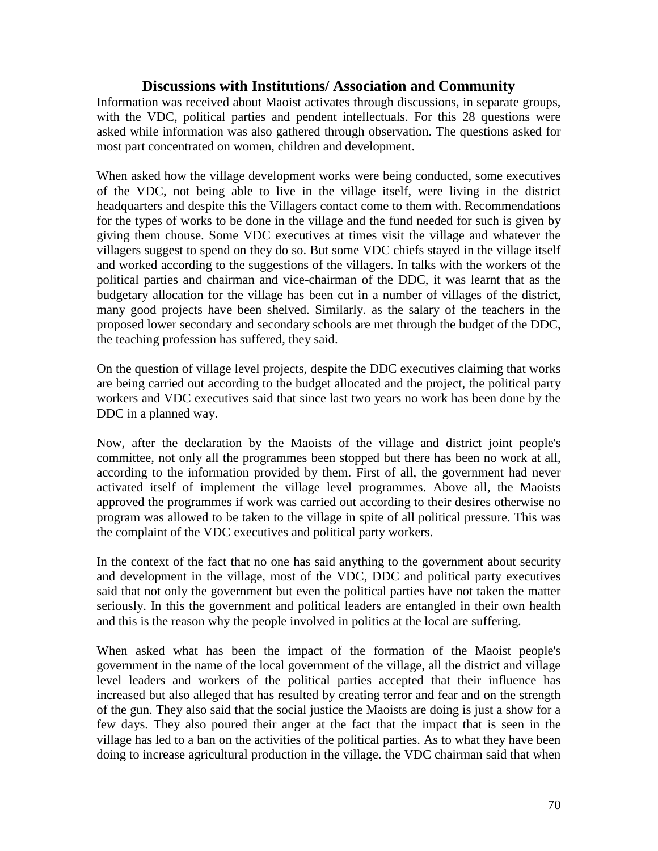## **Discussions with Institutions/ Association and Community**

Information was received about Maoist activates through discussions, in separate groups, with the VDC, political parties and pendent intellectuals. For this 28 questions were asked while information was also gathered through observation. The questions asked for most part concentrated on women, children and development.

When asked how the village development works were being conducted, some executives of the VDC, not being able to live in the village itself, were living in the district headquarters and despite this the Villagers contact come to them with. Recommendations for the types of works to be done in the village and the fund needed for such is given by giving them chouse. Some VDC executives at times visit the village and whatever the villagers suggest to spend on they do so. But some VDC chiefs stayed in the village itself and worked according to the suggestions of the villagers. In talks with the workers of the political parties and chairman and vice-chairman of the DDC, it was learnt that as the budgetary allocation for the village has been cut in a number of villages of the district, many good projects have been shelved. Similarly. as the salary of the teachers in the proposed lower secondary and secondary schools are met through the budget of the DDC, the teaching profession has suffered, they said.

On the question of village level projects, despite the DDC executives claiming that works are being carried out according to the budget allocated and the project, the political party workers and VDC executives said that since last two years no work has been done by the DDC in a planned way.

Now, after the declaration by the Maoists of the village and district joint people's committee, not only all the programmes been stopped but there has been no work at all, according to the information provided by them. First of all, the government had never activated itself of implement the village level programmes. Above all, the Maoists approved the programmes if work was carried out according to their desires otherwise no program was allowed to be taken to the village in spite of all political pressure. This was the complaint of the VDC executives and political party workers.

In the context of the fact that no one has said anything to the government about security and development in the village, most of the VDC, DDC and political party executives said that not only the government but even the political parties have not taken the matter seriously. In this the government and political leaders are entangled in their own health and this is the reason why the people involved in politics at the local are suffering.

When asked what has been the impact of the formation of the Maoist people's government in the name of the local government of the village, all the district and village level leaders and workers of the political parties accepted that their influence has increased but also alleged that has resulted by creating terror and fear and on the strength of the gun. They also said that the social justice the Maoists are doing is just a show for a few days. They also poured their anger at the fact that the impact that is seen in the village has led to a ban on the activities of the political parties. As to what they have been doing to increase agricultural production in the village. the VDC chairman said that when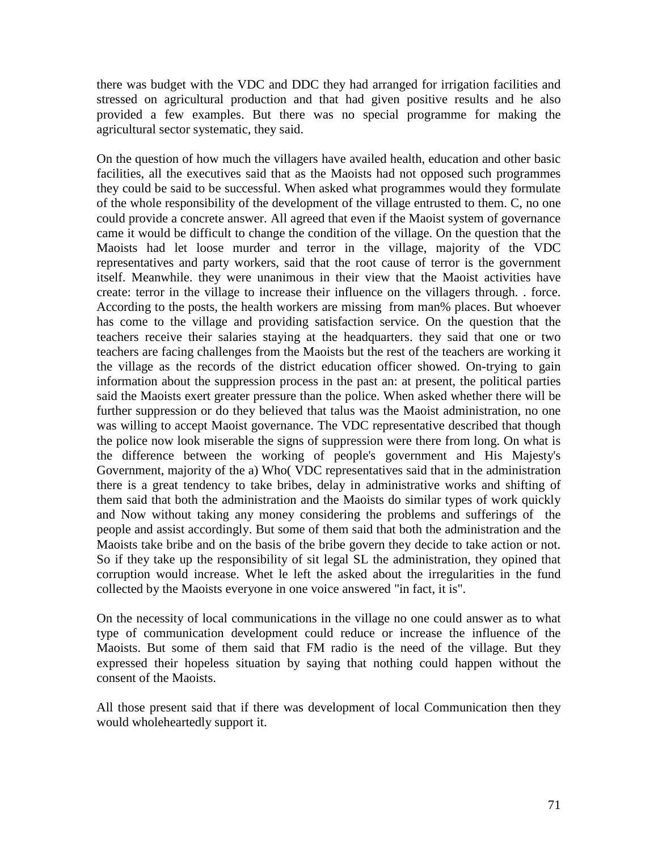there was budget with the VDC and DDC they had arranged for irrigation facilities and stressed on agricultural production and that had given positive results and he also provided a few examples. But there was no special programme for making the agricultural sector systematic, they said.

On the question of how much the villagers have availed health, education and other basic facilities, all the executives said that as the Maoists had not opposed such programmes they could be said to be successful. When asked what programmes would they formulate of the whole responsibility of the development of the village entrusted to them. C, no one could provide a concrete answer. All agreed that even if the Maoist system of governance came it would be difficult to change the condition of the village. On the question that the Maoists had let loose murder and terror in the village, majority of the VDC representatives and party workers, said that the root cause of terror is the government itself. Meanwhile. they were unanimous in their view that the Maoist activities have create: terror in the village to increase their influence on the villagers through. . force. According to the posts, the health workers are missing from man% places. But whoever has come to the village and providing satisfaction service. On the question that the teachers receive their salaries staying at the headquarters. they said that one or two teachers are facing challenges from the Maoists but the rest of the teachers are working it the village as the records of the district education officer showed. On-trying to gain information about the suppression process in the past an: at present, the political parties said the Maoists exert greater pressure than the police. When asked whether there will be further suppression or do they believed that talus was the Maoist administration, no one was willing to accept Maoist governance. The VDC representative described that though the police now look miserable the signs of suppression were there from long. On what is the difference between the working of people's government and His Majesty's Government, majority of the a) Who( VDC representatives said that in the administration there is a great tendency to take bribes, delay in administrative works and shifting of them said that both the administration and the Maoists do similar types of work quickly and Now without taking any money considering the problems and sufferings of the people and assist accordingly. But some of them said that both the administration and the Maoists take bribe and on the basis of the bribe govern they decide to take action or not. So if they take up the responsibility of sit legal SL the administration, they opined that corruption would increase. Whet le left the asked about the irregularities in the fund collected by the Maoists everyone in one voice answered "in fact, it is".

On the necessity of local communications in the village no one could answer as to what type of communication development could reduce or increase the influence of the Maoists. But some of them said that FM radio is the need of the village. But they expressed their hopeless situation by saying that nothing could happen without the consent of the Maoists.

All those present said that if there was development of local Communication then they would wholeheartedly support it.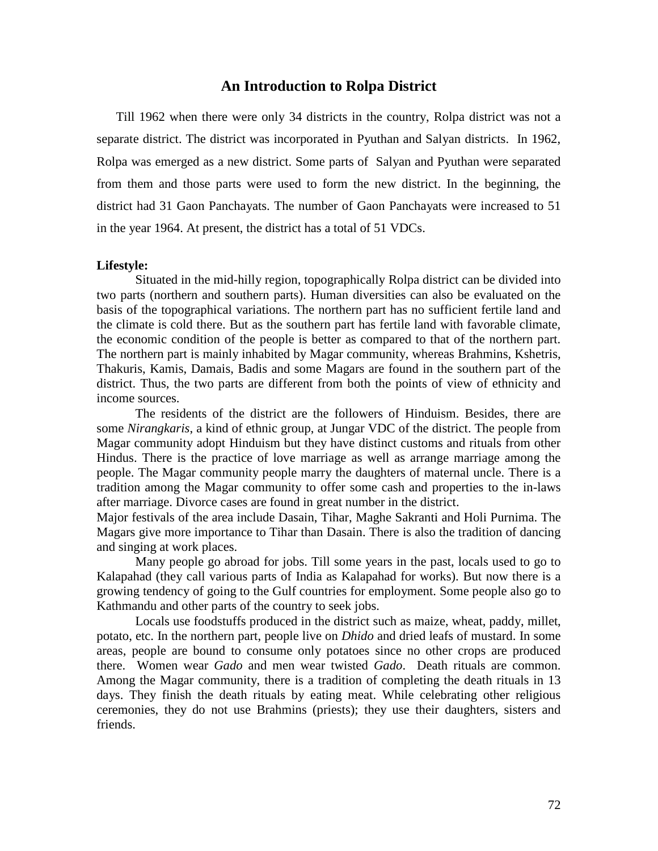## **An Introduction to Rolpa District**

Till 1962 when there were only 34 districts in the country, Rolpa district was not a separate district. The district was incorporated in Pyuthan and Salyan districts. In 1962, Rolpa was emerged as a new district. Some parts of Salyan and Pyuthan were separated from them and those parts were used to form the new district. In the beginning, the district had 31 Gaon Panchayats. The number of Gaon Panchayats were increased to 51 in the year 1964. At present, the district has a total of 51 VDCs.

### **Lifestyle:**

Situated in the mid-hilly region, topographically Rolpa district can be divided into two parts (northern and southern parts). Human diversities can also be evaluated on the basis of the topographical variations. The northern part has no sufficient fertile land and the climate is cold there. But as the southern part has fertile land with favorable climate, the economic condition of the people is better as compared to that of the northern part. The northern part is mainly inhabited by Magar community, whereas Brahmins, Kshetris, Thakuris, Kamis, Damais, Badis and some Magars are found in the southern part of the district. Thus, the two parts are different from both the points of view of ethnicity and income sources.

The residents of the district are the followers of Hinduism. Besides, there are some *Nirangkaris*, a kind of ethnic group, at Jungar VDC of the district. The people from Magar community adopt Hinduism but they have distinct customs and rituals from other Hindus. There is the practice of love marriage as well as arrange marriage among the people. The Magar community people marry the daughters of maternal uncle. There is a tradition among the Magar community to offer some cash and properties to the in-laws after marriage. Divorce cases are found in great number in the district.

Major festivals of the area include Dasain, Tihar, Maghe Sakranti and Holi Purnima. The Magars give more importance to Tihar than Dasain. There is also the tradition of dancing and singing at work places.

Many people go abroad for jobs. Till some years in the past, locals used to go to Kalapahad (they call various parts of India as Kalapahad for works). But now there is a growing tendency of going to the Gulf countries for employment. Some people also go to Kathmandu and other parts of the country to seek jobs.

Locals use foodstuffs produced in the district such as maize, wheat, paddy, millet, potato, etc. In the northern part, people live on *Dhido* and dried leafs of mustard. In some areas, people are bound to consume only potatoes since no other crops are produced there. Women wear *Gado* and men wear twisted *Gado*. Death rituals are common. Among the Magar community, there is a tradition of completing the death rituals in 13 days. They finish the death rituals by eating meat. While celebrating other religious ceremonies, they do not use Brahmins (priests); they use their daughters, sisters and friends.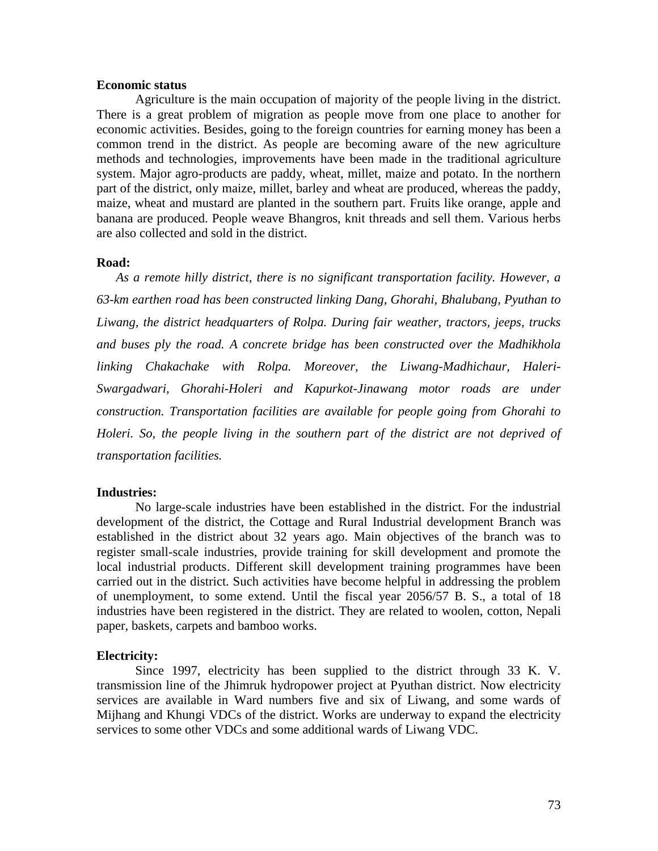#### **Economic status**

Agriculture is the main occupation of majority of the people living in the district. There is a great problem of migration as people move from one place to another for economic activities. Besides, going to the foreign countries for earning money has been a common trend in the district. As people are becoming aware of the new agriculture methods and technologies, improvements have been made in the traditional agriculture system. Major agro-products are paddy, wheat, millet, maize and potato. In the northern part of the district, only maize, millet, barley and wheat are produced, whereas the paddy, maize, wheat and mustard are planted in the southern part. Fruits like orange, apple and banana are produced. People weave Bhangros, knit threads and sell them. Various herbs are also collected and sold in the district.

#### **Road:**

*As a remote hilly district, there is no significant transportation facility. However, a 63-km earthen road has been constructed linking Dang, Ghorahi, Bhalubang, Pyuthan to Liwang, the district headquarters of Rolpa. During fair weather, tractors, jeeps, trucks and buses ply the road. A concrete bridge has been constructed over the Madhikhola linking Chakachake with Rolpa. Moreover, the Liwang-Madhichaur, Haleri-Swargadwari, Ghorahi-Holeri and Kapurkot-Jinawang motor roads are under construction. Transportation facilities are available for people going from Ghorahi to Holeri. So, the people living in the southern part of the district are not deprived of transportation facilities.*

#### **Industries:**

No large-scale industries have been established in the district. For the industrial development of the district, the Cottage and Rural Industrial development Branch was established in the district about 32 years ago. Main objectives of the branch was to register small-scale industries, provide training for skill development and promote the local industrial products. Different skill development training programmes have been carried out in the district. Such activities have become helpful in addressing the problem of unemployment, to some extend. Until the fiscal year 2056/57 B. S., a total of 18 industries have been registered in the district. They are related to woolen, cotton, Nepali paper, baskets, carpets and bamboo works.

#### **Electricity:**

Since 1997, electricity has been supplied to the district through 33 K. V. transmission line of the Jhimruk hydropower project at Pyuthan district. Now electricity services are available in Ward numbers five and six of Liwang, and some wards of Mijhang and Khungi VDCs of the district. Works are underway to expand the electricity services to some other VDCs and some additional wards of Liwang VDC.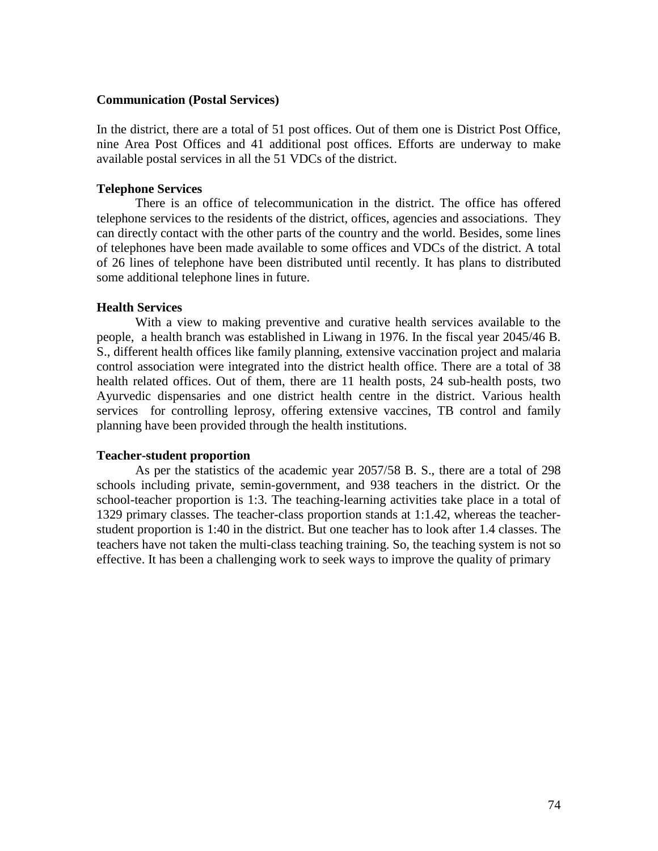#### **Communication (Postal Services)**

In the district, there are a total of 51 post offices. Out of them one is District Post Office, nine Area Post Offices and 41 additional post offices. Efforts are underway to make available postal services in all the 51 VDCs of the district.

## **Telephone Services**

There is an office of telecommunication in the district. The office has offered telephone services to the residents of the district, offices, agencies and associations. They can directly contact with the other parts of the country and the world. Besides, some lines of telephones have been made available to some offices and VDCs of the district. A total of 26 lines of telephone have been distributed until recently. It has plans to distributed some additional telephone lines in future.

## **Health Services**

With a view to making preventive and curative health services available to the people, a health branch was established in Liwang in 1976. In the fiscal year 2045/46 B. S., different health offices like family planning, extensive vaccination project and malaria control association were integrated into the district health office. There are a total of 38 health related offices. Out of them, there are 11 health posts, 24 sub-health posts, two Ayurvedic dispensaries and one district health centre in the district. Various health services for controlling leprosy, offering extensive vaccines, TB control and family planning have been provided through the health institutions.

#### **Teacher-student proportion**

As per the statistics of the academic year 2057/58 B. S., there are a total of 298 schools including private, semin-government, and 938 teachers in the district. Or the school-teacher proportion is 1:3. The teaching-learning activities take place in a total of 1329 primary classes. The teacher-class proportion stands at 1:1.42, whereas the teacherstudent proportion is 1:40 in the district. But one teacher has to look after 1.4 classes. The teachers have not taken the multi-class teaching training. So, the teaching system is not so effective. It has been a challenging work to seek ways to improve the quality of primary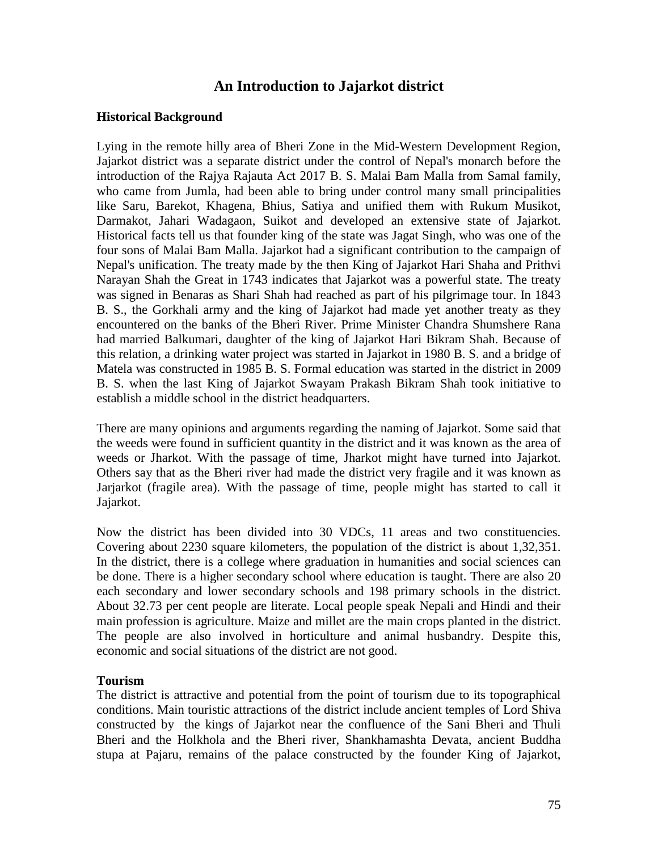# **An Introduction to Jajarkot district**

## **Historical Background**

Lying in the remote hilly area of Bheri Zone in the Mid-Western Development Region, Jajarkot district was a separate district under the control of Nepal's monarch before the introduction of the Rajya Rajauta Act 2017 B. S. Malai Bam Malla from Samal family, who came from Jumla, had been able to bring under control many small principalities like Saru, Barekot, Khagena, Bhius, Satiya and unified them with Rukum Musikot, Darmakot, Jahari Wadagaon, Suikot and developed an extensive state of Jajarkot. Historical facts tell us that founder king of the state was Jagat Singh, who was one of the four sons of Malai Bam Malla. Jajarkot had a significant contribution to the campaign of Nepal's unification. The treaty made by the then King of Jajarkot Hari Shaha and Prithvi Narayan Shah the Great in 1743 indicates that Jajarkot was a powerful state. The treaty was signed in Benaras as Shari Shah had reached as part of his pilgrimage tour. In 1843 B. S., the Gorkhali army and the king of Jajarkot had made yet another treaty as they encountered on the banks of the Bheri River. Prime Minister Chandra Shumshere Rana had married Balkumari, daughter of the king of Jajarkot Hari Bikram Shah. Because of this relation, a drinking water project was started in Jajarkot in 1980 B. S. and a bridge of Matela was constructed in 1985 B. S. Formal education was started in the district in 2009 B. S. when the last King of Jajarkot Swayam Prakash Bikram Shah took initiative to establish a middle school in the district headquarters.

There are many opinions and arguments regarding the naming of Jajarkot. Some said that the weeds were found in sufficient quantity in the district and it was known as the area of weeds or Jharkot. With the passage of time, Jharkot might have turned into Jajarkot. Others say that as the Bheri river had made the district very fragile and it was known as Jarjarkot (fragile area). With the passage of time, people might has started to call it Jajarkot.

Now the district has been divided into 30 VDCs, 11 areas and two constituencies. Covering about 2230 square kilometers, the population of the district is about 1,32,351. In the district, there is a college where graduation in humanities and social sciences can be done. There is a higher secondary school where education is taught. There are also 20 each secondary and lower secondary schools and 198 primary schools in the district. About 32.73 per cent people are literate. Local people speak Nepali and Hindi and their main profession is agriculture. Maize and millet are the main crops planted in the district. The people are also involved in horticulture and animal husbandry. Despite this, economic and social situations of the district are not good.

## **Tourism**

The district is attractive and potential from the point of tourism due to its topographical conditions. Main touristic attractions of the district include ancient temples of Lord Shiva constructed by the kings of Jajarkot near the confluence of the Sani Bheri and Thuli Bheri and the Holkhola and the Bheri river, Shankhamashta Devata, ancient Buddha stupa at Pajaru, remains of the palace constructed by the founder King of Jajarkot,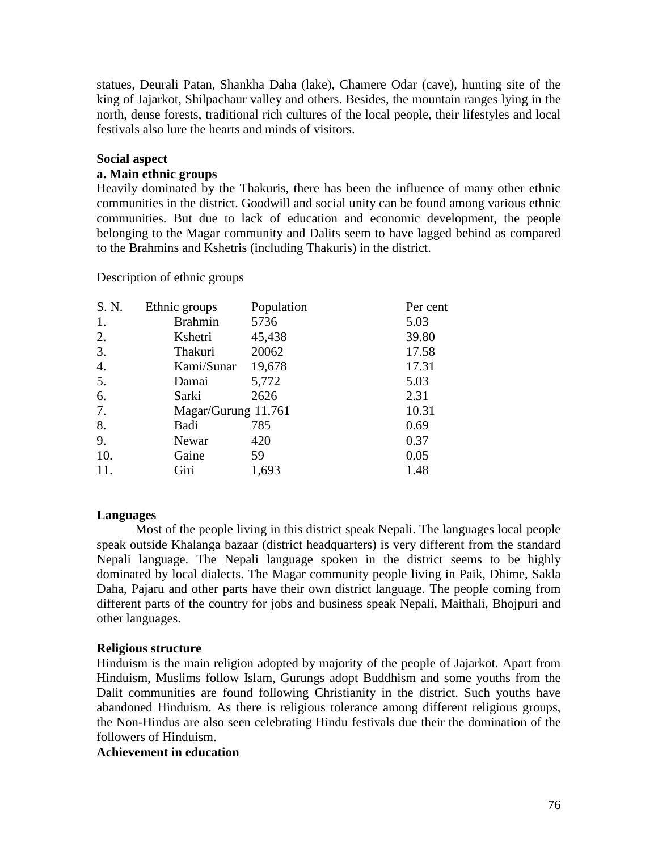statues, Deurali Patan, Shankha Daha (lake), Chamere Odar (cave), hunting site of the king of Jajarkot, Shilpachaur valley and others. Besides, the mountain ranges lying in the north, dense forests, traditional rich cultures of the local people, their lifestyles and local festivals also lure the hearts and minds of visitors.

## **Social aspect**

## **a. Main ethnic groups**

Heavily dominated by the Thakuris, there has been the influence of many other ethnic communities in the district. Goodwill and social unity can be found among various ethnic communities. But due to lack of education and economic development, the people belonging to the Magar community and Dalits seem to have lagged behind as compared to the Brahmins and Kshetris (including Thakuris) in the district.

Description of ethnic groups

| S. N. | Ethnic groups       | Population | Per cent |
|-------|---------------------|------------|----------|
| 1.    | <b>Brahmin</b>      | 5736       | 5.03     |
| 2.    | Kshetri             | 45,438     | 39.80    |
| 3.    | Thakuri             | 20062      | 17.58    |
| 4.    | Kami/Sunar          | 19,678     | 17.31    |
| 5.    | Damai               | 5,772      | 5.03     |
| 6.    | Sarki               | 2626       | 2.31     |
| 7.    | Magar/Gurung 11,761 |            | 10.31    |
| 8.    | Badi                | 785        | 0.69     |
| 9.    | Newar               | 420        | 0.37     |
| 10.   | Gaine               | 59         | 0.05     |
| 11.   | Giri                | 1,693      | 1.48     |

## **Languages**

Most of the people living in this district speak Nepali. The languages local people speak outside Khalanga bazaar (district headquarters) is very different from the standard Nepali language. The Nepali language spoken in the district seems to be highly dominated by local dialects. The Magar community people living in Paik, Dhime, Sakla Daha, Pajaru and other parts have their own district language. The people coming from different parts of the country for jobs and business speak Nepali, Maithali, Bhojpuri and other languages.

#### **Religious structure**

Hinduism is the main religion adopted by majority of the people of Jajarkot. Apart from Hinduism, Muslims follow Islam, Gurungs adopt Buddhism and some youths from the Dalit communities are found following Christianity in the district. Such youths have abandoned Hinduism. As there is religious tolerance among different religious groups, the Non-Hindus are also seen celebrating Hindu festivals due their the domination of the followers of Hinduism.

## **Achievement in education**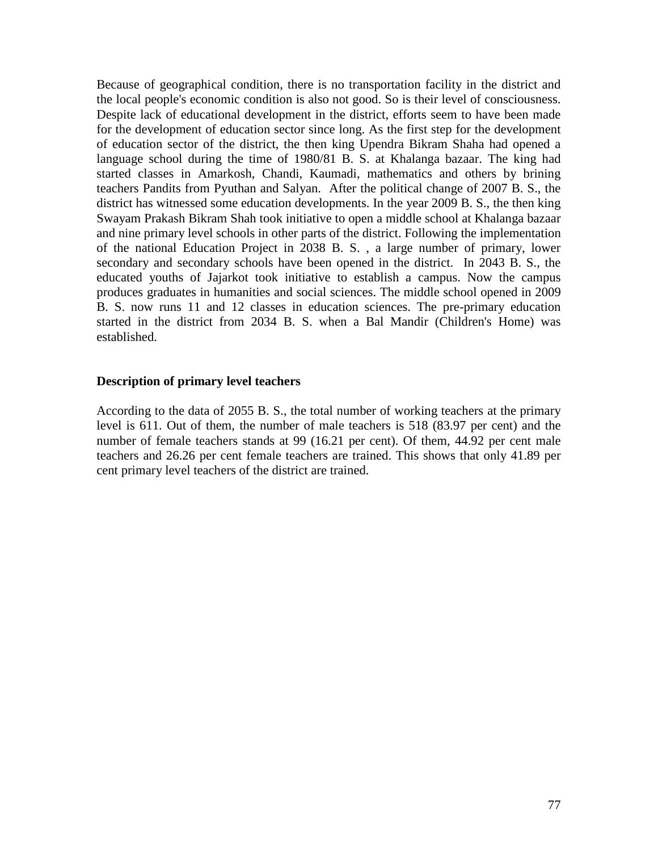Because of geographical condition, there is no transportation facility in the district and the local people's economic condition is also not good. So is their level of consciousness. Despite lack of educational development in the district, efforts seem to have been made for the development of education sector since long. As the first step for the development of education sector of the district, the then king Upendra Bikram Shaha had opened a language school during the time of 1980/81 B. S. at Khalanga bazaar. The king had started classes in Amarkosh, Chandi, Kaumadi, mathematics and others by brining teachers Pandits from Pyuthan and Salyan. After the political change of 2007 B. S., the district has witnessed some education developments. In the year 2009 B. S., the then king Swayam Prakash Bikram Shah took initiative to open a middle school at Khalanga bazaar and nine primary level schools in other parts of the district. Following the implementation of the national Education Project in 2038 B. S. , a large number of primary, lower secondary and secondary schools have been opened in the district. In 2043 B. S., the educated youths of Jajarkot took initiative to establish a campus. Now the campus produces graduates in humanities and social sciences. The middle school opened in 2009 B. S. now runs 11 and 12 classes in education sciences. The pre-primary education started in the district from 2034 B. S. when a Bal Mandir (Children's Home) was established.

#### **Description of primary level teachers**

According to the data of 2055 B. S., the total number of working teachers at the primary level is 611. Out of them, the number of male teachers is 518 (83.97 per cent) and the number of female teachers stands at 99 (16.21 per cent). Of them, 44.92 per cent male teachers and 26.26 per cent female teachers are trained. This shows that only 41.89 per cent primary level teachers of the district are trained.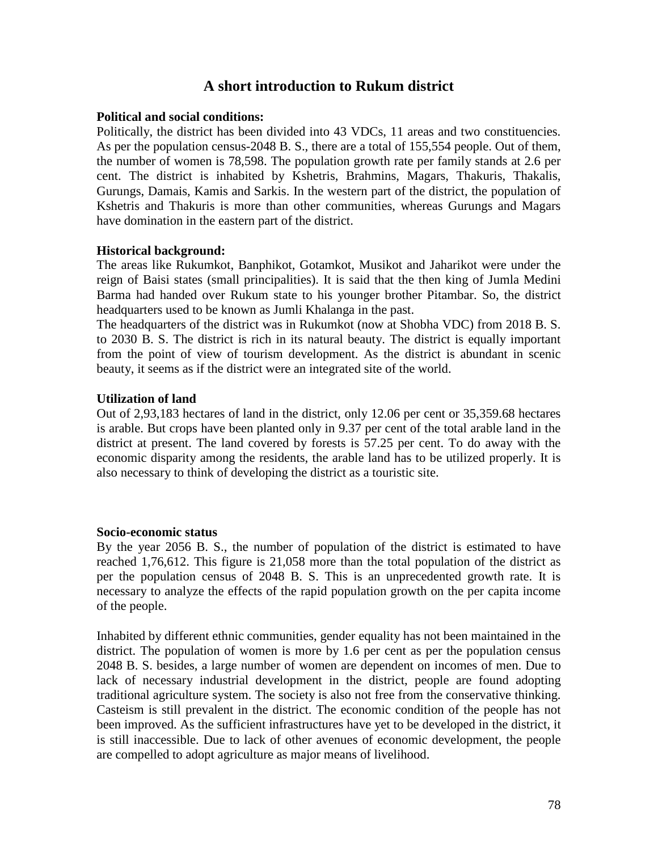# **A short introduction to Rukum district**

#### **Political and social conditions:**

Politically, the district has been divided into 43 VDCs, 11 areas and two constituencies. As per the population census-2048 B. S., there are a total of 155,554 people. Out of them, the number of women is 78,598. The population growth rate per family stands at 2.6 per cent. The district is inhabited by Kshetris, Brahmins, Magars, Thakuris, Thakalis, Gurungs, Damais, Kamis and Sarkis. In the western part of the district, the population of Kshetris and Thakuris is more than other communities, whereas Gurungs and Magars have domination in the eastern part of the district.

#### **Historical background:**

The areas like Rukumkot, Banphikot, Gotamkot, Musikot and Jaharikot were under the reign of Baisi states (small principalities). It is said that the then king of Jumla Medini Barma had handed over Rukum state to his younger brother Pitambar. So, the district headquarters used to be known as Jumli Khalanga in the past.

The headquarters of the district was in Rukumkot (now at Shobha VDC) from 2018 B. S. to 2030 B. S. The district is rich in its natural beauty. The district is equally important from the point of view of tourism development. As the district is abundant in scenic beauty, it seems as if the district were an integrated site of the world.

## **Utilization of land**

Out of 2,93,183 hectares of land in the district, only 12.06 per cent or 35,359.68 hectares is arable. But crops have been planted only in 9.37 per cent of the total arable land in the district at present. The land covered by forests is 57.25 per cent. To do away with the economic disparity among the residents, the arable land has to be utilized properly. It is also necessary to think of developing the district as a touristic site.

#### **Socio-economic status**

By the year 2056 B. S., the number of population of the district is estimated to have reached 1,76,612. This figure is 21,058 more than the total population of the district as per the population census of 2048 B. S. This is an unprecedented growth rate. It is necessary to analyze the effects of the rapid population growth on the per capita income of the people.

Inhabited by different ethnic communities, gender equality has not been maintained in the district. The population of women is more by 1.6 per cent as per the population census 2048 B. S. besides, a large number of women are dependent on incomes of men. Due to lack of necessary industrial development in the district, people are found adopting traditional agriculture system. The society is also not free from the conservative thinking. Casteism is still prevalent in the district. The economic condition of the people has not been improved. As the sufficient infrastructures have yet to be developed in the district, it is still inaccessible. Due to lack of other avenues of economic development, the people are compelled to adopt agriculture as major means of livelihood.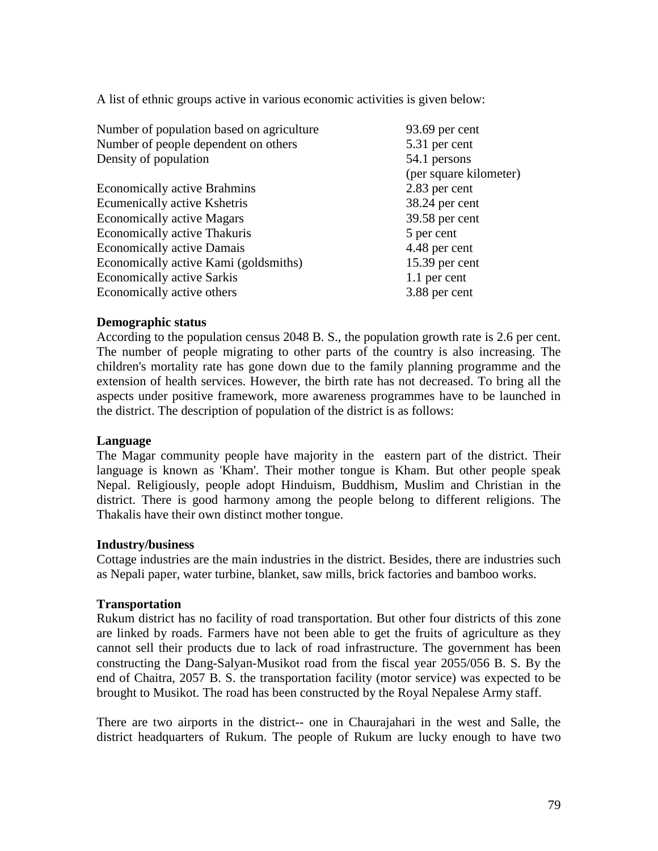A list of ethnic groups active in various economic activities is given below:

| Number of population based on agriculture | 93.69 per cent         |
|-------------------------------------------|------------------------|
| Number of people dependent on others      | 5.31 per cent          |
| Density of population                     | 54.1 persons           |
|                                           | (per square kilometer) |
| <b>Economically active Brahmins</b>       | 2.83 per cent          |
| Ecumenically active Kshetris              | 38.24 per cent         |
| <b>Economically active Magars</b>         | 39.58 per cent         |
| Economically active Thakuris              | 5 per cent             |
| <b>Economically active Damais</b>         | 4.48 per cent          |
| Economically active Kami (goldsmiths)     | $15.39$ per cent       |
| <b>Economically active Sarkis</b>         | 1.1 per cent           |
| Economically active others                | 3.88 per cent          |

## **Demographic status**

According to the population census 2048 B. S., the population growth rate is 2.6 per cent. The number of people migrating to other parts of the country is also increasing. The children's mortality rate has gone down due to the family planning programme and the extension of health services. However, the birth rate has not decreased. To bring all the aspects under positive framework, more awareness programmes have to be launched in the district. The description of population of the district is as follows:

## **Language**

The Magar community people have majority in the eastern part of the district. Their language is known as 'Kham'. Their mother tongue is Kham. But other people speak Nepal. Religiously, people adopt Hinduism, Buddhism, Muslim and Christian in the district. There is good harmony among the people belong to different religions. The Thakalis have their own distinct mother tongue.

#### **Industry/business**

Cottage industries are the main industries in the district. Besides, there are industries such as Nepali paper, water turbine, blanket, saw mills, brick factories and bamboo works.

#### **Transportation**

Rukum district has no facility of road transportation. But other four districts of this zone are linked by roads. Farmers have not been able to get the fruits of agriculture as they cannot sell their products due to lack of road infrastructure. The government has been constructing the Dang-Salyan-Musikot road from the fiscal year 2055/056 B. S. By the end of Chaitra, 2057 B. S. the transportation facility (motor service) was expected to be brought to Musikot. The road has been constructed by the Royal Nepalese Army staff.

There are two airports in the district-- one in Chaurajahari in the west and Salle, the district headquarters of Rukum. The people of Rukum are lucky enough to have two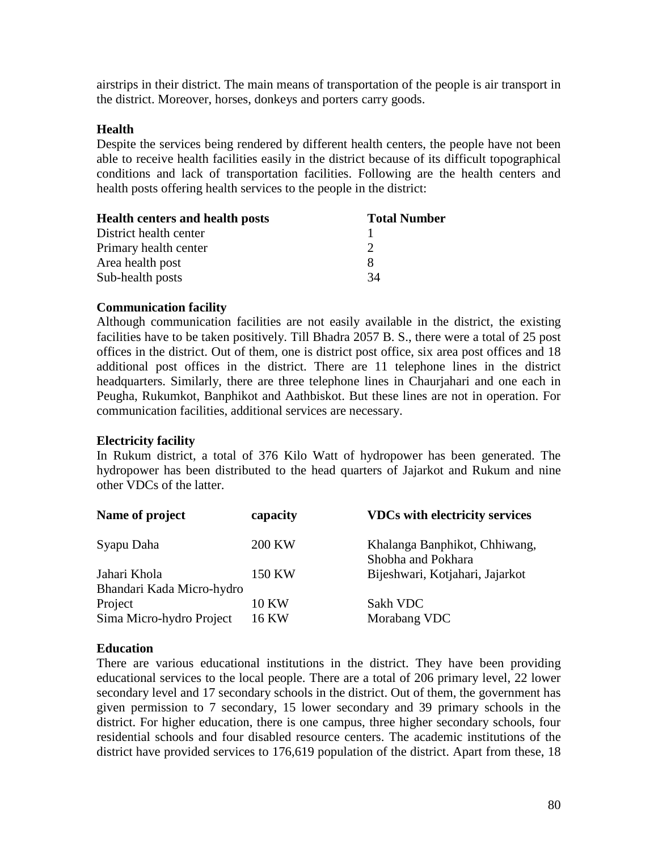airstrips in their district. The main means of transportation of the people is air transport in the district. Moreover, horses, donkeys and porters carry goods.

## **Health**

Despite the services being rendered by different health centers, the people have not been able to receive health facilities easily in the district because of its difficult topographical conditions and lack of transportation facilities. Following are the health centers and health posts offering health services to the people in the district:

| <b>Health centers and health posts</b> | <b>Total Number</b> |
|----------------------------------------|---------------------|
| District health center                 |                     |
| Primary health center                  |                     |
| Area health post                       |                     |
| Sub-health posts                       | 34                  |

## **Communication facility**

Although communication facilities are not easily available in the district, the existing facilities have to be taken positively. Till Bhadra 2057 B. S., there were a total of 25 post offices in the district. Out of them, one is district post office, six area post offices and 18 additional post offices in the district. There are 11 telephone lines in the district headquarters. Similarly, there are three telephone lines in Chaurjahari and one each in Peugha, Rukumkot, Banphikot and Aathbiskot. But these lines are not in operation. For communication facilities, additional services are necessary.

## **Electricity facility**

In Rukum district, a total of 376 Kilo Watt of hydropower has been generated. The hydropower has been distributed to the head quarters of Jajarkot and Rukum and nine other VDCs of the latter.

| Name of project                           | capacity              | <b>VDCs with electricity services</b>               |
|-------------------------------------------|-----------------------|-----------------------------------------------------|
| Syapu Daha                                | <b>200 KW</b>         | Khalanga Banphikot, Chhiwang,<br>Shobha and Pokhara |
| Jahari Khola<br>Bhandari Kada Micro-hydro | 150 KW                | Bijeshwari, Kotjahari, Jajarkot                     |
| Project<br>Sima Micro-hydro Project       | <b>10 KW</b><br>16 KW | Sakh VDC<br>Morabang VDC                            |

## **Education**

There are various educational institutions in the district. They have been providing educational services to the local people. There are a total of 206 primary level, 22 lower secondary level and 17 secondary schools in the district. Out of them, the government has given permission to 7 secondary, 15 lower secondary and 39 primary schools in the district. For higher education, there is one campus, three higher secondary schools, four residential schools and four disabled resource centers. The academic institutions of the district have provided services to 176,619 population of the district. Apart from these, 18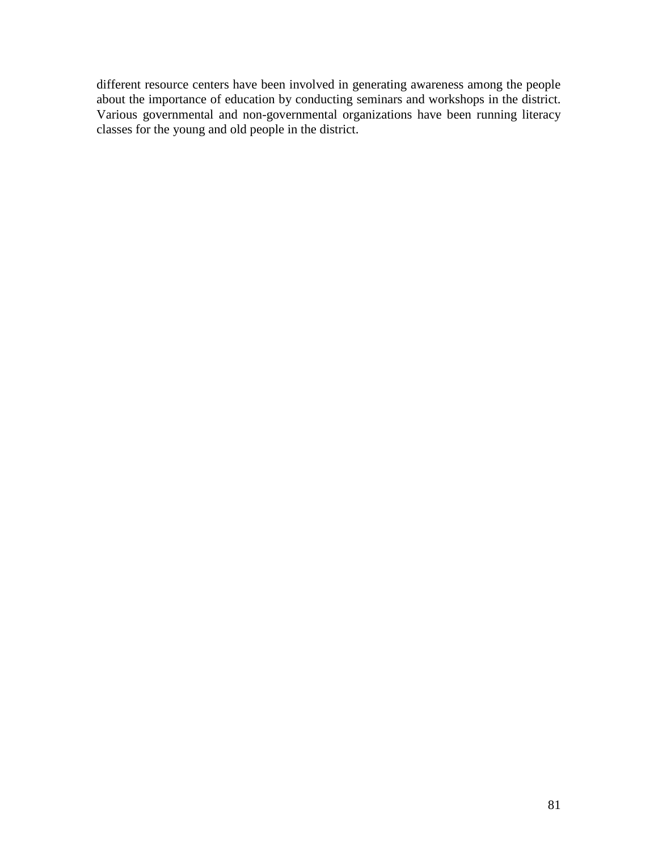different resource centers have been involved in generating awareness among the people about the importance of education by conducting seminars and workshops in the district. Various governmental and non-governmental organizations have been running literacy classes for the young and old people in the district.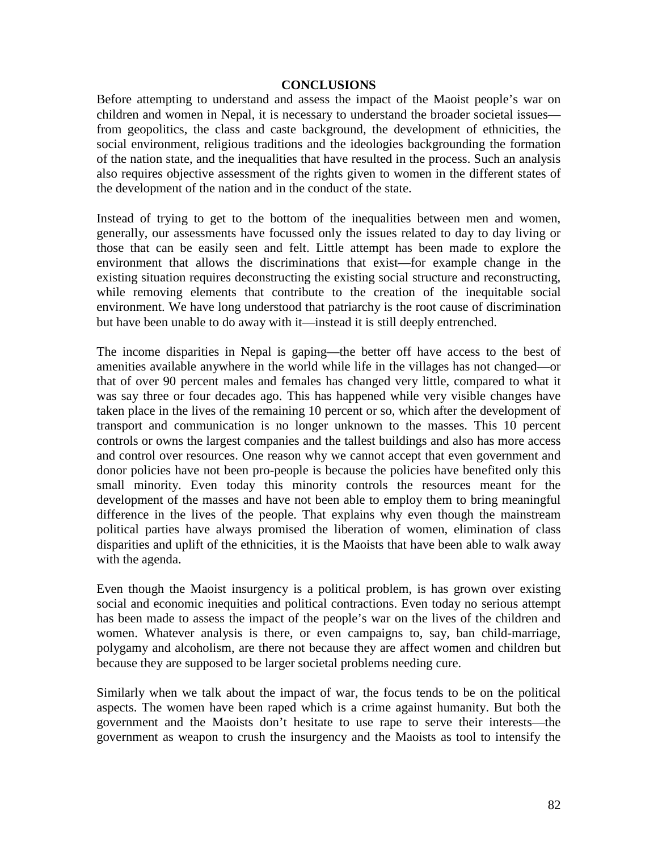#### **CONCLUSIONS**

Before attempting to understand and assess the impact of the Maoist people's war on children and women in Nepal, it is necessary to understand the broader societal issues from geopolitics, the class and caste background, the development of ethnicities, the social environment, religious traditions and the ideologies backgrounding the formation of the nation state, and the inequalities that have resulted in the process. Such an analysis also requires objective assessment of the rights given to women in the different states of the development of the nation and in the conduct of the state.

Instead of trying to get to the bottom of the inequalities between men and women, generally, our assessments have focussed only the issues related to day to day living or those that can be easily seen and felt. Little attempt has been made to explore the environment that allows the discriminations that exist—for example change in the existing situation requires deconstructing the existing social structure and reconstructing, while removing elements that contribute to the creation of the inequitable social environment. We have long understood that patriarchy is the root cause of discrimination but have been unable to do away with it—instead it is still deeply entrenched.

The income disparities in Nepal is gaping—the better off have access to the best of amenities available anywhere in the world while life in the villages has not changed—or that of over 90 percent males and females has changed very little, compared to what it was say three or four decades ago. This has happened while very visible changes have taken place in the lives of the remaining 10 percent or so, which after the development of transport and communication is no longer unknown to the masses. This 10 percent controls or owns the largest companies and the tallest buildings and also has more access and control over resources. One reason why we cannot accept that even government and donor policies have not been pro-people is because the policies have benefited only this small minority. Even today this minority controls the resources meant for the development of the masses and have not been able to employ them to bring meaningful difference in the lives of the people. That explains why even though the mainstream political parties have always promised the liberation of women, elimination of class disparities and uplift of the ethnicities, it is the Maoists that have been able to walk away with the agenda.

Even though the Maoist insurgency is a political problem, is has grown over existing social and economic inequities and political contractions. Even today no serious attempt has been made to assess the impact of the people's war on the lives of the children and women. Whatever analysis is there, or even campaigns to, say, ban child-marriage, polygamy and alcoholism, are there not because they are affect women and children but because they are supposed to be larger societal problems needing cure.

Similarly when we talk about the impact of war, the focus tends to be on the political aspects. The women have been raped which is a crime against humanity. But both the government and the Maoists don't hesitate to use rape to serve their interests—the government as weapon to crush the insurgency and the Maoists as tool to intensify the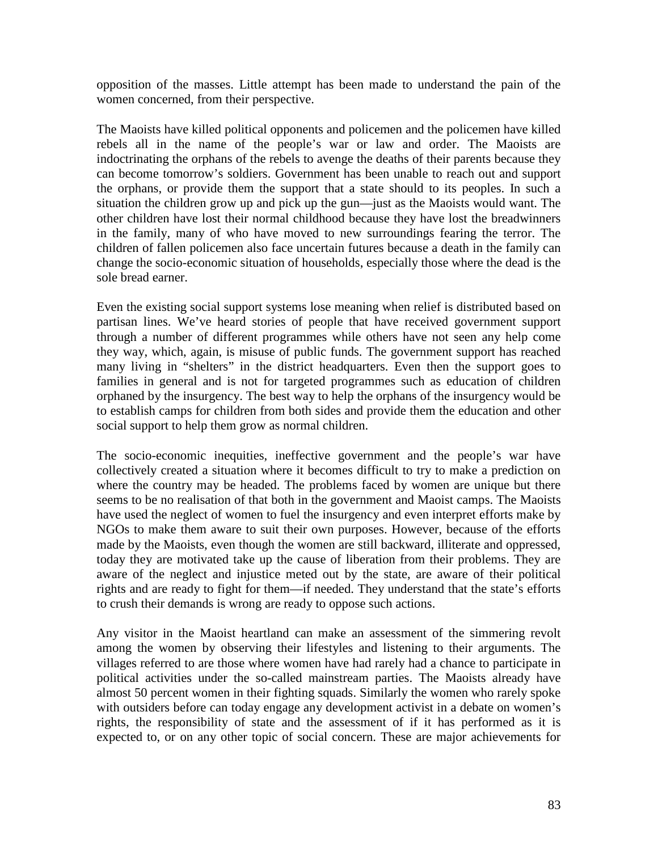opposition of the masses. Little attempt has been made to understand the pain of the women concerned, from their perspective.

The Maoists have killed political opponents and policemen and the policemen have killed rebels all in the name of the people's war or law and order. The Maoists are indoctrinating the orphans of the rebels to avenge the deaths of their parents because they can become tomorrow's soldiers. Government has been unable to reach out and support the orphans, or provide them the support that a state should to its peoples. In such a situation the children grow up and pick up the gun—just as the Maoists would want. The other children have lost their normal childhood because they have lost the breadwinners in the family, many of who have moved to new surroundings fearing the terror. The children of fallen policemen also face uncertain futures because a death in the family can change the socio-economic situation of households, especially those where the dead is the sole bread earner.

Even the existing social support systems lose meaning when relief is distributed based on partisan lines. We've heard stories of people that have received government support through a number of different programmes while others have not seen any help come they way, which, again, is misuse of public funds. The government support has reached many living in "shelters" in the district headquarters. Even then the support goes to families in general and is not for targeted programmes such as education of children orphaned by the insurgency. The best way to help the orphans of the insurgency would be to establish camps for children from both sides and provide them the education and other social support to help them grow as normal children.

The socio-economic inequities, ineffective government and the people's war have collectively created a situation where it becomes difficult to try to make a prediction on where the country may be headed. The problems faced by women are unique but there seems to be no realisation of that both in the government and Maoist camps. The Maoists have used the neglect of women to fuel the insurgency and even interpret efforts make by NGOs to make them aware to suit their own purposes. However, because of the efforts made by the Maoists, even though the women are still backward, illiterate and oppressed, today they are motivated take up the cause of liberation from their problems. They are aware of the neglect and injustice meted out by the state, are aware of their political rights and are ready to fight for them—if needed. They understand that the state's efforts to crush their demands is wrong are ready to oppose such actions.

Any visitor in the Maoist heartland can make an assessment of the simmering revolt among the women by observing their lifestyles and listening to their arguments. The villages referred to are those where women have had rarely had a chance to participate in political activities under the so-called mainstream parties. The Maoists already have almost 50 percent women in their fighting squads. Similarly the women who rarely spoke with outsiders before can today engage any development activist in a debate on women's rights, the responsibility of state and the assessment of if it has performed as it is expected to, or on any other topic of social concern. These are major achievements for